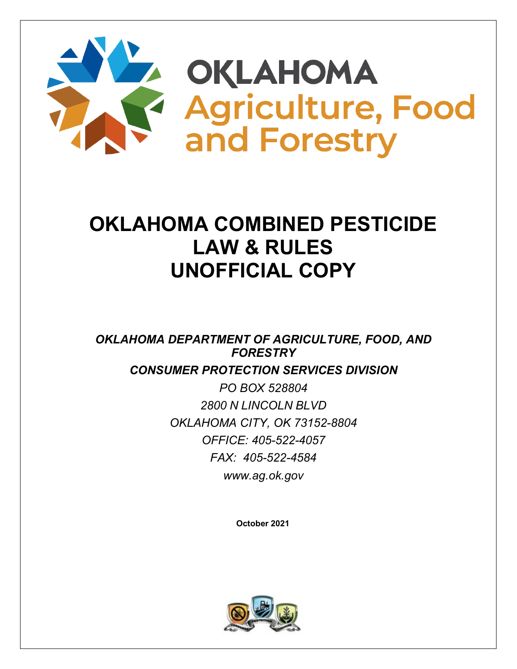

# **OKLAHOMA COMBINED PESTICIDE LAW & RULES UNOFFICIAL COPY**

*OKLAHOMA DEPARTMENT OF AGRICULTURE, FOOD, AND FORESTRY*

*CONSUMER PROTECTION SERVICES DIVISION*

*PO BOX 528804 2800 N LINCOLN BLVD OKLAHOMA CITY, OK 73152-8804 OFFICE: 405-522-4057 FAX: 405-522-4584 [www.ag.ok.gov](http://www.ag.ok.gov/)*

 **October 2021**

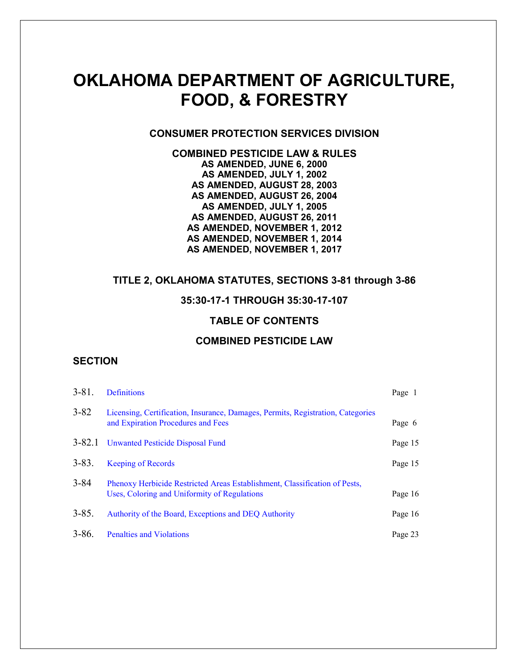## **OKLAHOMA DEPARTMENT OF AGRICULTURE, FOOD, & FORESTRY**

#### **CONSUMER PROTECTION SERVICES DIVISION**

**COMBINED PESTICIDE LAW & RULES AS AMENDED, JUNE 6, 2000 AS AMENDED, JULY 1, 2002 AS AMENDED, AUGUST 28, 2003 AS AMENDED, AUGUST 26, 2004 AS AMENDED, JULY 1, 2005 AS AMENDED, AUGUST 26, 2011 AS AMENDED, NOVEMBER 1, 2012 AS AMENDED, NOVEMBER 1, 2014 AS AMENDED, NOVEMBER 1, 2017**

#### **TITLE 2, OKLAHOMA STATUTES, SECTIONS 3-81 through 3-86**

#### **35:30-17-1 THROUGH 35:30-17-107**

#### **TABLE OF CONTENTS**

#### **COMBINED PESTICIDE LAW**

#### **SECTION**

| $3 - 81$ . | <b>Definitions</b>                                                                                                         | Page 1  |
|------------|----------------------------------------------------------------------------------------------------------------------------|---------|
| $3 - 82$   | Licensing, Certification, Insurance, Damages, Permits, Registration, Categories<br>and Expiration Procedures and Fees      | Page 6  |
| $3 - 82.1$ | Unwanted Pesticide Disposal Fund                                                                                           | Page 15 |
| $3 - 83.$  | <b>Keeping of Records</b>                                                                                                  | Page 15 |
| $3 - 84$   | Phenoxy Herbicide Restricted Areas Establishment, Classification of Pests,<br>Uses, Coloring and Uniformity of Regulations | Page 16 |
| $3 - 85.$  | Authority of the Board, Exceptions and DEQ Authority                                                                       | Page 16 |
| $3 - 86.$  | <b>Penalties and Violations</b>                                                                                            | Page 23 |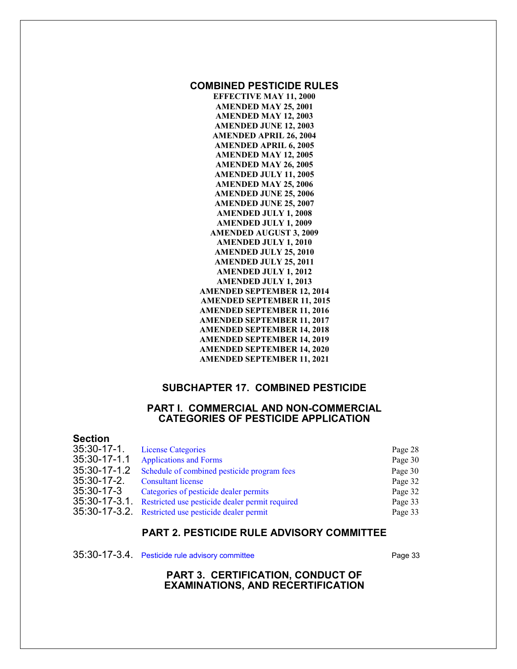#### **COMBINED PESTICIDE RULES**

**EFFECTIVE MAY 11, 2000 AMENDED MAY 25, 2001 AMENDED MAY 12, 2003 AMENDED JUNE 12, 2003 AMENDED APRIL 26, 2004 AMENDED APRIL 6, 2005 AMENDED MAY 12, 2005 AMENDED MAY 26, 2005 AMENDED JULY 11, 2005 AMENDED MAY 25, 2006 AMENDED JUNE 25, 2006 AMENDED JUNE 25, 2007 AMENDED JULY 1, 2008 AMENDED JULY 1, 2009 AMENDED AUGUST 3, 2009 AMENDED JULY 1, 2010 AMENDED JULY 25, 2010 AMENDED JULY 25, 2011 AMENDED JULY 1, 2012 AMENDED JULY 1, 2013 AMENDED SEPTEMBER 12, 2014 AMENDED SEPTEMBER 11, 2015 AMENDED SEPTEMBER 11, 2016 AMENDED SEPTEMBER 11, 2017 AMENDED SEPTEMBER 14, 2018 AMENDED SEPTEMBER 14, 2019 AMENDED SEPTEMBER 14, 2020 AMENDED SEPTEMBER 11, 2021**

#### **SUBCHAPTER 17. COMBINED PESTICIDE**

#### **PART I. COMMERCIAL AND NON-COMMERCIAL CATEGORIES OF PESTICIDE APPLICATION**

| <b>Section</b>   |                                                      |         |
|------------------|------------------------------------------------------|---------|
| $35:30-17-1$ .   | <b>License Categories</b>                            | Page 28 |
| 35:30-17-1.1     | <b>Applications and Forms</b>                        | Page 30 |
| 35:30-17-1.2     | Schedule of combined pesticide program fees          | Page 30 |
| $35:30-17-2$ .   | <b>Consultant license</b>                            | Page 32 |
| 35:30-17-3       | Categories of pesticide dealer permits               | Page 32 |
| $35:30-17-3.1$ . | Restricted use pesticide dealer permit required      | Page 33 |
|                  | 35:30-17-3.2. Restricted use pesticide dealer permit | Page 33 |

#### **PART 2. PESTICIDE RULE ADVISORY COMMITTEE**

35:30-17-3.4. [Pesticide rule advisory committee](#page-38-0) Page 33

#### **PART 3. CERTIFICATION, CONDUCT OF EXAMINATIONS, AND RECERTIFICATION**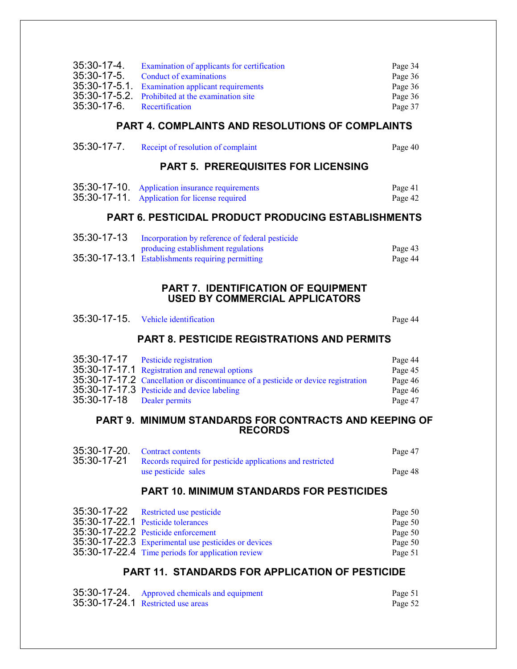| 35:30-17-4.<br>$35:30-17-5$ . | Examination of applicants for certification<br>Conduct of examinations                        | Page 34<br>Page 36 |
|-------------------------------|-----------------------------------------------------------------------------------------------|--------------------|
| $35:30-17-5.1$ .              | <b>Examination applicant requirements</b><br>35:30-17-5.2. Prohibited at the examination site | Page 36<br>Page 36 |
| $35:30-17-6$ .                | Recertification                                                                               | Page 37            |
|                               | <b>PART 4. COMPLAINTS AND RESOLUTIONS OF COMPLAINTS</b>                                       |                    |
| $35:30-17-7$ .                | Receipt of resolution of complaint                                                            | Page 40            |

#### **PART 5. PREREQUISITES FOR LICENSING**

| 35:30-17-10. Application insurance requirements<br>35:30-17-11 Application for license required | Page 41<br>Page 42 |
|-------------------------------------------------------------------------------------------------|--------------------|
|                                                                                                 |                    |

#### **PART 6. PESTICIDAL PRODUCT PRODUCING ESTABLISHMENTS**

| 35:30-17-13 Incorporation by reference of federal pesticide |         |
|-------------------------------------------------------------|---------|
| producing establishment regulations                         | Page 43 |
| 35:30-17-13.1 Establishments requiring permitting           | Page 44 |

#### **PART 7. IDENTIFICATION OF EQUIPMENT USED BY COMMERCIAL APPLICATORS**

| 35:30-17-15. Vehicle identification | Page 44 |
|-------------------------------------|---------|
|                                     |         |

## **PART 8. PESTICIDE REGISTRATIONS AND PERMITS**

|                            | 35:30-17-17 Pesticide registration                                                 | Page 44 |
|----------------------------|------------------------------------------------------------------------------------|---------|
|                            | 35:30-17-17.1 Registration and renewal options                                     | Page 45 |
|                            | 35:30-17-17.2 Cancellation or discontinuance of a pesticide or device registration | Page 46 |
|                            | 35:30-17-17.3 Pesticide and device labeling                                        | Page 46 |
| 35:30-17-18 Dealer permits |                                                                                    | Page 47 |

#### **PART 9. MINIMUM STANDARDS FOR CONTRACTS AND KEEPING OF RECORDS**

| 35:30-17-20. Contract contents                                         | Page 47 |
|------------------------------------------------------------------------|---------|
| 35:30-17-21 Records required for pesticide applications and restricted |         |
| use pesticide sales                                                    | Page 48 |

#### **PART 10. MINIMUM STANDARDS FOR PESTICIDES**

| 35:30-17-22 Restricted use pesticide                 | Page 50 |
|------------------------------------------------------|---------|
| 35:30-17-22.1 Pesticide tolerances                   | Page 50 |
| 35:30-17-22.2 Pesticide enforcement                  | Page 50 |
| 35:30-17-22.3 Experimental use pesticides or devices | Page 50 |
| 35:30-17-22.4 Time periods for application review    | Page 51 |

## **PART 11. STANDARDS FOR APPLICATION OF PESTICIDE**

| 35:30-17-24. Approved chemicals and equipment | Page 51 |
|-----------------------------------------------|---------|
| 35:30-17-24.1 Restricted use areas            | Page 52 |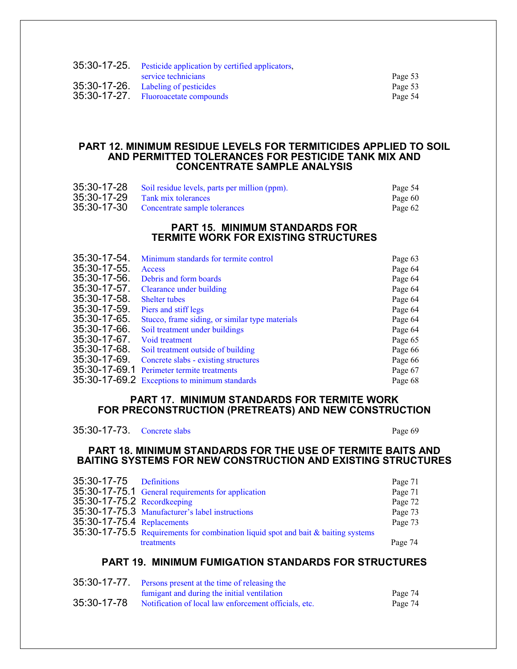| 35:30-17-25. Pesticide application by certified applicators, |         |
|--------------------------------------------------------------|---------|
| service technicians                                          | Page 53 |
| 35:30-17-26. Labeling of pesticides                          | Page 53 |
| 35:30-17-27. Fluoroacetate compounds                         | Page 54 |
|                                                              |         |

#### **PART 12. MINIMUM RESIDUE LEVELS FOR TERMITICIDES APPLIED TO SOIL AND PERMITTED TOLERANCES FOR PESTICIDE TANK MIX AND CONCENTRATE SAMPLE ANALYSIS**

| 35:30-17-28 Soil residue levels, parts per million (ppm). | Page 54 |
|-----------------------------------------------------------|---------|
| $35:30-17-29$ Tank mix tolerances                         | Page 60 |
| 35:30-17-30 Concentrate sample tolerances                 | Page 62 |

#### **PART 15. MINIMUM STANDARDS FOR TERMITE WORK FOR EXISTING STRUCTURES**

| Minimum standards for termite control           | Page 63 |
|-------------------------------------------------|---------|
| Access                                          | Page 64 |
| Debris and form boards                          | Page 64 |
| Clearance under building                        | Page 64 |
| <b>Shelter tubes</b>                            | Page 64 |
| Piers and stiff legs                            | Page 64 |
| Stucco, frame siding, or similar type materials | Page 64 |
| Soil treatment under buildings                  | Page 64 |
| Void treatment                                  | Page 65 |
| Soil treatment outside of building              | Page 66 |
| Concrete slabs - existing structures            | Page 66 |
| Perimeter termite treatments                    | Page 67 |
| 35:30-17-69.2 Exceptions to minimum standards   | Page 68 |
|                                                 |         |

#### **PART 17. MINIMUM STANDARDS FOR TERMITE WORK FOR PRECONSTRUCTION (PRETREATS) AND NEW CONSTRUCTION**

| 35:30-17-73. Concrete slabs |  | Page 69 |
|-----------------------------|--|---------|
|-----------------------------|--|---------|

#### **PART 18. MINIMUM STANDARDS FOR THE USE OF TERMITE BAITS AND BAITING SYSTEMS FOR NEW CONSTRUCTION AND EXISTING STRUCTURES**

| 35:30-17-75 Definitions     |                                                                                   | Page 71 |
|-----------------------------|-----------------------------------------------------------------------------------|---------|
|                             | 35:30-17-75.1 General requirements for application                                | Page 71 |
| 35:30-17-75.2 Recordkeeping |                                                                                   | Page 72 |
|                             | 35:30-17-75.3 Manufacturer's label instructions                                   | Page 73 |
| 35:30-17-75.4 Replacements  |                                                                                   | Page 73 |
|                             | 35:30-17-75.5 Requirements for combination liquid spot and bait & baiting systems |         |
|                             | treatments                                                                        | Page 74 |

#### **PART 19. MINIMUM FUMIGATION STANDARDS FOR STRUCTURES**

| 35:30-17-77 Persons present at the time of releasing the          |         |
|-------------------------------------------------------------------|---------|
| fumigant and during the initial ventilation                       | Page 74 |
| 35:30-17-78 Notification of local law enforcement officials, etc. | Page 74 |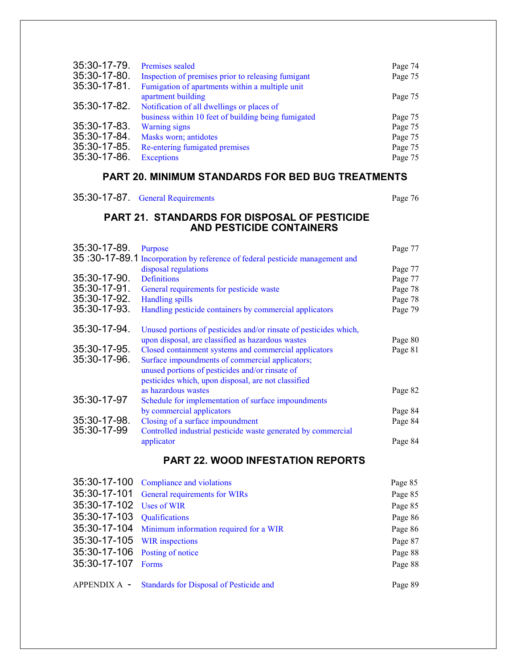| 35:30-17-79. | Premises sealed                                     | Page 74 |
|--------------|-----------------------------------------------------|---------|
| 35:30-17-80. | Inspection of premises prior to releasing fumigant  | Page 75 |
| 35:30-17-81. | Fumigation of apartments within a multiple unit     |         |
|              | apartment building                                  | Page 75 |
| 35:30-17-82. | Notification of all dwellings or places of          |         |
|              | business within 10 feet of building being fumigated | Page 75 |
| 35:30-17-83. | <b>Warning signs</b>                                | Page 75 |
| 35:30-17-84. | Masks worn; antidotes                               | Page 75 |
| 35:30-17-85. | Re-entering fumigated premises                      | Page 75 |
| 35:30-17-86. | <b>Exceptions</b>                                   | Page 75 |

## **PART 20. MINIMUM STANDARDS FOR BED BUG TREATMENTS**

| 35:30-17-87. General Requirements | Page 76 |
|-----------------------------------|---------|
|                                   |         |

## **PART 21. STANDARDS FOR DISPOSAL OF PESTICIDE AND PESTICIDE CONTAINERS**

| 35:30-17-89. | Purpose                                                                      | Page 77 |
|--------------|------------------------------------------------------------------------------|---------|
|              | 35:30-17-89.1 Incorporation by reference of federal pesticide management and |         |
|              | disposal regulations                                                         | Page 77 |
| 35:30-17-90. | <b>Definitions</b>                                                           | Page 77 |
| 35:30-17-91. | General requirements for pesticide waste                                     | Page 78 |
| 35:30-17-92. | <b>Handling spills</b>                                                       | Page 78 |
| 35:30-17-93. | Handling pesticide containers by commercial applicators                      | Page 79 |
| 35:30-17-94. | Unused portions of pesticides and/or rinsate of pesticides which,            |         |
|              | upon disposal, are classified as hazardous wastes                            | Page 80 |
| 35:30-17-95. | Closed containment systems and commercial applicators                        | Page 81 |
| 35:30-17-96. | Surface impoundments of commercial applicators;                              |         |
|              | unused portions of pesticides and/or rinsate of                              |         |
|              | pesticides which, upon disposal, are not classified                          |         |
|              | as hazardous wastes                                                          | Page 82 |
| 35:30-17-97  | Schedule for implementation of surface impoundments                          |         |
|              | by commercial applicators                                                    | Page 84 |
| 35:30-17-98. | Closing of a surface impoundment                                             | Page 84 |
| 35:30-17-99  | Controlled industrial pesticide waste generated by commercial                |         |
|              | applicator                                                                   | Page 84 |

## **PART 22. WOOD INFESTATION REPORTS**

|                                | 35:30-17-100 Compliance and violations               | Page 85 |
|--------------------------------|------------------------------------------------------|---------|
|                                | 35:30-17-101 General requirements for WIRs           | Page 85 |
| 35:30-17-102 Uses of WIR       |                                                      | Page 85 |
| 35:30-17-103 Qualifications    |                                                      | Page 86 |
|                                | 35:30-17-104 Minimum information required for a WIR  | Page 86 |
| 35:30-17-105 WIR inspections   |                                                      | Page 87 |
| 35:30-17-106 Posting of notice |                                                      | Page 88 |
| 35:30-17-107 Forms             |                                                      | Page 88 |
|                                | APPENDIX A - Standards for Disposal of Pesticide and | Page 89 |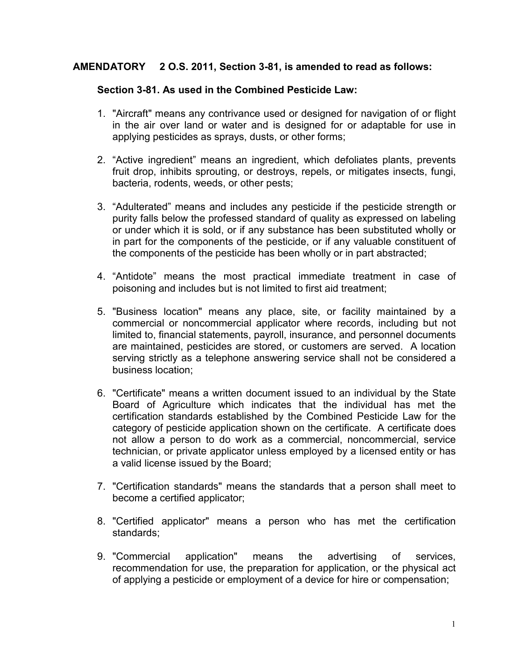## <span id="page-6-0"></span>**AMENDATORY 2 O.S. 2011, Section 3-81, is amended to read as follows:**

## **Section 3-81. As used in the Combined Pesticide Law:**

- 1. "Aircraft" means any contrivance used or designed for navigation of or flight in the air over land or water and is designed for or adaptable for use in applying pesticides as sprays, dusts, or other forms;
- 2. "Active ingredient" means an ingredient, which defoliates plants, prevents fruit drop, inhibits sprouting, or destroys, repels, or mitigates insects, fungi, bacteria, rodents, weeds, or other pests;
- 3. "Adulterated" means and includes any pesticide if the pesticide strength or purity falls below the professed standard of quality as expressed on labeling or under which it is sold, or if any substance has been substituted wholly or in part for the components of the pesticide, or if any valuable constituent of the components of the pesticide has been wholly or in part abstracted;
- 4. "Antidote" means the most practical immediate treatment in case of poisoning and includes but is not limited to first aid treatment;
- 5. "Business location" means any place, site, or facility maintained by a commercial or noncommercial applicator where records, including but not limited to, financial statements, payroll, insurance, and personnel documents are maintained, pesticides are stored, or customers are served. A location serving strictly as a telephone answering service shall not be considered a business location;
- 6. "Certificate" means a written document issued to an individual by the State Board of Agriculture which indicates that the individual has met the certification standards established by the Combined Pesticide Law for the category of pesticide application shown on the certificate. A certificate does not allow a person to do work as a commercial, noncommercial, service technician, or private applicator unless employed by a licensed entity or has a valid license issued by the Board;
- 7. "Certification standards" means the standards that a person shall meet to become a certified applicator;
- 8. "Certified applicator" means a person who has met the certification standards;
- 9. "Commercial application" means the advertising of services, recommendation for use, the preparation for application, or the physical act of applying a pesticide or employment of a device for hire or compensation;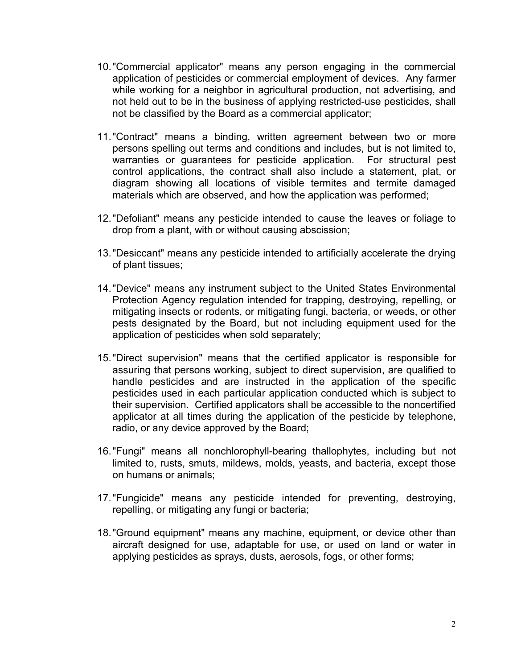- 10."Commercial applicator" means any person engaging in the commercial application of pesticides or commercial employment of devices. Any farmer while working for a neighbor in agricultural production, not advertising, and not held out to be in the business of applying restricted-use pesticides, shall not be classified by the Board as a commercial applicator;
- 11."Contract" means a binding, written agreement between two or more persons spelling out terms and conditions and includes, but is not limited to, warranties or guarantees for pesticide application. For structural pest control applications, the contract shall also include a statement, plat, or diagram showing all locations of visible termites and termite damaged materials which are observed, and how the application was performed;
- 12."Defoliant" means any pesticide intended to cause the leaves or foliage to drop from a plant, with or without causing abscission;
- 13."Desiccant" means any pesticide intended to artificially accelerate the drying of plant tissues;
- 14."Device" means any instrument subject to the United States Environmental Protection Agency regulation intended for trapping, destroying, repelling, or mitigating insects or rodents, or mitigating fungi, bacteria, or weeds, or other pests designated by the Board, but not including equipment used for the application of pesticides when sold separately;
- 15."Direct supervision" means that the certified applicator is responsible for assuring that persons working, subject to direct supervision, are qualified to handle pesticides and are instructed in the application of the specific pesticides used in each particular application conducted which is subject to their supervision. Certified applicators shall be accessible to the noncertified applicator at all times during the application of the pesticide by telephone, radio, or any device approved by the Board;
- 16."Fungi" means all nonchlorophyll-bearing thallophytes, including but not limited to, rusts, smuts, mildews, molds, yeasts, and bacteria, except those on humans or animals;
- 17."Fungicide" means any pesticide intended for preventing, destroying, repelling, or mitigating any fungi or bacteria;
- 18."Ground equipment" means any machine, equipment, or device other than aircraft designed for use, adaptable for use, or used on land or water in applying pesticides as sprays, dusts, aerosols, fogs, or other forms;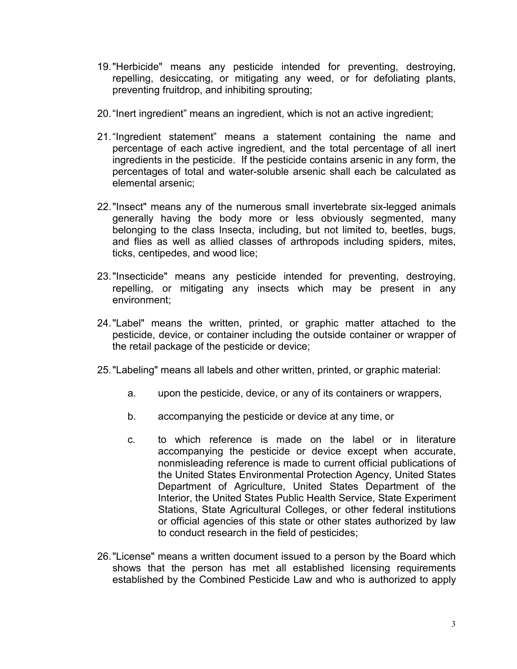- 19."Herbicide" means any pesticide intended for preventing, destroying, repelling, desiccating, or mitigating any weed, or for defoliating plants, preventing fruitdrop, and inhibiting sprouting;
- 20."Inert ingredient" means an ingredient, which is not an active ingredient;
- 21."Ingredient statement" means a statement containing the name and percentage of each active ingredient, and the total percentage of all inert ingredients in the pesticide. If the pesticide contains arsenic in any form, the percentages of total and water-soluble arsenic shall each be calculated as elemental arsenic;
- 22."Insect" means any of the numerous small invertebrate six-legged animals generally having the body more or less obviously segmented, many belonging to the class Insecta, including, but not limited to, beetles, bugs, and flies as well as allied classes of arthropods including spiders, mites, ticks, centipedes, and wood lice;
- 23."Insecticide" means any pesticide intended for preventing, destroying, repelling, or mitigating any insects which may be present in any environment;
- 24."Label" means the written, printed, or graphic matter attached to the pesticide, device, or container including the outside container or wrapper of the retail package of the pesticide or device;
- 25."Labeling" means all labels and other written, printed, or graphic material:
	- a. upon the pesticide, device, or any of its containers or wrappers,
	- b. accompanying the pesticide or device at any time, or
	- c. to which reference is made on the label or in literature accompanying the pesticide or device except when accurate, nonmisleading reference is made to current official publications of the United States Environmental Protection Agency, United States Department of Agriculture, United States Department of the Interior, the United States Public Health Service, State Experiment Stations, State Agricultural Colleges, or other federal institutions or official agencies of this state or other states authorized by law to conduct research in the field of pesticides;
- 26."License" means a written document issued to a person by the Board which shows that the person has met all established licensing requirements established by the Combined Pesticide Law and who is authorized to apply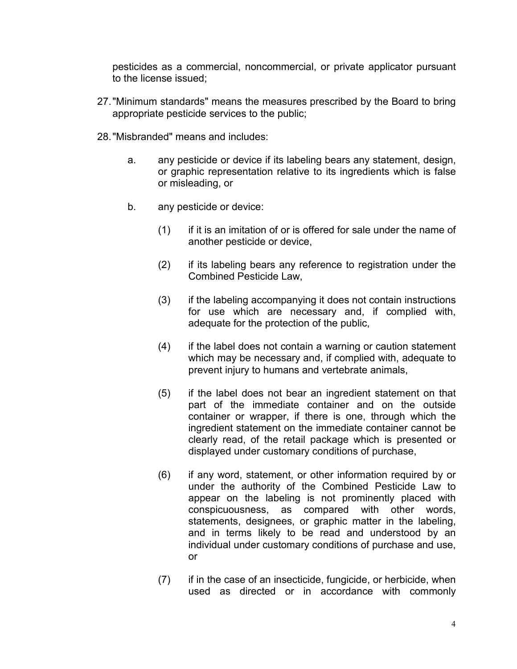pesticides as a commercial, noncommercial, or private applicator pursuant to the license issued;

- 27."Minimum standards" means the measures prescribed by the Board to bring appropriate pesticide services to the public;
- 28."Misbranded" means and includes:
	- a. any pesticide or device if its labeling bears any statement, design, or graphic representation relative to its ingredients which is false or misleading, or
	- b. any pesticide or device:
		- (1) if it is an imitation of or is offered for sale under the name of another pesticide or device,
		- (2) if its labeling bears any reference to registration under the Combined Pesticide Law,
		- (3) if the labeling accompanying it does not contain instructions for use which are necessary and, if complied with, adequate for the protection of the public,
		- (4) if the label does not contain a warning or caution statement which may be necessary and, if complied with, adequate to prevent injury to humans and vertebrate animals,
		- (5) if the label does not bear an ingredient statement on that part of the immediate container and on the outside container or wrapper, if there is one, through which the ingredient statement on the immediate container cannot be clearly read, of the retail package which is presented or displayed under customary conditions of purchase,
		- (6) if any word, statement, or other information required by or under the authority of the Combined Pesticide Law to appear on the labeling is not prominently placed with conspicuousness, as compared with other words, statements, designees, or graphic matter in the labeling, and in terms likely to be read and understood by an individual under customary conditions of purchase and use, or
		- (7) if in the case of an insecticide, fungicide, or herbicide, when used as directed or in accordance with commonly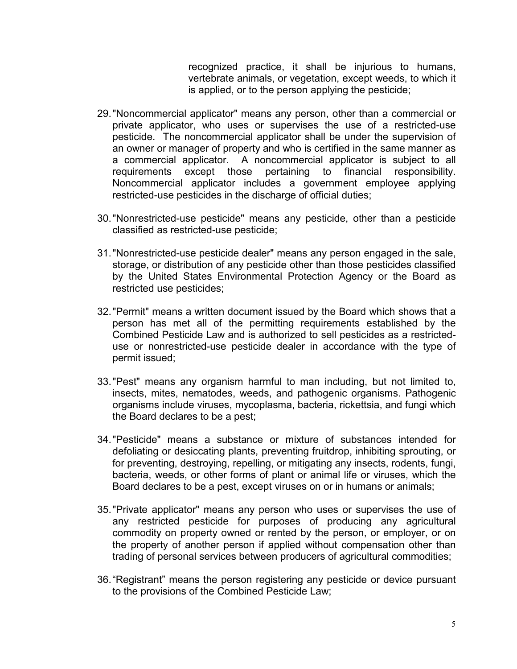recognized practice, it shall be injurious to humans, vertebrate animals, or vegetation, except weeds, to which it is applied, or to the person applying the pesticide;

- 29."Noncommercial applicator" means any person, other than a commercial or private applicator, who uses or supervises the use of a restricted-use pesticide. The noncommercial applicator shall be under the supervision of an owner or manager of property and who is certified in the same manner as a commercial applicator. A noncommercial applicator is subject to all requirements except those pertaining to financial responsibility. Noncommercial applicator includes a government employee applying restricted-use pesticides in the discharge of official duties;
- 30."Nonrestricted-use pesticide" means any pesticide, other than a pesticide classified as restricted-use pesticide;
- 31."Nonrestricted-use pesticide dealer" means any person engaged in the sale, storage, or distribution of any pesticide other than those pesticides classified by the United States Environmental Protection Agency or the Board as restricted use pesticides;
- 32."Permit" means a written document issued by the Board which shows that a person has met all of the permitting requirements established by the Combined Pesticide Law and is authorized to sell pesticides as a restricteduse or nonrestricted-use pesticide dealer in accordance with the type of permit issued;
- 33."Pest" means any organism harmful to man including, but not limited to, insects, mites, nematodes, weeds, and pathogenic organisms. Pathogenic organisms include viruses, mycoplasma, bacteria, rickettsia, and fungi which the Board declares to be a pest;
- 34."Pesticide" means a substance or mixture of substances intended for defoliating or desiccating plants, preventing fruitdrop, inhibiting sprouting, or for preventing, destroying, repelling, or mitigating any insects, rodents, fungi, bacteria, weeds, or other forms of plant or animal life or viruses, which the Board declares to be a pest, except viruses on or in humans or animals;
- 35."Private applicator" means any person who uses or supervises the use of any restricted pesticide for purposes of producing any agricultural commodity on property owned or rented by the person, or employer, or on the property of another person if applied without compensation other than trading of personal services between producers of agricultural commodities;
- 36."Registrant" means the person registering any pesticide or device pursuant to the provisions of the Combined Pesticide Law;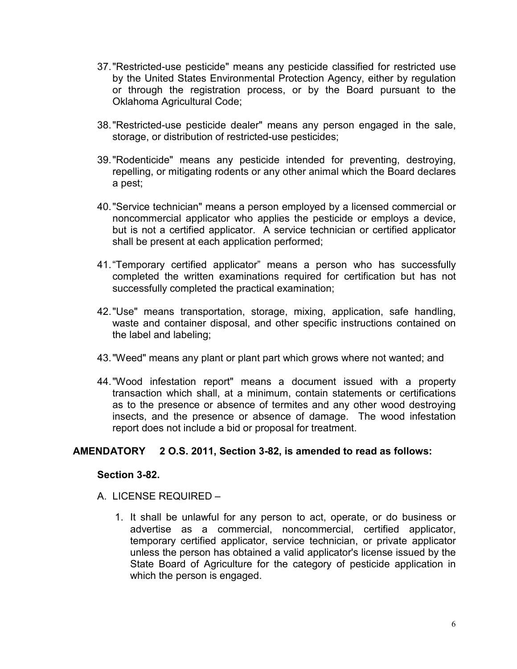- 37."Restricted-use pesticide" means any pesticide classified for restricted use by the United States Environmental Protection Agency, either by regulation or through the registration process, or by the Board pursuant to the Oklahoma Agricultural Code;
- 38."Restricted-use pesticide dealer" means any person engaged in the sale, storage, or distribution of restricted-use pesticides;
- 39."Rodenticide" means any pesticide intended for preventing, destroying, repelling, or mitigating rodents or any other animal which the Board declares a pest;
- 40."Service technician" means a person employed by a licensed commercial or noncommercial applicator who applies the pesticide or employs a device, but is not a certified applicator. A service technician or certified applicator shall be present at each application performed;
- 41."Temporary certified applicator" means a person who has successfully completed the written examinations required for certification but has not successfully completed the practical examination;
- 42."Use" means transportation, storage, mixing, application, safe handling, waste and container disposal, and other specific instructions contained on the label and labeling;
- 43."Weed" means any plant or plant part which grows where not wanted; and
- 44."Wood infestation report" means a document issued with a property transaction which shall, at a minimum, contain statements or certifications as to the presence or absence of termites and any other wood destroying insects, and the presence or absence of damage. The wood infestation report does not include a bid or proposal for treatment.

#### **AMENDATORY 2 O.S. 2011, Section 3-82, is amended to read as follows:**

#### **Section 3-82.**

- <span id="page-11-0"></span>A. LICENSE REQUIRED –
	- 1. It shall be unlawful for any person to act, operate, or do business or advertise as a commercial, noncommercial, certified applicator, temporary certified applicator, service technician, or private applicator unless the person has obtained a valid applicator's license issued by the State Board of Agriculture for the category of pesticide application in which the person is engaged.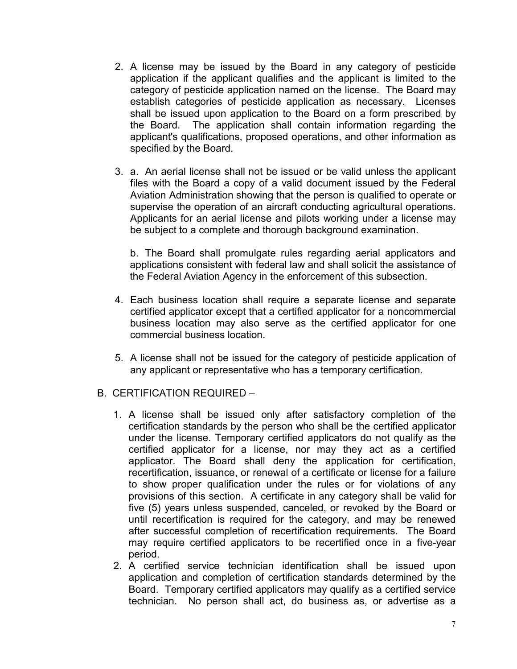- 2. A license may be issued by the Board in any category of pesticide application if the applicant qualifies and the applicant is limited to the category of pesticide application named on the license. The Board may establish categories of pesticide application as necessary. Licenses shall be issued upon application to the Board on a form prescribed by the Board. The application shall contain information regarding the applicant's qualifications, proposed operations, and other information as specified by the Board.
- 3. a. An aerial license shall not be issued or be valid unless the applicant files with the Board a copy of a valid document issued by the Federal Aviation Administration showing that the person is qualified to operate or supervise the operation of an aircraft conducting agricultural operations. Applicants for an aerial license and pilots working under a license may be subject to a complete and thorough background examination.

b. The Board shall promulgate rules regarding aerial applicators and applications consistent with federal law and shall solicit the assistance of the Federal Aviation Agency in the enforcement of this subsection.

- 4. Each business location shall require a separate license and separate certified applicator except that a certified applicator for a noncommercial business location may also serve as the certified applicator for one commercial business location.
- 5. A license shall not be issued for the category of pesticide application of any applicant or representative who has a temporary certification.
- B. CERTIFICATION REQUIRED
	- 1. A license shall be issued only after satisfactory completion of the certification standards by the person who shall be the certified applicator under the license. Temporary certified applicators do not qualify as the certified applicator for a license, nor may they act as a certified applicator. The Board shall deny the application for certification, recertification, issuance, or renewal of a certificate or license for a failure to show proper qualification under the rules or for violations of any provisions of this section. A certificate in any category shall be valid for five (5) years unless suspended, canceled, or revoked by the Board or until recertification is required for the category, and may be renewed after successful completion of recertification requirements. The Board may require certified applicators to be recertified once in a five-year period.
	- 2. A certified service technician identification shall be issued upon application and completion of certification standards determined by the Board. Temporary certified applicators may qualify as a certified service technician. No person shall act, do business as, or advertise as a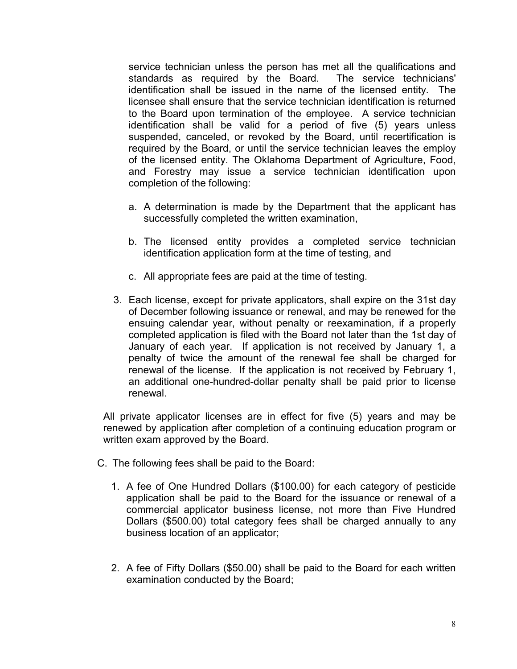service technician unless the person has met all the qualifications and standards as required by the Board. The service technicians' identification shall be issued in the name of the licensed entity. The licensee shall ensure that the service technician identification is returned to the Board upon termination of the employee. A service technician identification shall be valid for a period of five (5) years unless suspended, canceled, or revoked by the Board, until recertification is required by the Board, or until the service technician leaves the employ of the licensed entity. The Oklahoma Department of Agriculture, Food, and Forestry may issue a service technician identification upon completion of the following:

- a. A determination is made by the Department that the applicant has successfully completed the written examination,
- b. The licensed entity provides a completed service technician identification application form at the time of testing, and
- c. All appropriate fees are paid at the time of testing.
- 3. Each license, except for private applicators, shall expire on the 31st day of December following issuance or renewal, and may be renewed for the ensuing calendar year, without penalty or reexamination, if a properly completed application is filed with the Board not later than the 1st day of January of each year. If application is not received by January 1, a penalty of twice the amount of the renewal fee shall be charged for renewal of the license. If the application is not received by February 1, an additional one-hundred-dollar penalty shall be paid prior to license renewal.

All private applicator licenses are in effect for five (5) years and may be renewed by application after completion of a continuing education program or written exam approved by the Board.

- C. The following fees shall be paid to the Board:
	- 1. A fee of One Hundred Dollars (\$100.00) for each category of pesticide application shall be paid to the Board for the issuance or renewal of a commercial applicator business license, not more than Five Hundred Dollars (\$500.00) total category fees shall be charged annually to any business location of an applicator;
	- 2. A fee of Fifty Dollars (\$50.00) shall be paid to the Board for each written examination conducted by the Board;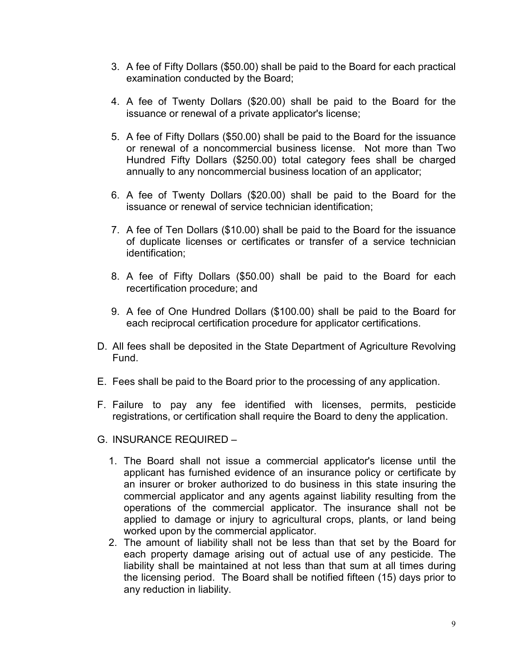- 3. A fee of Fifty Dollars (\$50.00) shall be paid to the Board for each practical examination conducted by the Board;
- 4. A fee of Twenty Dollars (\$20.00) shall be paid to the Board for the issuance or renewal of a private applicator's license;
- 5. A fee of Fifty Dollars (\$50.00) shall be paid to the Board for the issuance or renewal of a noncommercial business license. Not more than Two Hundred Fifty Dollars (\$250.00) total category fees shall be charged annually to any noncommercial business location of an applicator;
- 6. A fee of Twenty Dollars (\$20.00) shall be paid to the Board for the issuance or renewal of service technician identification;
- 7. A fee of Ten Dollars (\$10.00) shall be paid to the Board for the issuance of duplicate licenses or certificates or transfer of a service technician identification;
- 8. A fee of Fifty Dollars (\$50.00) shall be paid to the Board for each recertification procedure; and
- 9. A fee of One Hundred Dollars (\$100.00) shall be paid to the Board for each reciprocal certification procedure for applicator certifications.
- D. All fees shall be deposited in the State Department of Agriculture Revolving Fund.
- E. Fees shall be paid to the Board prior to the processing of any application.
- F. Failure to pay any fee identified with licenses, permits, pesticide registrations, or certification shall require the Board to deny the application.
- G. INSURANCE REQUIRED
	- 1. The Board shall not issue a commercial applicator's license until the applicant has furnished evidence of an insurance policy or certificate by an insurer or broker authorized to do business in this state insuring the commercial applicator and any agents against liability resulting from the operations of the commercial applicator. The insurance shall not be applied to damage or injury to agricultural crops, plants, or land being worked upon by the commercial applicator.
	- 2. The amount of liability shall not be less than that set by the Board for each property damage arising out of actual use of any pesticide. The liability shall be maintained at not less than that sum at all times during the licensing period. The Board shall be notified fifteen (15) days prior to any reduction in liability.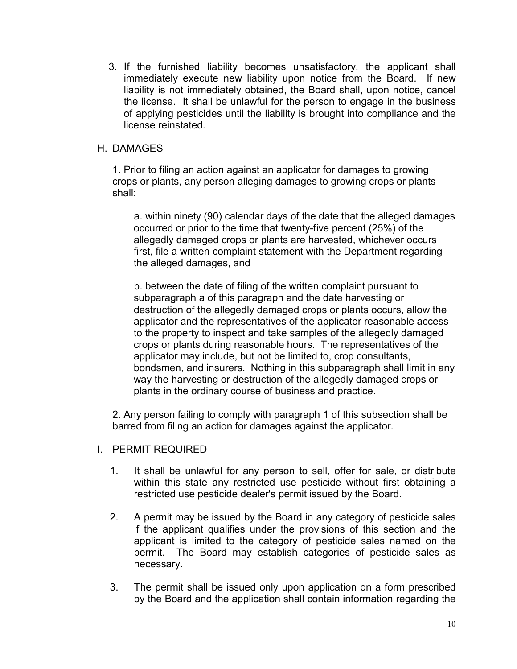3. If the furnished liability becomes unsatisfactory, the applicant shall immediately execute new liability upon notice from the Board. If new liability is not immediately obtained, the Board shall, upon notice, cancel the license. It shall be unlawful for the person to engage in the business of applying pesticides until the liability is brought into compliance and the license reinstated.

## H. DAMAGES –

1. Prior to filing an action against an applicator for damages to growing crops or plants, any person alleging damages to growing crops or plants shall:

a. within ninety (90) calendar days of the date that the alleged damages occurred or prior to the time that twenty-five percent (25%) of the allegedly damaged crops or plants are harvested, whichever occurs first, file a written complaint statement with the Department regarding the alleged damages, and

b. between the date of filing of the written complaint pursuant to subparagraph a of this paragraph and the date harvesting or destruction of the allegedly damaged crops or plants occurs, allow the applicator and the representatives of the applicator reasonable access to the property to inspect and take samples of the allegedly damaged crops or plants during reasonable hours. The representatives of the applicator may include, but not be limited to, crop consultants, bondsmen, and insurers. Nothing in this subparagraph shall limit in any way the harvesting or destruction of the allegedly damaged crops or plants in the ordinary course of business and practice.

2. Any person failing to comply with paragraph 1 of this subsection shall be barred from filing an action for damages against the applicator.

- I. PERMIT REQUIRED
	- 1. It shall be unlawful for any person to sell, offer for sale, or distribute within this state any restricted use pesticide without first obtaining a restricted use pesticide dealer's permit issued by the Board.
	- 2. A permit may be issued by the Board in any category of pesticide sales if the applicant qualifies under the provisions of this section and the applicant is limited to the category of pesticide sales named on the permit. The Board may establish categories of pesticide sales as necessary.
	- 3. The permit shall be issued only upon application on a form prescribed by the Board and the application shall contain information regarding the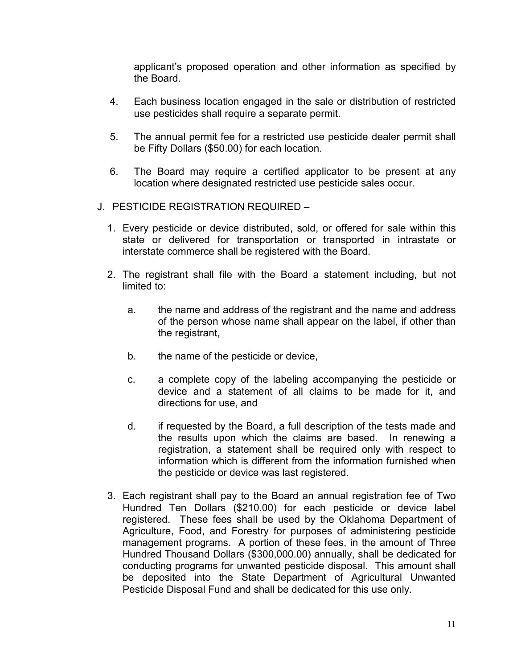applicant's proposed operation and other information as specified by the Board.

- 4. Each business location engaged in the sale or distribution of restricted use pesticides shall require a separate permit.
- 5. The annual permit fee for a restricted use pesticide dealer permit shall be Fifty Dollars (\$50.00) for each location.
- 6. The Board may require a certified applicator to be present at any location where designated restricted use pesticide sales occur.
- J. PESTICIDE REGISTRATION REQUIRED
	- 1. Every pesticide or device distributed, sold, or offered for sale within this state or delivered for transportation or transported in intrastate or interstate commerce shall be registered with the Board.
	- 2. The registrant shall file with the Board a statement including, but not limited to:
		- a. the name and address of the registrant and the name and address of the person whose name shall appear on the label, if other than the registrant,
		- b. the name of the pesticide or device,
		- c. a complete copy of the labeling accompanying the pesticide or device and a statement of all claims to be made for it, and directions for use, and
		- d. if requested by the Board, a full description of the tests made and the results upon which the claims are based. In renewing a registration, a statement shall be required only with respect to information which is different from the information furnished when the pesticide or device was last registered.
	- 3. Each registrant shall pay to the Board an annual registration fee of Two Hundred Ten Dollars (\$210.00) for each pesticide or device label registered. These fees shall be used by the Oklahoma Department of Agriculture, Food, and Forestry for purposes of administering pesticide management programs. A portion of these fees, in the amount of Three Hundred Thousand Dollars (\$300,000.00) annually, shall be dedicated for conducting programs for unwanted pesticide disposal. This amount shall be deposited into the State Department of Agricultural Unwanted Pesticide Disposal Fund and shall be dedicated for this use only.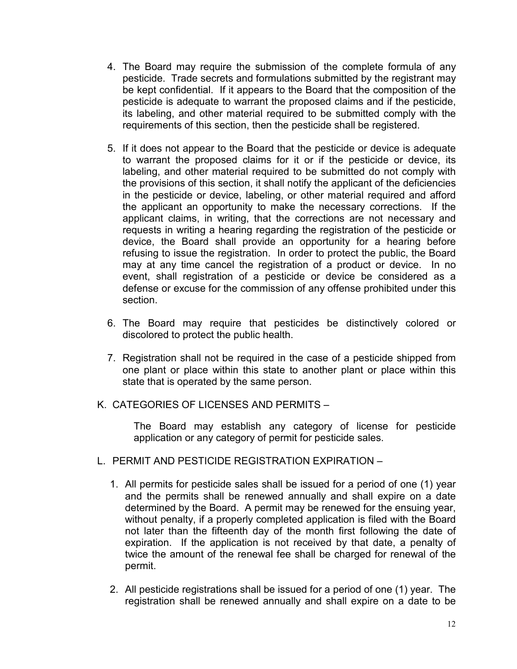- 4. The Board may require the submission of the complete formula of any pesticide. Trade secrets and formulations submitted by the registrant may be kept confidential. If it appears to the Board that the composition of the pesticide is adequate to warrant the proposed claims and if the pesticide, its labeling, and other material required to be submitted comply with the requirements of this section, then the pesticide shall be registered.
- 5. If it does not appear to the Board that the pesticide or device is adequate to warrant the proposed claims for it or if the pesticide or device, its labeling, and other material required to be submitted do not comply with the provisions of this section, it shall notify the applicant of the deficiencies in the pesticide or device, labeling, or other material required and afford the applicant an opportunity to make the necessary corrections. If the applicant claims, in writing, that the corrections are not necessary and requests in writing a hearing regarding the registration of the pesticide or device, the Board shall provide an opportunity for a hearing before refusing to issue the registration. In order to protect the public, the Board may at any time cancel the registration of a product or device. In no event, shall registration of a pesticide or device be considered as a defense or excuse for the commission of any offense prohibited under this section.
- 6. The Board may require that pesticides be distinctively colored or discolored to protect the public health.
- 7. Registration shall not be required in the case of a pesticide shipped from one plant or place within this state to another plant or place within this state that is operated by the same person.
- K. CATEGORIES OF LICENSES AND PERMITS –

The Board may establish any category of license for pesticide application or any category of permit for pesticide sales.

- L. PERMIT AND PESTICIDE REGISTRATION EXPIRATION
	- 1. All permits for pesticide sales shall be issued for a period of one (1) year and the permits shall be renewed annually and shall expire on a date determined by the Board. A permit may be renewed for the ensuing year, without penalty, if a properly completed application is filed with the Board not later than the fifteenth day of the month first following the date of expiration. If the application is not received by that date, a penalty of twice the amount of the renewal fee shall be charged for renewal of the permit.
	- 2. All pesticide registrations shall be issued for a period of one (1) year. The registration shall be renewed annually and shall expire on a date to be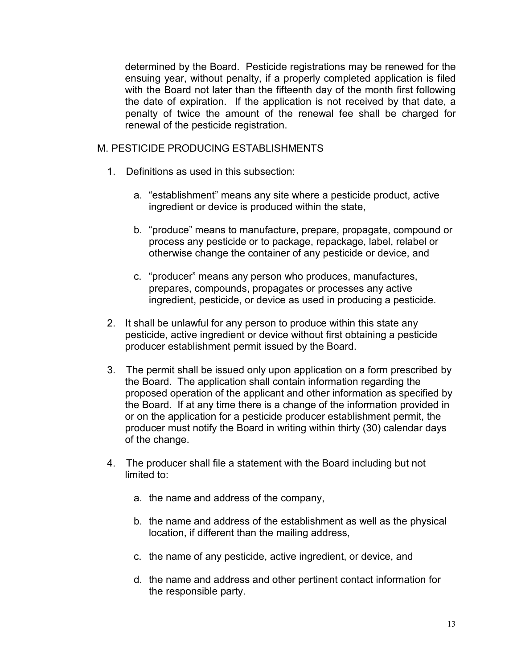determined by the Board. Pesticide registrations may be renewed for the ensuing year, without penalty, if a properly completed application is filed with the Board not later than the fifteenth day of the month first following the date of expiration. If the application is not received by that date, a penalty of twice the amount of the renewal fee shall be charged for renewal of the pesticide registration.

#### M. PESTICIDE PRODUCING ESTABLISHMENTS

- 1. Definitions as used in this subsection:
	- a. "establishment" means any site where a pesticide product, active ingredient or device is produced within the state,
	- b. "produce" means to manufacture, prepare, propagate, compound or process any pesticide or to package, repackage, label, relabel or otherwise change the container of any pesticide or device, and
	- c. "producer" means any person who produces, manufactures, prepares, compounds, propagates or processes any active ingredient, pesticide, or device as used in producing a pesticide.
- 2. It shall be unlawful for any person to produce within this state any pesticide, active ingredient or device without first obtaining a pesticide producer establishment permit issued by the Board.
- 3. The permit shall be issued only upon application on a form prescribed by the Board. The application shall contain information regarding the proposed operation of the applicant and other information as specified by the Board. If at any time there is a change of the information provided in or on the application for a pesticide producer establishment permit, the producer must notify the Board in writing within thirty (30) calendar days of the change.
- 4. The producer shall file a statement with the Board including but not limited to:
	- a. the name and address of the company,
	- b. the name and address of the establishment as well as the physical location, if different than the mailing address,
	- c. the name of any pesticide, active ingredient, or device, and
	- d. the name and address and other pertinent contact information for the responsible party.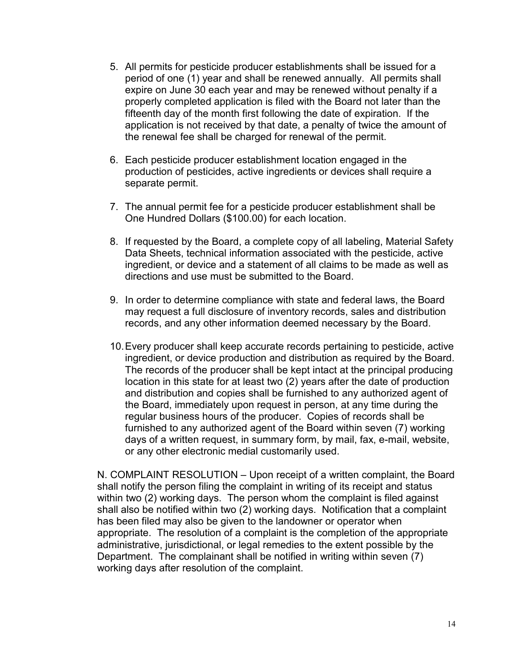- 5. All permits for pesticide producer establishments shall be issued for a period of one (1) year and shall be renewed annually. All permits shall expire on June 30 each year and may be renewed without penalty if a properly completed application is filed with the Board not later than the fifteenth day of the month first following the date of expiration. If the application is not received by that date, a penalty of twice the amount of the renewal fee shall be charged for renewal of the permit.
- 6. Each pesticide producer establishment location engaged in the production of pesticides, active ingredients or devices shall require a separate permit.
- 7. The annual permit fee for a pesticide producer establishment shall be One Hundred Dollars (\$100.00) for each location.
- 8. If requested by the Board, a complete copy of all labeling, Material Safety Data Sheets, technical information associated with the pesticide, active ingredient, or device and a statement of all claims to be made as well as directions and use must be submitted to the Board.
- 9. In order to determine compliance with state and federal laws, the Board may request a full disclosure of inventory records, sales and distribution records, and any other information deemed necessary by the Board.
- 10.Every producer shall keep accurate records pertaining to pesticide, active ingredient, or device production and distribution as required by the Board. The records of the producer shall be kept intact at the principal producing location in this state for at least two (2) years after the date of production and distribution and copies shall be furnished to any authorized agent of the Board, immediately upon request in person, at any time during the regular business hours of the producer. Copies of records shall be furnished to any authorized agent of the Board within seven (7) working days of a written request, in summary form, by mail, fax, e-mail, website, or any other electronic medial customarily used.

N. COMPLAINT RESOLUTION – Upon receipt of a written complaint, the Board shall notify the person filing the complaint in writing of its receipt and status within two (2) working days. The person whom the complaint is filed against shall also be notified within two (2) working days. Notification that a complaint has been filed may also be given to the landowner or operator when appropriate. The resolution of a complaint is the completion of the appropriate administrative, jurisdictional, or legal remedies to the extent possible by the Department. The complainant shall be notified in writing within seven (7) working days after resolution of the complaint.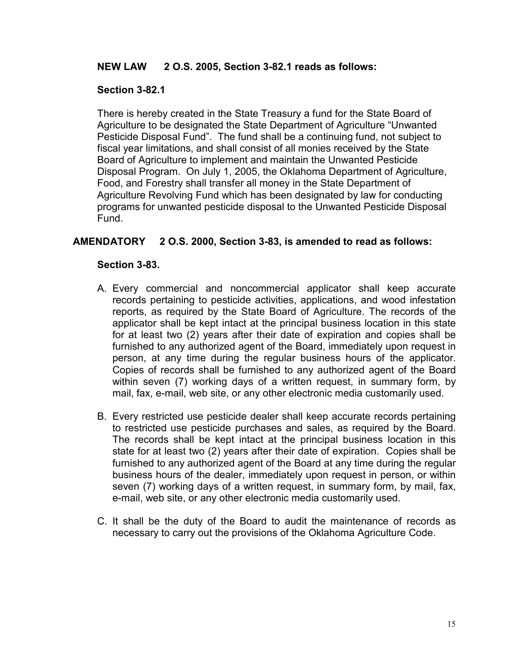## **NEW LAW 2 O.S. 2005, Section 3-82.1 reads as follows:**

## <span id="page-20-0"></span>**Section 3-82.1**

There is hereby created in the State Treasury a fund for the State Board of Agriculture to be designated the State Department of Agriculture "Unwanted Pesticide Disposal Fund". The fund shall be a continuing fund, not subject to fiscal year limitations, and shall consist of all monies received by the State Board of Agriculture to implement and maintain the Unwanted Pesticide Disposal Program. On July 1, 2005, the Oklahoma Department of Agriculture, Food, and Forestry shall transfer all money in the State Department of Agriculture Revolving Fund which has been designated by law for conducting programs for unwanted pesticide disposal to the Unwanted Pesticide Disposal Fund.

## <span id="page-20-1"></span>**AMENDATORY 2 O.S. 2000, Section 3-83, is amended to read as follows:**

## **Section 3-83.**

- A. Every commercial and noncommercial applicator shall keep accurate records pertaining to pesticide activities, applications, and wood infestation reports, as required by the State Board of Agriculture. The records of the applicator shall be kept intact at the principal business location in this state for at least two (2) years after their date of expiration and copies shall be furnished to any authorized agent of the Board, immediately upon request in person, at any time during the regular business hours of the applicator. Copies of records shall be furnished to any authorized agent of the Board within seven (7) working days of a written request, in summary form, by mail, fax, e-mail, web site, or any other electronic media customarily used.
- B. Every restricted use pesticide dealer shall keep accurate records pertaining to restricted use pesticide purchases and sales, as required by the Board. The records shall be kept intact at the principal business location in this state for at least two (2) years after their date of expiration. Copies shall be furnished to any authorized agent of the Board at any time during the regular business hours of the dealer, immediately upon request in person, or within seven (7) working days of a written request, in summary form, by mail, fax, e-mail, web site, or any other electronic media customarily used.
- <span id="page-20-2"></span>C. It shall be the duty of the Board to audit the maintenance of records as necessary to carry out the provisions of the Oklahoma Agriculture Code.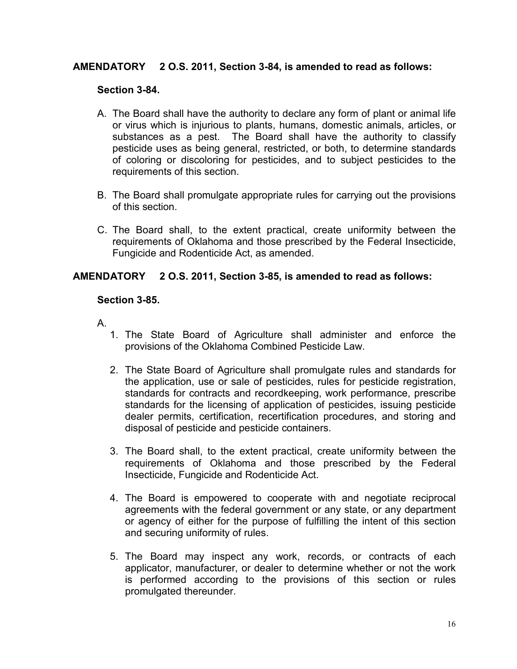## **AMENDATORY 2 O.S. 2011, Section 3-84, is amended to read as follows:**

#### **Section 3-84.**

- A. The Board shall have the authority to declare any form of plant or animal life or virus which is injurious to plants, humans, domestic animals, articles, or substances as a pest. The Board shall have the authority to classify pesticide uses as being general, restricted, or both, to determine standards of coloring or discoloring for pesticides, and to subject pesticides to the requirements of this section.
- B. The Board shall promulgate appropriate rules for carrying out the provisions of this section.
- C. The Board shall, to the extent practical, create uniformity between the requirements of Oklahoma and those prescribed by the Federal Insecticide, Fungicide and Rodenticide Act, as amended.

#### <span id="page-21-0"></span>**AMENDATORY 2 O.S. 2011, Section 3-85, is amended to read as follows:**

#### **Section 3-85.**

- A.
	- 1. The State Board of Agriculture shall administer and enforce the provisions of the Oklahoma Combined Pesticide Law.
	- 2. The State Board of Agriculture shall promulgate rules and standards for the application, use or sale of pesticides, rules for pesticide registration, standards for contracts and recordkeeping, work performance, prescribe standards for the licensing of application of pesticides, issuing pesticide dealer permits, certification, recertification procedures, and storing and disposal of pesticide and pesticide containers.
	- 3. The Board shall, to the extent practical, create uniformity between the requirements of Oklahoma and those prescribed by the Federal Insecticide, Fungicide and Rodenticide Act.
	- 4. The Board is empowered to cooperate with and negotiate reciprocal agreements with the federal government or any state, or any department or agency of either for the purpose of fulfilling the intent of this section and securing uniformity of rules.
	- 5. The Board may inspect any work, records, or contracts of each applicator, manufacturer, or dealer to determine whether or not the work is performed according to the provisions of this section or rules promulgated thereunder.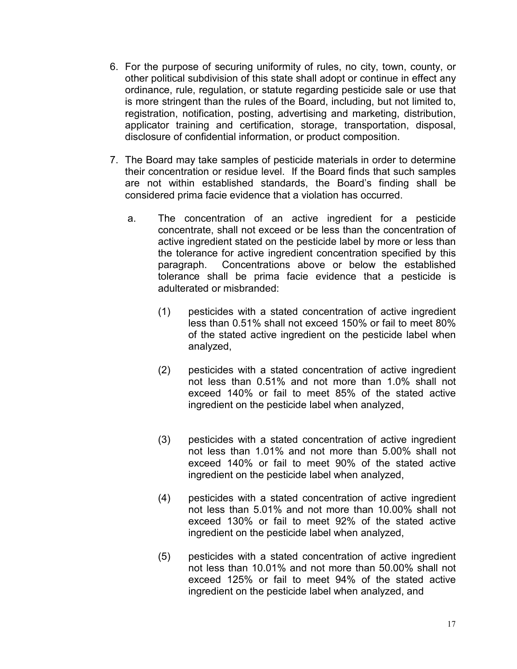- 6. For the purpose of securing uniformity of rules, no city, town, county, or other political subdivision of this state shall adopt or continue in effect any ordinance, rule, regulation, or statute regarding pesticide sale or use that is more stringent than the rules of the Board, including, but not limited to, registration, notification, posting, advertising and marketing, distribution, applicator training and certification, storage, transportation, disposal, disclosure of confidential information, or product composition.
- 7. The Board may take samples of pesticide materials in order to determine their concentration or residue level. If the Board finds that such samples are not within established standards, the Board's finding shall be considered prima facie evidence that a violation has occurred.
	- a. The concentration of an active ingredient for a pesticide concentrate, shall not exceed or be less than the concentration of active ingredient stated on the pesticide label by more or less than the tolerance for active ingredient concentration specified by this paragraph. Concentrations above or below the established tolerance shall be prima facie evidence that a pesticide is adulterated or misbranded:
		- (1) pesticides with a stated concentration of active ingredient less than 0.51% shall not exceed 150% or fail to meet 80% of the stated active ingredient on the pesticide label when analyzed,
		- (2) pesticides with a stated concentration of active ingredient not less than 0.51% and not more than 1.0% shall not exceed 140% or fail to meet 85% of the stated active ingredient on the pesticide label when analyzed,
		- (3) pesticides with a stated concentration of active ingredient not less than 1.01% and not more than 5.00% shall not exceed 140% or fail to meet 90% of the stated active ingredient on the pesticide label when analyzed,
		- (4) pesticides with a stated concentration of active ingredient not less than 5.01% and not more than 10.00% shall not exceed 130% or fail to meet 92% of the stated active ingredient on the pesticide label when analyzed,
		- (5) pesticides with a stated concentration of active ingredient not less than 10.01% and not more than 50.00% shall not exceed 125% or fail to meet 94% of the stated active ingredient on the pesticide label when analyzed, and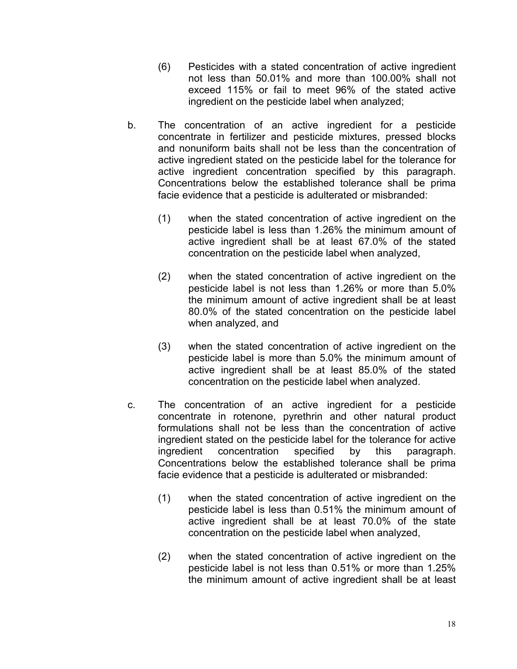- (6) Pesticides with a stated concentration of active ingredient not less than 50.01% and more than 100.00% shall not exceed 115% or fail to meet 96% of the stated active ingredient on the pesticide label when analyzed;
- b. The concentration of an active ingredient for a pesticide concentrate in fertilizer and pesticide mixtures, pressed blocks and nonuniform baits shall not be less than the concentration of active ingredient stated on the pesticide label for the tolerance for active ingredient concentration specified by this paragraph. Concentrations below the established tolerance shall be prima facie evidence that a pesticide is adulterated or misbranded:
	- (1) when the stated concentration of active ingredient on the pesticide label is less than 1.26% the minimum amount of active ingredient shall be at least 67.0% of the stated concentration on the pesticide label when analyzed,
	- (2) when the stated concentration of active ingredient on the pesticide label is not less than 1.26% or more than 5.0% the minimum amount of active ingredient shall be at least 80.0% of the stated concentration on the pesticide label when analyzed, and
	- (3) when the stated concentration of active ingredient on the pesticide label is more than 5.0% the minimum amount of active ingredient shall be at least 85.0% of the stated concentration on the pesticide label when analyzed.
- c. The concentration of an active ingredient for a pesticide concentrate in rotenone, pyrethrin and other natural product formulations shall not be less than the concentration of active ingredient stated on the pesticide label for the tolerance for active ingredient concentration specified by this paragraph. Concentrations below the established tolerance shall be prima facie evidence that a pesticide is adulterated or misbranded:
	- (1) when the stated concentration of active ingredient on the pesticide label is less than 0.51% the minimum amount of active ingredient shall be at least 70.0% of the state concentration on the pesticide label when analyzed,
	- (2) when the stated concentration of active ingredient on the pesticide label is not less than 0.51% or more than 1.25% the minimum amount of active ingredient shall be at least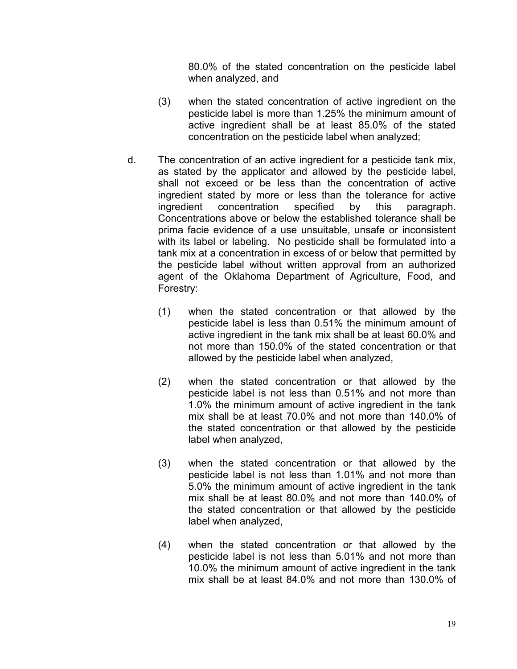80.0% of the stated concentration on the pesticide label when analyzed, and

- (3) when the stated concentration of active ingredient on the pesticide label is more than 1.25% the minimum amount of active ingredient shall be at least 85.0% of the stated concentration on the pesticide label when analyzed;
- d. The concentration of an active ingredient for a pesticide tank mix, as stated by the applicator and allowed by the pesticide label, shall not exceed or be less than the concentration of active ingredient stated by more or less than the tolerance for active ingredient concentration specified by this paragraph. concentration specified by this paragraph. Concentrations above or below the established tolerance shall be prima facie evidence of a use unsuitable, unsafe or inconsistent with its label or labeling. No pesticide shall be formulated into a tank mix at a concentration in excess of or below that permitted by the pesticide label without written approval from an authorized agent of the Oklahoma Department of Agriculture, Food, and Forestry:
	- (1) when the stated concentration or that allowed by the pesticide label is less than 0.51% the minimum amount of active ingredient in the tank mix shall be at least 60.0% and not more than 150.0% of the stated concentration or that allowed by the pesticide label when analyzed,
	- (2) when the stated concentration or that allowed by the pesticide label is not less than 0.51% and not more than 1.0% the minimum amount of active ingredient in the tank mix shall be at least 70.0% and not more than 140.0% of the stated concentration or that allowed by the pesticide label when analyzed,
	- (3) when the stated concentration or that allowed by the pesticide label is not less than 1.01% and not more than 5.0% the minimum amount of active ingredient in the tank mix shall be at least 80.0% and not more than 140.0% of the stated concentration or that allowed by the pesticide label when analyzed,
	- (4) when the stated concentration or that allowed by the pesticide label is not less than 5.01% and not more than 10.0% the minimum amount of active ingredient in the tank mix shall be at least 84.0% and not more than 130.0% of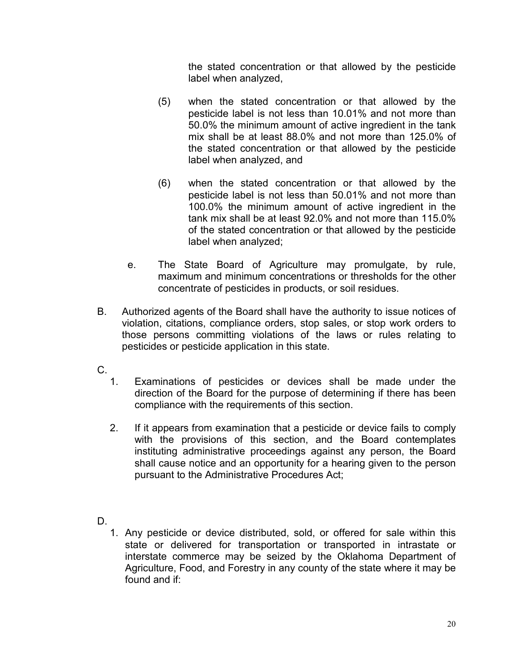the stated concentration or that allowed by the pesticide label when analyzed,

- (5) when the stated concentration or that allowed by the pesticide label is not less than 10.01% and not more than 50.0% the minimum amount of active ingredient in the tank mix shall be at least 88.0% and not more than 125.0% of the stated concentration or that allowed by the pesticide label when analyzed, and
- (6) when the stated concentration or that allowed by the pesticide label is not less than 50.01% and not more than 100.0% the minimum amount of active ingredient in the tank mix shall be at least 92.0% and not more than 115.0% of the stated concentration or that allowed by the pesticide label when analyzed;
- e. The State Board of Agriculture may promulgate, by rule, maximum and minimum concentrations or thresholds for the other concentrate of pesticides in products, or soil residues.
- B. Authorized agents of the Board shall have the authority to issue notices of violation, citations, compliance orders, stop sales, or stop work orders to those persons committing violations of the laws or rules relating to pesticides or pesticide application in this state.
- C.
	- 1. Examinations of pesticides or devices shall be made under the direction of the Board for the purpose of determining if there has been compliance with the requirements of this section.
	- 2. If it appears from examination that a pesticide or device fails to comply with the provisions of this section, and the Board contemplates instituting administrative proceedings against any person, the Board shall cause notice and an opportunity for a hearing given to the person pursuant to the Administrative Procedures Act;
- D.
	- 1. Any pesticide or device distributed, sold, or offered for sale within this state or delivered for transportation or transported in intrastate or interstate commerce may be seized by the Oklahoma Department of Agriculture, Food, and Forestry in any county of the state where it may be found and if: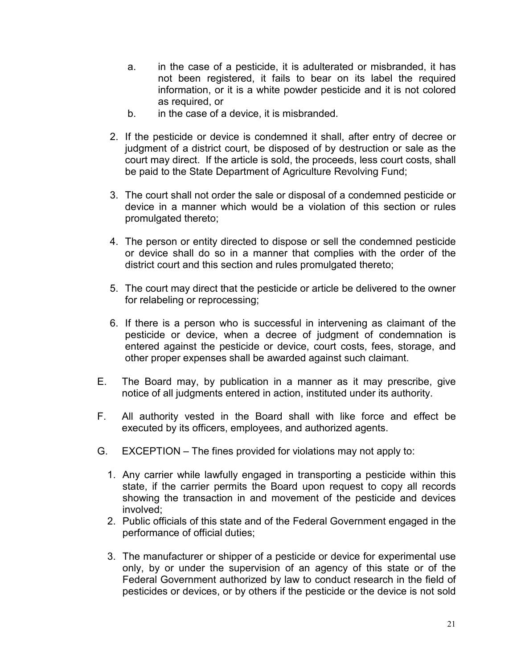- a. in the case of a pesticide, it is adulterated or misbranded, it has not been registered, it fails to bear on its label the required information, or it is a white powder pesticide and it is not colored as required, or
- b. in the case of a device, it is misbranded.
- 2. If the pesticide or device is condemned it shall, after entry of decree or judgment of a district court, be disposed of by destruction or sale as the court may direct. If the article is sold, the proceeds, less court costs, shall be paid to the State Department of Agriculture Revolving Fund;
- 3. The court shall not order the sale or disposal of a condemned pesticide or device in a manner which would be a violation of this section or rules promulgated thereto;
- 4. The person or entity directed to dispose or sell the condemned pesticide or device shall do so in a manner that complies with the order of the district court and this section and rules promulgated thereto;
- 5. The court may direct that the pesticide or article be delivered to the owner for relabeling or reprocessing;
- 6. If there is a person who is successful in intervening as claimant of the pesticide or device, when a decree of judgment of condemnation is entered against the pesticide or device, court costs, fees, storage, and other proper expenses shall be awarded against such claimant.
- E. The Board may, by publication in a manner as it may prescribe, give notice of all judgments entered in action, instituted under its authority.
- F. All authority vested in the Board shall with like force and effect be executed by its officers, employees, and authorized agents.
- G. EXCEPTION The fines provided for violations may not apply to:
	- 1. Any carrier while lawfully engaged in transporting a pesticide within this state, if the carrier permits the Board upon request to copy all records showing the transaction in and movement of the pesticide and devices involved;
	- 2. Public officials of this state and of the Federal Government engaged in the performance of official duties;
	- 3. The manufacturer or shipper of a pesticide or device for experimental use only, by or under the supervision of an agency of this state or of the Federal Government authorized by law to conduct research in the field of pesticides or devices, or by others if the pesticide or the device is not sold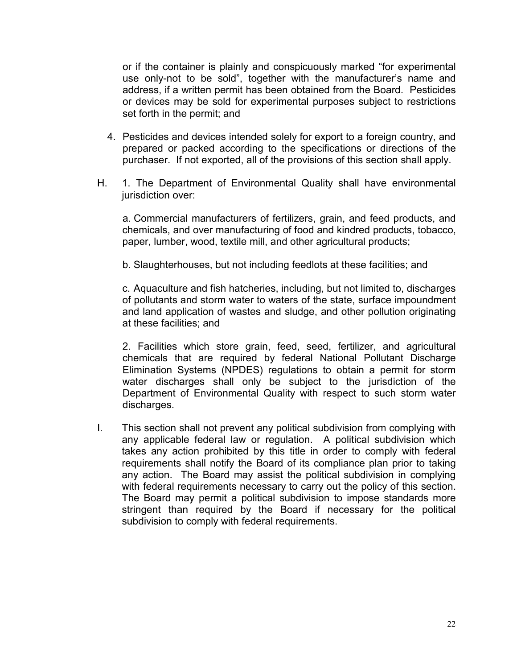or if the container is plainly and conspicuously marked "for experimental use only-not to be sold", together with the manufacturer's name and address, if a written permit has been obtained from the Board. Pesticides or devices may be sold for experimental purposes subject to restrictions set forth in the permit; and

- 4. Pesticides and devices intended solely for export to a foreign country, and prepared or packed according to the specifications or directions of the purchaser. If not exported, all of the provisions of this section shall apply.
- H. 1. The Department of Environmental Quality shall have environmental jurisdiction over:

a. Commercial manufacturers of fertilizers, grain, and feed products, and chemicals, and over manufacturing of food and kindred products, tobacco, paper, lumber, wood, textile mill, and other agricultural products;

b. Slaughterhouses, but not including feedlots at these facilities; and

c. Aquaculture and fish hatcheries, including, but not limited to, discharges of pollutants and storm water to waters of the state, surface impoundment and land application of wastes and sludge, and other pollution originating at these facilities; and

2. Facilities which store grain, feed, seed, fertilizer, and agricultural chemicals that are required by federal National Pollutant Discharge Elimination Systems (NPDES) regulations to obtain a permit for storm water discharges shall only be subject to the jurisdiction of the Department of Environmental Quality with respect to such storm water discharges.

<span id="page-27-0"></span>I. This section shall not prevent any political subdivision from complying with any applicable federal law or regulation. A political subdivision which takes any action prohibited by this title in order to comply with federal requirements shall notify the Board of its compliance plan prior to taking any action. The Board may assist the political subdivision in complying with federal requirements necessary to carry out the policy of this section. The Board may permit a political subdivision to impose standards more stringent than required by the Board if necessary for the political subdivision to comply with federal requirements.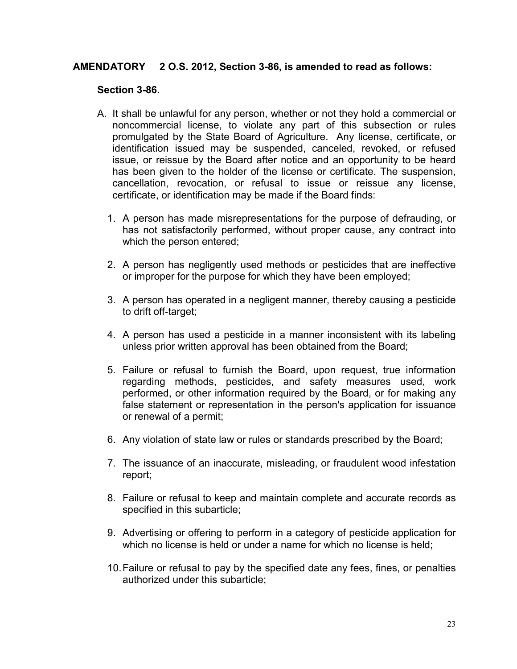## **AMENDATORY 2 O.S. 2012, Section 3-86, is amended to read as follows:**

#### **Section 3-86.**

- A. It shall be unlawful for any person, whether or not they hold a commercial or noncommercial license, to violate any part of this subsection or rules promulgated by the State Board of Agriculture. Any license, certificate, or identification issued may be suspended, canceled, revoked, or refused issue, or reissue by the Board after notice and an opportunity to be heard has been given to the holder of the license or certificate. The suspension, cancellation, revocation, or refusal to issue or reissue any license, certificate, or identification may be made if the Board finds:
	- 1. A person has made misrepresentations for the purpose of defrauding, or has not satisfactorily performed, without proper cause, any contract into which the person entered;
	- 2. A person has negligently used methods or pesticides that are ineffective or improper for the purpose for which they have been employed;
	- 3. A person has operated in a negligent manner, thereby causing a pesticide to drift off-target;
	- 4. A person has used a pesticide in a manner inconsistent with its labeling unless prior written approval has been obtained from the Board;
	- 5. Failure or refusal to furnish the Board, upon request, true information regarding methods, pesticides, and safety measures used, work performed, or other information required by the Board, or for making any false statement or representation in the person's application for issuance or renewal of a permit;
	- 6. Any violation of state law or rules or standards prescribed by the Board;
	- 7. The issuance of an inaccurate, misleading, or fraudulent wood infestation report;
	- 8. Failure or refusal to keep and maintain complete and accurate records as specified in this subarticle;
	- 9. Advertising or offering to perform in a category of pesticide application for which no license is held or under a name for which no license is held:
	- 10.Failure or refusal to pay by the specified date any fees, fines, or penalties authorized under this subarticle;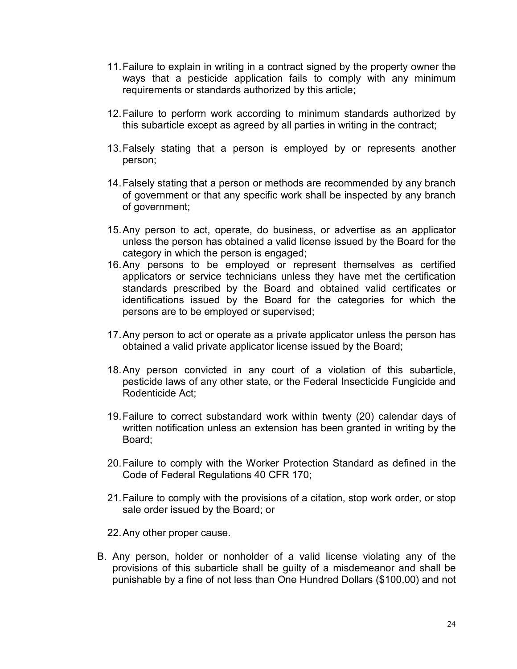- 11.Failure to explain in writing in a contract signed by the property owner the ways that a pesticide application fails to comply with any minimum requirements or standards authorized by this article;
- 12.Failure to perform work according to minimum standards authorized by this subarticle except as agreed by all parties in writing in the contract;
- 13.Falsely stating that a person is employed by or represents another person;
- 14.Falsely stating that a person or methods are recommended by any branch of government or that any specific work shall be inspected by any branch of government;
- 15.Any person to act, operate, do business, or advertise as an applicator unless the person has obtained a valid license issued by the Board for the category in which the person is engaged;
- 16.Any persons to be employed or represent themselves as certified applicators or service technicians unless they have met the certification standards prescribed by the Board and obtained valid certificates or identifications issued by the Board for the categories for which the persons are to be employed or supervised;
- 17.Any person to act or operate as a private applicator unless the person has obtained a valid private applicator license issued by the Board;
- 18.Any person convicted in any court of a violation of this subarticle, pesticide laws of any other state, or the Federal Insecticide Fungicide and Rodenticide Act;
- 19.Failure to correct substandard work within twenty (20) calendar days of written notification unless an extension has been granted in writing by the Board;
- 20.Failure to comply with the Worker Protection Standard as defined in the Code of Federal Regulations 40 CFR 170;
- 21.Failure to comply with the provisions of a citation, stop work order, or stop sale order issued by the Board; or

22.Any other proper cause.

B. Any person, holder or nonholder of a valid license violating any of the provisions of this subarticle shall be guilty of a misdemeanor and shall be punishable by a fine of not less than One Hundred Dollars (\$100.00) and not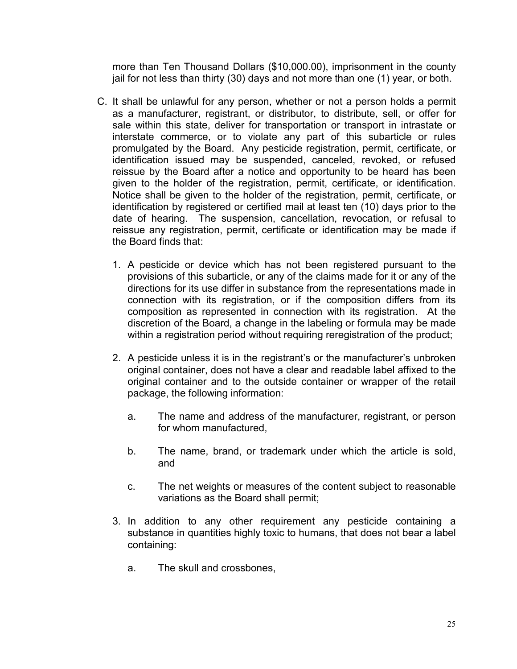more than Ten Thousand Dollars (\$10,000.00), imprisonment in the county jail for not less than thirty (30) days and not more than one (1) year, or both.

- C. It shall be unlawful for any person, whether or not a person holds a permit as a manufacturer, registrant, or distributor, to distribute, sell, or offer for sale within this state, deliver for transportation or transport in intrastate or interstate commerce, or to violate any part of this subarticle or rules promulgated by the Board. Any pesticide registration, permit, certificate, or identification issued may be suspended, canceled, revoked, or refused reissue by the Board after a notice and opportunity to be heard has been given to the holder of the registration, permit, certificate, or identification. Notice shall be given to the holder of the registration, permit, certificate, or identification by registered or certified mail at least ten (10) days prior to the date of hearing. The suspension, cancellation, revocation, or refusal to reissue any registration, permit, certificate or identification may be made if the Board finds that:
	- 1. A pesticide or device which has not been registered pursuant to the provisions of this subarticle, or any of the claims made for it or any of the directions for its use differ in substance from the representations made in connection with its registration, or if the composition differs from its composition as represented in connection with its registration. At the discretion of the Board, a change in the labeling or formula may be made within a registration period without requiring reregistration of the product;
	- 2. A pesticide unless it is in the registrant's or the manufacturer's unbroken original container, does not have a clear and readable label affixed to the original container and to the outside container or wrapper of the retail package, the following information:
		- a. The name and address of the manufacturer, registrant, or person for whom manufactured,
		- b. The name, brand, or trademark under which the article is sold, and
		- c. The net weights or measures of the content subject to reasonable variations as the Board shall permit;
	- 3. In addition to any other requirement any pesticide containing a substance in quantities highly toxic to humans, that does not bear a label containing:
		- a. The skull and crossbones,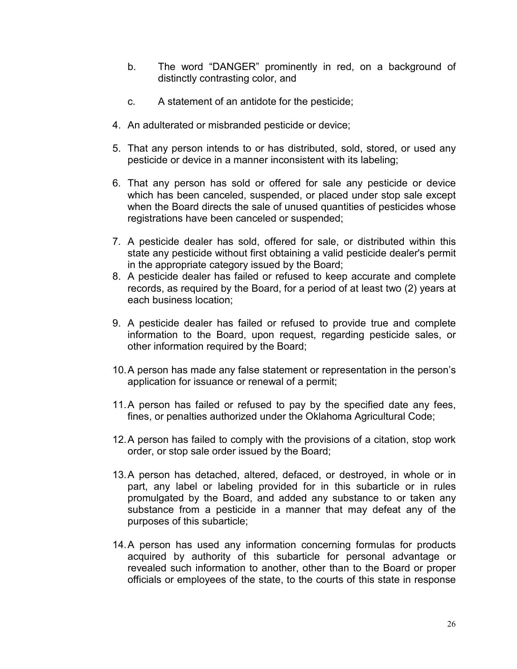- b. The word "DANGER" prominently in red, on a background of distinctly contrasting color, and
- c. A statement of an antidote for the pesticide;
- 4. An adulterated or misbranded pesticide or device;
- 5. That any person intends to or has distributed, sold, stored, or used any pesticide or device in a manner inconsistent with its labeling;
- 6. That any person has sold or offered for sale any pesticide or device which has been canceled, suspended, or placed under stop sale except when the Board directs the sale of unused quantities of pesticides whose registrations have been canceled or suspended;
- 7. A pesticide dealer has sold, offered for sale, or distributed within this state any pesticide without first obtaining a valid pesticide dealer's permit in the appropriate category issued by the Board;
- 8. A pesticide dealer has failed or refused to keep accurate and complete records, as required by the Board, for a period of at least two (2) years at each business location;
- 9. A pesticide dealer has failed or refused to provide true and complete information to the Board, upon request, regarding pesticide sales, or other information required by the Board;
- 10.A person has made any false statement or representation in the person's application for issuance or renewal of a permit;
- 11.A person has failed or refused to pay by the specified date any fees, fines, or penalties authorized under the Oklahoma Agricultural Code;
- 12.A person has failed to comply with the provisions of a citation, stop work order, or stop sale order issued by the Board;
- 13.A person has detached, altered, defaced, or destroyed, in whole or in part, any label or labeling provided for in this subarticle or in rules promulgated by the Board, and added any substance to or taken any substance from a pesticide in a manner that may defeat any of the purposes of this subarticle;
- 14.A person has used any information concerning formulas for products acquired by authority of this subarticle for personal advantage or revealed such information to another, other than to the Board or proper officials or employees of the state, to the courts of this state in response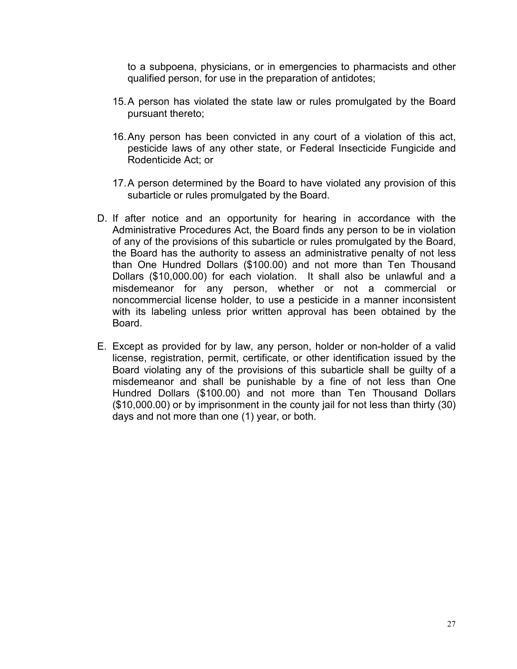to a subpoena, physicians, or in emergencies to pharmacists and other qualified person, for use in the preparation of antidotes;

- 15.A person has violated the state law or rules promulgated by the Board pursuant thereto;
- 16.Any person has been convicted in any court of a violation of this act, pesticide laws of any other state, or Federal Insecticide Fungicide and Rodenticide Act; or
- 17.A person determined by the Board to have violated any provision of this subarticle or rules promulgated by the Board.
- D. If after notice and an opportunity for hearing in accordance with the Administrative Procedures Act, the Board finds any person to be in violation of any of the provisions of this subarticle or rules promulgated by the Board, the Board has the authority to assess an administrative penalty of not less than One Hundred Dollars (\$100.00) and not more than Ten Thousand Dollars (\$10,000.00) for each violation. It shall also be unlawful and a misdemeanor for any person, whether or not a commercial or noncommercial license holder, to use a pesticide in a manner inconsistent with its labeling unless prior written approval has been obtained by the Board.
- E. Except as provided for by law, any person, holder or non-holder of a valid license, registration, permit, certificate, or other identification issued by the Board violating any of the provisions of this subarticle shall be guilty of a misdemeanor and shall be punishable by a fine of not less than One Hundred Dollars (\$100.00) and not more than Ten Thousand Dollars (\$10,000.00) or by imprisonment in the county jail for not less than thirty (30) days and not more than one (1) year, or both.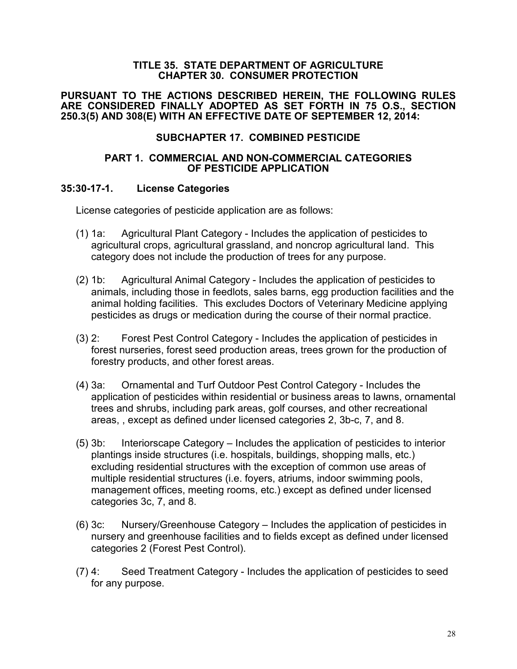#### **TITLE 35. STATE DEPARTMENT OF AGRICULTURE CHAPTER 30. CONSUMER PROTECTION**

#### **PURSUANT TO THE ACTIONS DESCRIBED HEREIN, THE FOLLOWING RULES ARE CONSIDERED FINALLY ADOPTED AS SET FORTH IN 75 O.S., SECTION 250.3(5) AND 308(E) WITH AN EFFECTIVE DATE OF SEPTEMBER 12, 2014:**

## **SUBCHAPTER 17. COMBINED PESTICIDE**

#### **PART 1. COMMERCIAL AND NON-COMMERCIAL CATEGORIES OF PESTICIDE APPLICATION**

#### <span id="page-33-0"></span>**35:30-17-1. License Categories**

License categories of pesticide application are as follows:

- (1) 1a: Agricultural Plant Category Includes the application of pesticides to agricultural crops, agricultural grassland, and noncrop agricultural land. This category does not include the production of trees for any purpose.
- (2) 1b: Agricultural Animal Category Includes the application of pesticides to animals, including those in feedlots, sales barns, egg production facilities and the animal holding facilities. This excludes Doctors of Veterinary Medicine applying pesticides as drugs or medication during the course of their normal practice.
- (3) 2: Forest Pest Control Category Includes the application of pesticides in forest nurseries, forest seed production areas, trees grown for the production of forestry products, and other forest areas.
- (4) 3a: Ornamental and Turf Outdoor Pest Control Category Includes the application of pesticides within residential or business areas to lawns, ornamental trees and shrubs, including park areas, golf courses, and other recreational areas, , except as defined under licensed categories 2, 3b-c, 7, and 8.
- (5) 3b: Interiorscape Category Includes the application of pesticides to interior plantings inside structures (i.e. hospitals, buildings, shopping malls, etc.) excluding residential structures with the exception of common use areas of multiple residential structures (i.e. foyers, atriums, indoor swimming pools, management offices, meeting rooms, etc.) except as defined under licensed categories 3c, 7, and 8.
- (6) 3c: Nursery/Greenhouse Category Includes the application of pesticides in nursery and greenhouse facilities and to fields except as defined under licensed categories 2 (Forest Pest Control).
- (7) 4: Seed Treatment Category Includes the application of pesticides to seed for any purpose.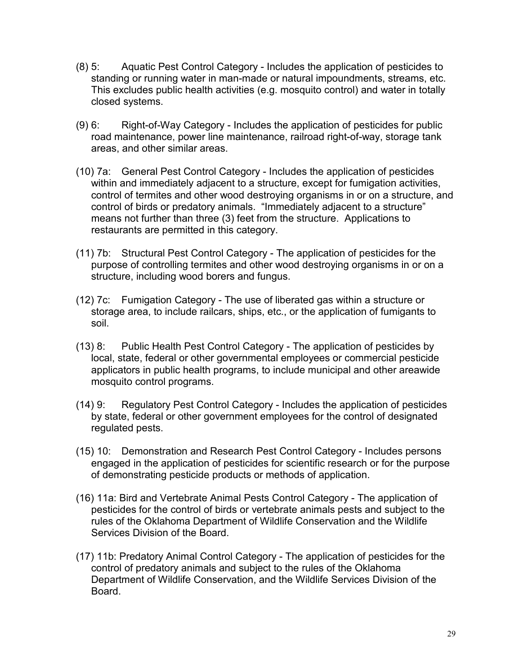- (8) 5: Aquatic Pest Control Category Includes the application of pesticides to standing or running water in man-made or natural impoundments, streams, etc. This excludes public health activities (e.g. mosquito control) and water in totally closed systems.
- (9) 6: Right-of-Way Category Includes the application of pesticides for public road maintenance, power line maintenance, railroad right-of-way, storage tank areas, and other similar areas.
- (10) 7a: General Pest Control Category Includes the application of pesticides within and immediately adjacent to a structure, except for fumigation activities, control of termites and other wood destroying organisms in or on a structure, and control of birds or predatory animals. "Immediately adjacent to a structure" means not further than three (3) feet from the structure. Applications to restaurants are permitted in this category.
- (11) 7b: Structural Pest Control Category The application of pesticides for the purpose of controlling termites and other wood destroying organisms in or on a structure, including wood borers and fungus.
- (12) 7c: Fumigation Category The use of liberated gas within a structure or storage area, to include railcars, ships, etc., or the application of fumigants to soil.
- (13) 8: Public Health Pest Control Category The application of pesticides by local, state, federal or other governmental employees or commercial pesticide applicators in public health programs, to include municipal and other areawide mosquito control programs.
- (14) 9: Regulatory Pest Control Category Includes the application of pesticides by state, federal or other government employees for the control of designated regulated pests.
- (15) 10: Demonstration and Research Pest Control Category Includes persons engaged in the application of pesticides for scientific research or for the purpose of demonstrating pesticide products or methods of application.
- (16) 11a: Bird and Vertebrate Animal Pests Control Category The application of pesticides for the control of birds or vertebrate animals pests and subject to the rules of the Oklahoma Department of Wildlife Conservation and the Wildlife Services Division of the Board.
- (17) 11b: Predatory Animal Control Category The application of pesticides for the control of predatory animals and subject to the rules of the Oklahoma Department of Wildlife Conservation, and the Wildlife Services Division of the Board.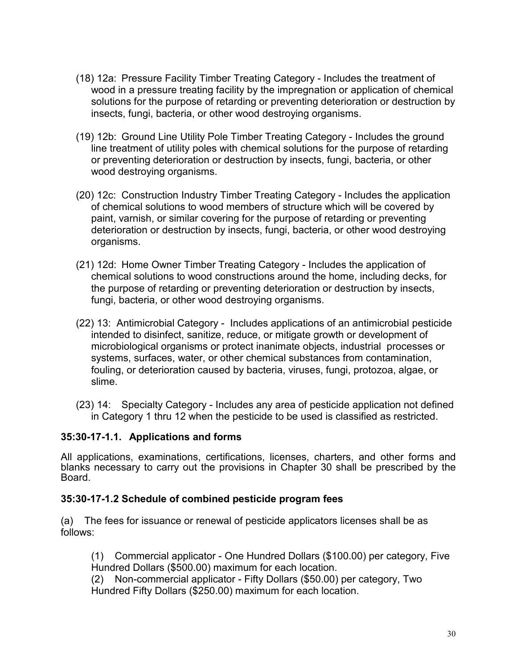- (18) 12a: Pressure Facility Timber Treating Category Includes the treatment of wood in a pressure treating facility by the impregnation or application of chemical solutions for the purpose of retarding or preventing deterioration or destruction by insects, fungi, bacteria, or other wood destroying organisms.
- (19) 12b: Ground Line Utility Pole Timber Treating Category Includes the ground line treatment of utility poles with chemical solutions for the purpose of retarding or preventing deterioration or destruction by insects, fungi, bacteria, or other wood destroying organisms.
- (20) 12c: Construction Industry Timber Treating Category Includes the application of chemical solutions to wood members of structure which will be covered by paint, varnish, or similar covering for the purpose of retarding or preventing deterioration or destruction by insects, fungi, bacteria, or other wood destroying organisms.
- (21) 12d: Home Owner Timber Treating Category Includes the application of chemical solutions to wood constructions around the home, including decks, for the purpose of retarding or preventing deterioration or destruction by insects, fungi, bacteria, or other wood destroying organisms.
- (22) 13: Antimicrobial Category Includes applications of an antimicrobial pesticide intended to disinfect, sanitize, reduce, or mitigate growth or development of microbiological organisms or protect inanimate objects, industrial processes or systems, surfaces, water, or other chemical substances from contamination, fouling, or deterioration caused by bacteria, viruses, fungi, protozoa, algae, or slime.
- (23) 14: Specialty Category Includes any area of pesticide application not defined in Category 1 thru 12 when the pesticide to be used is classified as restricted.

## <span id="page-35-0"></span>**35:30-17-1.1. Applications and forms**

All applications, examinations, certifications, licenses, charters, and other forms and blanks necessary to carry out the provisions in Chapter 30 shall be prescribed by the Board.

## <span id="page-35-1"></span>**35:30-17-1.2 Schedule of combined pesticide program fees**

(a) The fees for issuance or renewal of pesticide applicators licenses shall be as follows:

(1) Commercial applicator - One Hundred Dollars (\$100.00) per category, Five Hundred Dollars (\$500.00) maximum for each location.

(2) Non-commercial applicator - Fifty Dollars (\$50.00) per category, Two Hundred Fifty Dollars (\$250.00) maximum for each location.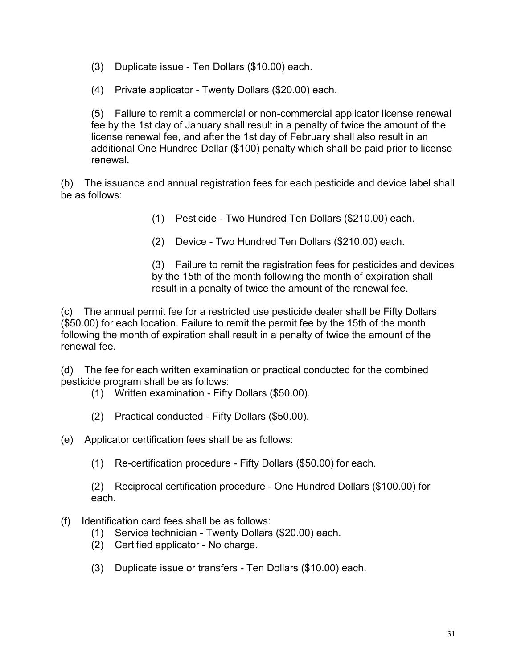(3) Duplicate issue - Ten Dollars (\$10.00) each.

(4) Private applicator - Twenty Dollars (\$20.00) each.

(5) Failure to remit a commercial or non-commercial applicator license renewal fee by the 1st day of January shall result in a penalty of twice the amount of the license renewal fee, and after the 1st day of February shall also result in an additional One Hundred Dollar (\$100) penalty which shall be paid prior to license renewal.

(b) The issuance and annual registration fees for each pesticide and device label shall be as follows:

- (1) Pesticide Two Hundred Ten Dollars (\$210.00) each.
- (2) Device Two Hundred Ten Dollars (\$210.00) each.

(3) Failure to remit the registration fees for pesticides and devices by the 15th of the month following the month of expiration shall result in a penalty of twice the amount of the renewal fee.

(c) The annual permit fee for a restricted use pesticide dealer shall be Fifty Dollars (\$50.00) for each location. Failure to remit the permit fee by the 15th of the month following the month of expiration shall result in a penalty of twice the amount of the renewal fee.

(d) The fee for each written examination or practical conducted for the combined pesticide program shall be as follows:

- (1) Written examination Fifty Dollars (\$50.00).
- (2) Practical conducted Fifty Dollars (\$50.00).

(e) Applicator certification fees shall be as follows:

(1) Re-certification procedure - Fifty Dollars (\$50.00) for each.

(2) Reciprocal certification procedure - One Hundred Dollars (\$100.00) for each.

- (f) Identification card fees shall be as follows:
	- (1) Service technician Twenty Dollars (\$20.00) each.
	- (2) Certified applicator No charge.
	- (3) Duplicate issue or transfers Ten Dollars (\$10.00) each.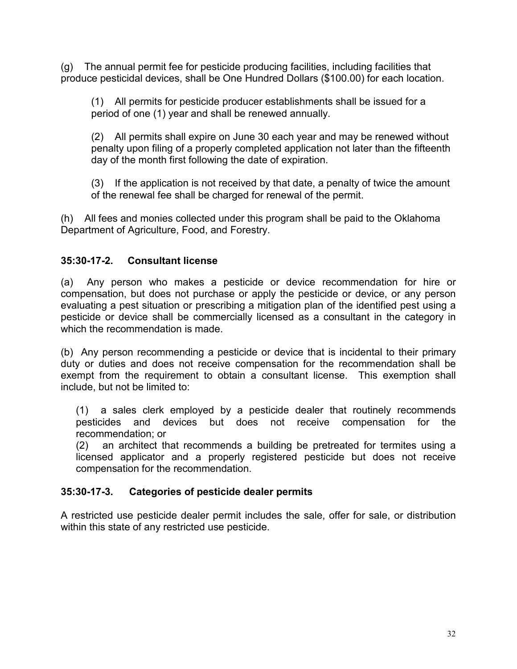(g) The annual permit fee for pesticide producing facilities, including facilities that produce pesticidal devices, shall be One Hundred Dollars (\$100.00) for each location.

(1) All permits for pesticide producer establishments shall be issued for a period of one (1) year and shall be renewed annually.

(2) All permits shall expire on June 30 each year and may be renewed without penalty upon filing of a properly completed application not later than the fifteenth day of the month first following the date of expiration.

(3) If the application is not received by that date, a penalty of twice the amount of the renewal fee shall be charged for renewal of the permit.

(h) All fees and monies collected under this program shall be paid to the Oklahoma Department of Agriculture, Food, and Forestry.

# **35:30-17-2. Consultant license**

(a) Any person who makes a pesticide or device recommendation for hire or compensation, but does not purchase or apply the pesticide or device, or any person evaluating a pest situation or prescribing a mitigation plan of the identified pest using a pesticide or device shall be commercially licensed as a consultant in the category in which the recommendation is made.

(b) Any person recommending a pesticide or device that is incidental to their primary duty or duties and does not receive compensation for the recommendation shall be exempt from the requirement to obtain a consultant license. This exemption shall include, but not be limited to:

(1) a sales clerk employed by a pesticide dealer that routinely recommends pesticides and devices but does not receive compensation for the recommendation; or

(2) an architect that recommends a building be pretreated for termites using a licensed applicator and a properly registered pesticide but does not receive compensation for the recommendation.

# **35:30-17-3. Categories of pesticide dealer permits**

A restricted use pesticide dealer permit includes the sale, offer for sale, or distribution within this state of any restricted use pesticide.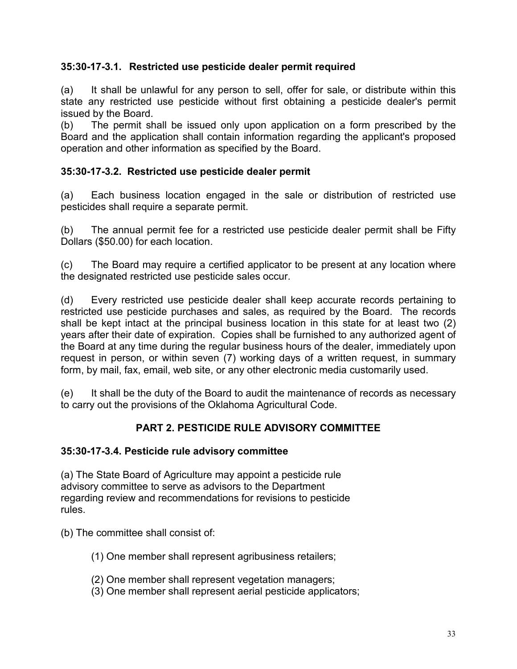# **35:30-17-3.1. Restricted use pesticide dealer permit required**

(a) It shall be unlawful for any person to sell, offer for sale, or distribute within this state any restricted use pesticide without first obtaining a pesticide dealer's permit issued by the Board.

(b) The permit shall be issued only upon application on a form prescribed by the Board and the application shall contain information regarding the applicant's proposed operation and other information as specified by the Board.

## **35:30-17-3.2. Restricted use pesticide dealer permit**

(a) Each business location engaged in the sale or distribution of restricted use pesticides shall require a separate permit.

(b) The annual permit fee for a restricted use pesticide dealer permit shall be Fifty Dollars (\$50.00) for each location.

(c) The Board may require a certified applicator to be present at any location where the designated restricted use pesticide sales occur.

(d) Every restricted use pesticide dealer shall keep accurate records pertaining to restricted use pesticide purchases and sales, as required by the Board. The records shall be kept intact at the principal business location in this state for at least two (2) years after their date of expiration. Copies shall be furnished to any authorized agent of the Board at any time during the regular business hours of the dealer, immediately upon request in person, or within seven (7) working days of a written request, in summary form, by mail, fax, email, web site, or any other electronic media customarily used.

(e) It shall be the duty of the Board to audit the maintenance of records as necessary to carry out the provisions of the Oklahoma Agricultural Code.

# **PART 2. PESTICIDE RULE ADVISORY COMMITTEE**

## **35:30-17-3.4. Pesticide rule advisory committee**

(a) The State Board of Agriculture may appoint a pesticide rule advisory committee to serve as advisors to the Department regarding review and recommendations for revisions to pesticide rules.

(b) The committee shall consist of:

- (1) One member shall represent agribusiness retailers;
- (2) One member shall represent vegetation managers;
- (3) One member shall represent aerial pesticide applicators;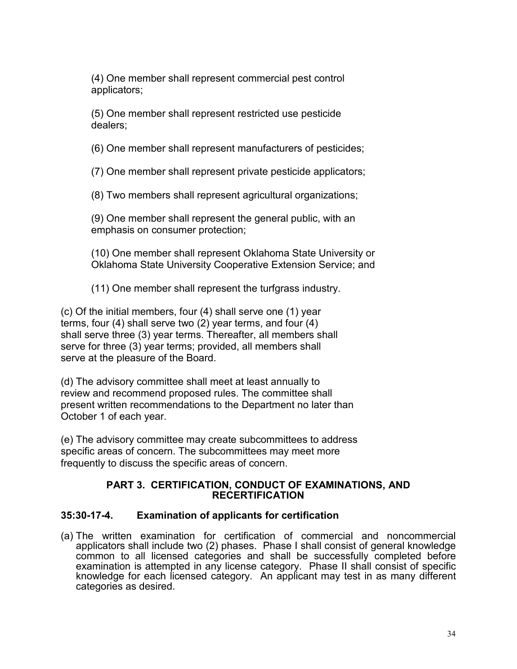(4) One member shall represent commercial pest control applicators;

(5) One member shall represent restricted use pesticide dealers;

(6) One member shall represent manufacturers of pesticides;

(7) One member shall represent private pesticide applicators;

(8) Two members shall represent agricultural organizations;

(9) One member shall represent the general public, with an emphasis on consumer protection;

(10) One member shall represent Oklahoma State University or Oklahoma State University Cooperative Extension Service; and

(11) One member shall represent the turfgrass industry.

(c) Of the initial members, four (4) shall serve one (1) year terms, four (4) shall serve two (2) year terms, and four (4) shall serve three (3) year terms. Thereafter, all members shall serve for three (3) year terms; provided, all members shall serve at the pleasure of the Board.

(d) The advisory committee shall meet at least annually to review and recommend proposed rules. The committee shall present written recommendations to the Department no later than October 1 of each year.

(e) The advisory committee may create subcommittees to address specific areas of concern. The subcommittees may meet more frequently to discuss the specific areas of concern.

#### **PART 3. CERTIFICATION, CONDUCT OF EXAMINATIONS, AND RECERTIFICATION**

# **35:30-17-4. Examination of applicants for certification**

(a) The written examination for certification of commercial and noncommercial applicators shall include two (2) phases. Phase I shall consist of general knowledge common to all licensed categories and shall be successfully completed before examination is attempted in any license category. Phase II shall consist of specific knowledge for each licensed category. An applicant may test in as many different categories as desired.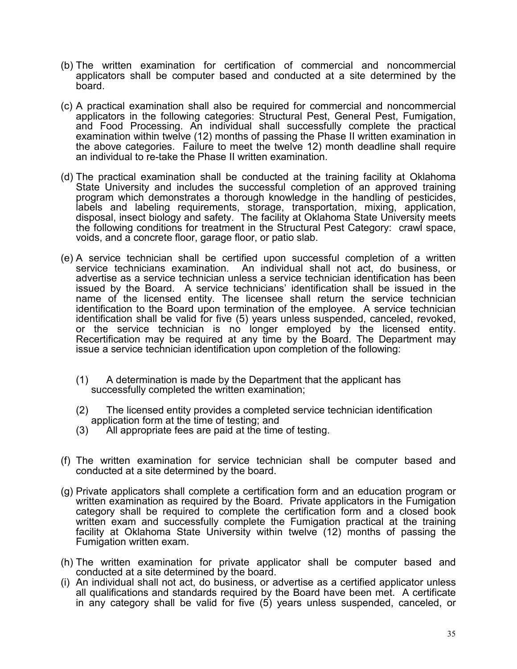- (b) The written examination for certification of commercial and noncommercial applicators shall be computer based and conducted at a site determined by the board.
- (c) A practical examination shall also be required for commercial and noncommercial applicators in the following categories: Structural Pest, General Pest, Fumigation, and Food Processing. An individual shall successfully complete the practical examination within twelve (12) months of passing the Phase II written examination in the above categories. Failure to meet the twelve 12) month deadline shall require an individual to re-take the Phase II written examination.
- (d) The practical examination shall be conducted at the training facility at Oklahoma State University and includes the successful completion of an approved training program which demonstrates a thorough knowledge in the handling of pesticides, labels and labeling requirements, storage, transportation, mixing, application, disposal, insect biology and safety. The facility at Oklahoma State University meets the following conditions for treatment in the Structural Pest Category: crawl space, voids, and a concrete floor, garage floor, or patio slab.
- (e) A service technician shall be certified upon successful completion of a written service technicians examination. An individual shall not act, do business, or advertise as a service technician unless a service technician identification has been issued by the Board. A service technicians' identification shall be issued in the name of the licensed entity. The licensee shall return the service technician identification to the Board upon termination of the employee. A service technician identification shall be valid for five (5) years unless suspended, canceled, revoked, or the service technician is no longer employed by the licensed entity. Recertification may be required at any time by the Board. The Department may issue a service technician identification upon completion of the following:
	- (1) A determination is made by the Department that the applicant has successfully completed the written examination;
	- (2) The licensed entity provides a completed service technician identification application form at the time of testing; and
	- (3) All appropriate fees are paid at the time of testing.
- (f) The written examination for service technician shall be computer based and conducted at a site determined by the board.
- (g) Private applicators shall complete a certification form and an education program or written examination as required by the Board. Private applicators in the Fumigation category shall be required to complete the certification form and a closed book written exam and successfully complete the Fumigation practical at the training facility at Oklahoma State University within twelve (12) months of passing the Fumigation written exam.
- (h) The written examination for private applicator shall be computer based and conducted at a site determined by the board.
- (i) An individual shall not act, do business, or advertise as a certified applicator unless all qualifications and standards required by the Board have been met. A certificate in any category shall be valid for five (5) years unless suspended, canceled, or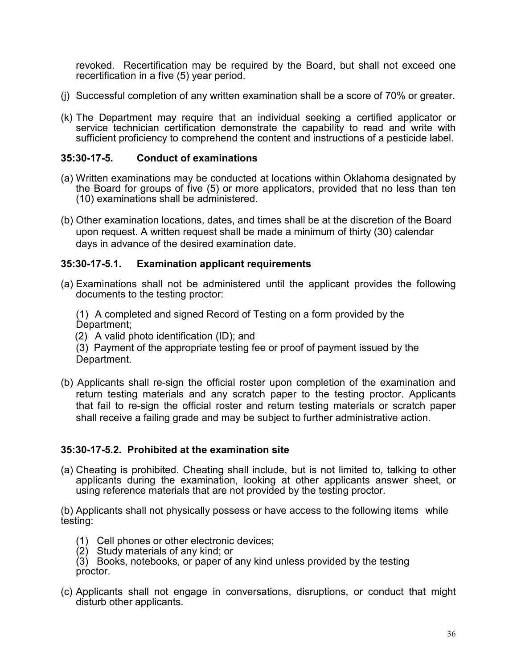revoked. Recertification may be required by the Board, but shall not exceed one recertification in a five (5) year period.

- (j) Successful completion of any written examination shall be a score of 70% or greater.
- (k) The Department may require that an individual seeking a certified applicator or service technician certification demonstrate the capability to read and write with sufficient proficiency to comprehend the content and instructions of a pesticide label.

#### **35:30-17-5. Conduct of examinations**

- (a) Written examinations may be conducted at locations within Oklahoma designated by the Board for groups of five (5) or more applicators, provided that no less than ten (10) examinations shall be administered.
- (b) Other examination locations, dates, and times shall be at the discretion of the Board upon request. A written request shall be made a minimum of thirty (30) calendar days in advance of the desired examination date.

#### **35:30-17-5.1. Examination applicant requirements**

(a) Examinations shall not be administered until the applicant provides the following documents to the testing proctor:

(1) A completed and signed Record of Testing on a form provided by the Department;

(2) A valid photo identification (ID); and

 (3) Payment of the appropriate testing fee or proof of payment issued by the Department.

(b) Applicants shall re-sign the official roster upon completion of the examination and return testing materials and any scratch paper to the testing proctor. Applicants that fail to re-sign the official roster and return testing materials or scratch paper shall receive a failing grade and may be subject to further administrative action.

#### **35:30-17-5.2. Prohibited at the examination site**

(a) Cheating is prohibited. Cheating shall include, but is not limited to, talking to other applicants during the examination, looking at other applicants answer sheet, or using reference materials that are not provided by the testing proctor.

(b) Applicants shall not physically possess or have access to the following items while testing:

- (1) Cell phones or other electronic devices;
- (2) Study materials of any kind; or

(3) Books, notebooks, or paper of any kind unless provided by the testing proctor.

(c) Applicants shall not engage in conversations, disruptions, or conduct that might disturb other applicants.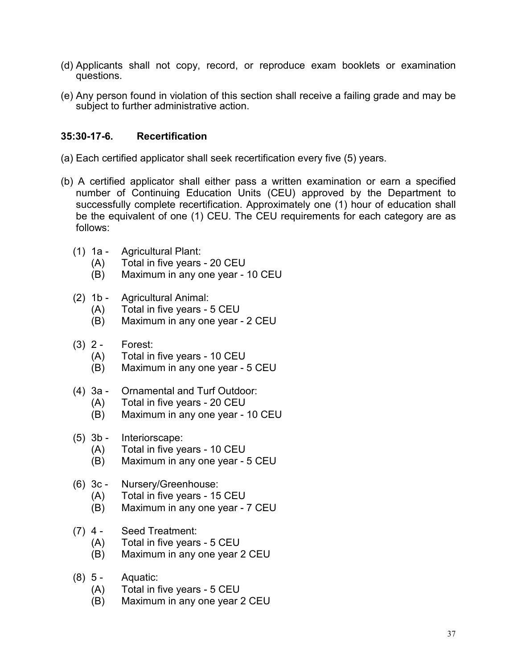- (d) Applicants shall not copy, record, or reproduce exam booklets or examination questions.
- (e) Any person found in violation of this section shall receive a failing grade and may be subject to further administrative action.

## **35:30-17-6. Recertification**

- (a) Each certified applicator shall seek recertification every five (5) years.
- (b) A certified applicator shall either pass a written examination or earn a specified number of Continuing Education Units (CEU) approved by the Department to successfully complete recertification. Approximately one (1) hour of education shall be the equivalent of one (1) CEU. The CEU requirements for each category are as follows:
	- (1) 1a Agricultural Plant:
		- (A) Total in five years 20 CEU
		- (B) Maximum in any one year 10 CEU
	- (2) 1b Agricultural Animal:
		- (A) Total in five years 5 CEU
		- (B) Maximum in any one year 2 CEU
	- (3) 2 Forest:
		- (A) Total in five years 10 CEU
		- (B) Maximum in any one year 5 CEU
	- (4) 3a Ornamental and Turf Outdoor:
		- (A) Total in five years 20 CEU
		- (B) Maximum in any one year 10 CEU
	- (5) 3b Interiorscape:
		- (A) Total in five years 10 CEU<br>(B) Maximum in any one year -
		- Maximum in any one year 5 CEU

# (6) 3c - Nursery/Greenhouse:

- (A) Total in five years 15 CEU
- (B) Maximum in any one year 7 CEU
- (7) 4 Seed Treatment:
	- (A) Total in five years 5 CEU
	- (B) Maximum in any one year 2 CEU
- (8) 5 Aquatic:
	- (A) Total in five years 5 CEU
	- (B) Maximum in any one year 2 CEU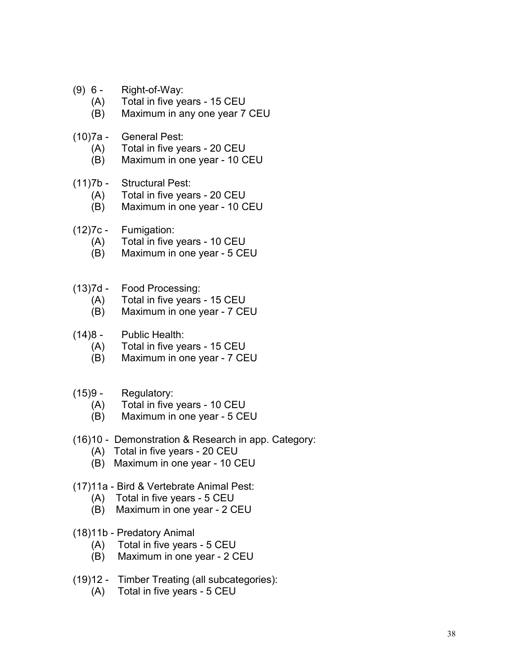- (9) 6 Right-of-Way:
	- (A) Total in five years 15 CEU
	- (B) Maximum in any one year 7 CEU
- (10)7a General Pest:
	- (A) Total in five years 20 CEU
	- (B) Maximum in one year 10 CEU
- (11)7b Structural Pest:
	- (A) Total in five years 20 CEU
	- (B) Maximum in one year 10 CEU
- (12)7c Fumigation:
	- (A) Total in five years 10 CEU
	- (B) Maximum in one year 5 CEU
- (13)7d Food Processing:
	- (A) Total in five years 15 CEU
	- (B) Maximum in one year 7 CEU
- (14)8 Public Health:
	- (A) Total in five years 15 CEU
	- (B) Maximum in one year 7 CEU
- (15)9 Regulatory:
	- (A) Total in five years 10 CEU
	- (B) Maximum in one year 5 CEU
- (16)10 Demonstration & Research in app. Category:
	- (A) Total in five years 20 CEU
	- (B) Maximum in one year 10 CEU
- (17)11a Bird & Vertebrate Animal Pest:
	- (A) Total in five years 5 CEU
	- (B) Maximum in one year 2 CEU
- (18)11b Predatory Animal
	- (A) Total in five years 5 CEU
	- (B) Maximum in one year 2 CEU
- (19)12 Timber Treating (all subcategories):
	- (A) Total in five years 5 CEU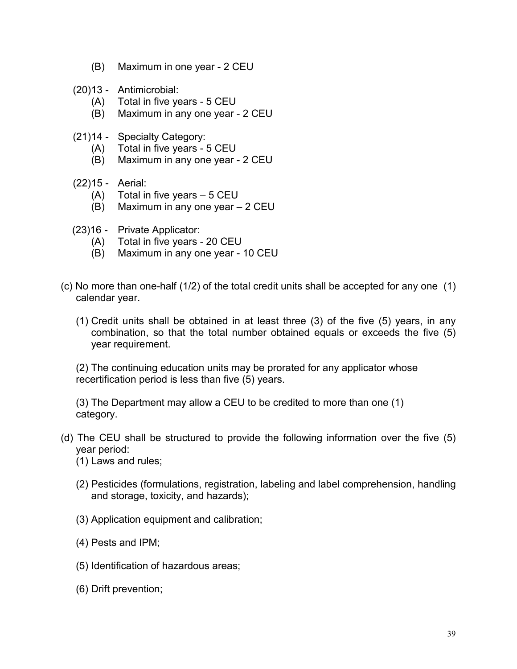- (B) Maximum in one year 2 CEU
- (20)13 Antimicrobial:
	- (A) Total in five years 5 CEU
	- (B) Maximum in any one year 2 CEU
- (21)14 Specialty Category:
	- (A) Total in five years 5 CEU
	- (B) Maximum in any one year 2 CEU
- (22)15 Aerial:
	- (A) Total in five years 5 CEU
	- (B) Maximum in any one year 2 CEU
- (23)16 Private Applicator:
	- (A) Total in five years 20 CEU
	- (B) Maximum in any one year 10 CEU
- (c) No more than one-half (1/2) of the total credit units shall be accepted for any one (1) calendar year.
	- (1) Credit units shall be obtained in at least three (3) of the five (5) years, in any combination, so that the total number obtained equals or exceeds the five (5) year requirement.

(2) The continuing education units may be prorated for any applicator whose recertification period is less than five (5) years.

(3) The Department may allow a CEU to be credited to more than one (1) category.

- (d) The CEU shall be structured to provide the following information over the five (5) year period:
	- (1) Laws and rules;
	- (2) Pesticides (formulations, registration, labeling and label comprehension, handling and storage, toxicity, and hazards);
	- (3) Application equipment and calibration;
	- (4) Pests and IPM;
	- (5) Identification of hazardous areas;
	- (6) Drift prevention;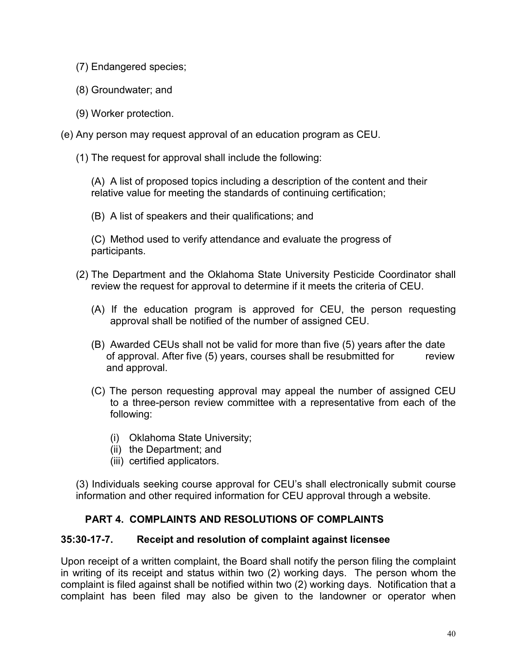- (7) Endangered species;
- (8) Groundwater; and
- (9) Worker protection.
- (e) Any person may request approval of an education program as CEU.
	- (1) The request for approval shall include the following:

(A) A list of proposed topics including a description of the content and their relative value for meeting the standards of continuing certification;

(B) A list of speakers and their qualifications; and

(C) Method used to verify attendance and evaluate the progress of participants.

- (2) The Department and the Oklahoma State University Pesticide Coordinator shall review the request for approval to determine if it meets the criteria of CEU.
	- (A) If the education program is approved for CEU, the person requesting approval shall be notified of the number of assigned CEU.
	- (B) Awarded CEUs shall not be valid for more than five (5) years after the date of approval. After five (5) years, courses shall be resubmitted for review and approval.
	- (C) The person requesting approval may appeal the number of assigned CEU to a three-person review committee with a representative from each of the following:
		- (i) Oklahoma State University;
		- (ii) the Department; and
		- (iii) certified applicators.

(3) Individuals seeking course approval for CEU's shall electronically submit course information and other required information for CEU approval through a website.

# **PART 4. COMPLAINTS AND RESOLUTIONS OF COMPLAINTS**

## **35:30-17-7. Receipt and resolution of complaint against licensee**

Upon receipt of a written complaint, the Board shall notify the person filing the complaint in writing of its receipt and status within two (2) working days. The person whom the complaint is filed against shall be notified within two (2) working days. Notification that a complaint has been filed may also be given to the landowner or operator when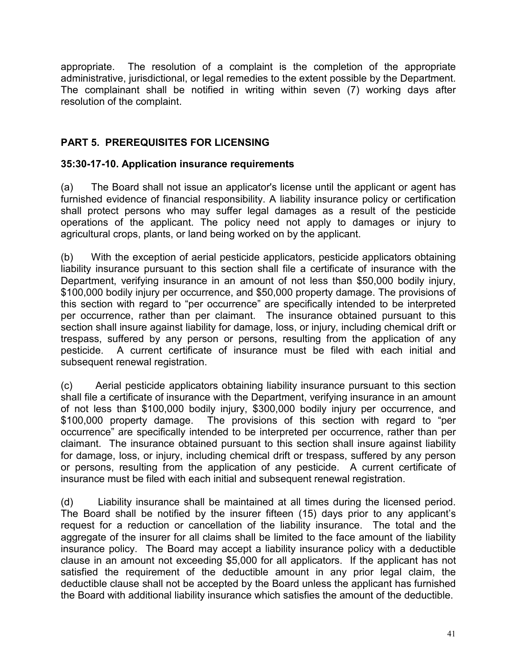appropriate. The resolution of a complaint is the completion of the appropriate administrative, jurisdictional, or legal remedies to the extent possible by the Department. The complainant shall be notified in writing within seven (7) working days after resolution of the complaint.

# **PART 5. PREREQUISITES FOR LICENSING**

# **35:30-17-10. Application insurance requirements**

(a) The Board shall not issue an applicator's license until the applicant or agent has furnished evidence of financial responsibility. A liability insurance policy or certification shall protect persons who may suffer legal damages as a result of the pesticide operations of the applicant. The policy need not apply to damages or injury to agricultural crops, plants, or land being worked on by the applicant.

(b) With the exception of aerial pesticide applicators, pesticide applicators obtaining liability insurance pursuant to this section shall file a certificate of insurance with the Department, verifying insurance in an amount of not less than \$50,000 bodily injury, \$100,000 bodily injury per occurrence, and \$50,000 property damage. The provisions of this section with regard to "per occurrence" are specifically intended to be interpreted per occurrence, rather than per claimant. The insurance obtained pursuant to this section shall insure against liability for damage, loss, or injury, including chemical drift or trespass, suffered by any person or persons, resulting from the application of any pesticide. A current certificate of insurance must be filed with each initial and subsequent renewal registration.

(c) Aerial pesticide applicators obtaining liability insurance pursuant to this section shall file a certificate of insurance with the Department, verifying insurance in an amount of not less than \$100,000 bodily injury, \$300,000 bodily injury per occurrence, and \$100,000 property damage. The provisions of this section with regard to "per occurrence" are specifically intended to be interpreted per occurrence, rather than per claimant. The insurance obtained pursuant to this section shall insure against liability for damage, loss, or injury, including chemical drift or trespass, suffered by any person or persons, resulting from the application of any pesticide. A current certificate of insurance must be filed with each initial and subsequent renewal registration.

(d) Liability insurance shall be maintained at all times during the licensed period. The Board shall be notified by the insurer fifteen (15) days prior to any applicant's request for a reduction or cancellation of the liability insurance. The total and the aggregate of the insurer for all claims shall be limited to the face amount of the liability insurance policy. The Board may accept a liability insurance policy with a deductible clause in an amount not exceeding \$5,000 for all applicators. If the applicant has not satisfied the requirement of the deductible amount in any prior legal claim, the deductible clause shall not be accepted by the Board unless the applicant has furnished the Board with additional liability insurance which satisfies the amount of the deductible.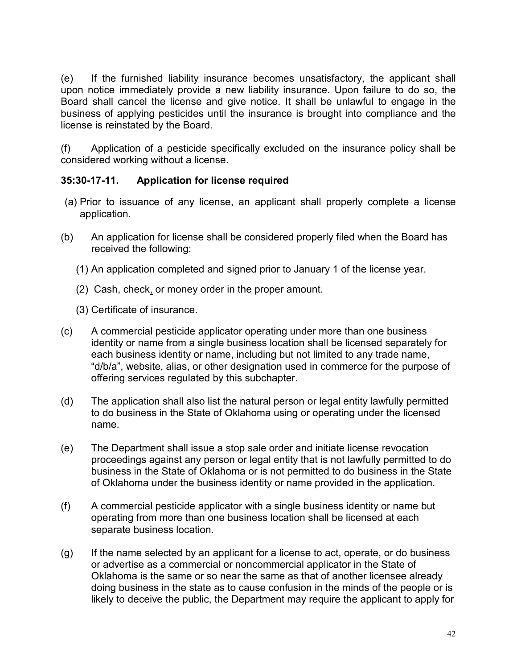(e) If the furnished liability insurance becomes unsatisfactory, the applicant shall upon notice immediately provide a new liability insurance. Upon failure to do so, the Board shall cancel the license and give notice. It shall be unlawful to engage in the business of applying pesticides until the insurance is brought into compliance and the license is reinstated by the Board.

(f) Application of a pesticide specifically excluded on the insurance policy shall be considered working without a license.

# **35:30-17-11. Application for license required**

- (a) Prior to issuance of any license, an applicant shall properly complete a license application.
- (b) An application for license shall be considered properly filed when the Board has received the following:
	- (1) An application completed and signed prior to January 1 of the license year.
	- (2) Cash, check, or money order in the proper amount.
	- (3) Certificate of insurance.
- (c) A commercial pesticide applicator operating under more than one business identity or name from a single business location shall be licensed separately for each business identity or name, including but not limited to any trade name, "d/b/a", website, alias, or other designation used in commerce for the purpose of offering services regulated by this subchapter.
- (d) The application shall also list the natural person or legal entity lawfully permitted to do business in the State of Oklahoma using or operating under the licensed name.
- (e) The Department shall issue a stop sale order and initiate license revocation proceedings against any person or legal entity that is not lawfully permitted to do business in the State of Oklahoma or is not permitted to do business in the State of Oklahoma under the business identity or name provided in the application.
- (f) A commercial pesticide applicator with a single business identity or name but operating from more than one business location shall be licensed at each separate business location.
- (g) If the name selected by an applicant for a license to act, operate, or do business or advertise as a commercial or noncommercial applicator in the State of Oklahoma is the same or so near the same as that of another licensee already doing business in the state as to cause confusion in the minds of the people or is likely to deceive the public, the Department may require the applicant to apply for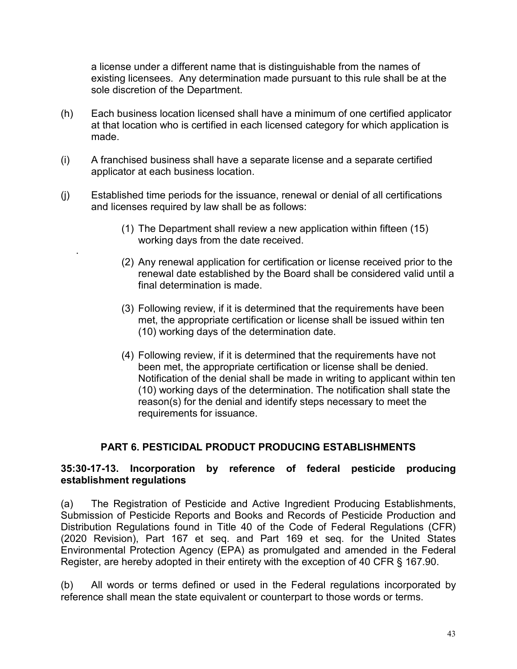a license under a different name that is distinguishable from the names of existing licensees. Any determination made pursuant to this rule shall be at the sole discretion of the Department.

- (h) Each business location licensed shall have a minimum of one certified applicator at that location who is certified in each licensed category for which application is made.
- (i) A franchised business shall have a separate license and a separate certified applicator at each business location.
- (j) Established time periods for the issuance, renewal or denial of all certifications and licenses required by law shall be as follows:

.

- (1) The Department shall review a new application within fifteen (15) working days from the date received.
- (2) Any renewal application for certification or license received prior to the renewal date established by the Board shall be considered valid until a final determination is made.
- (3) Following review, if it is determined that the requirements have been met, the appropriate certification or license shall be issued within ten (10) working days of the determination date.
- (4) Following review, if it is determined that the requirements have not been met, the appropriate certification or license shall be denied. Notification of the denial shall be made in writing to applicant within ten (10) working days of the determination. The notification shall state the reason(s) for the denial and identify steps necessary to meet the requirements for issuance.

# **PART 6. PESTICIDAL PRODUCT PRODUCING ESTABLISHMENTS**

## **35:30-17-13. Incorporation by reference of federal pesticide producing establishment regulations**

(a) The Registration of Pesticide and Active Ingredient Producing Establishments, Submission of Pesticide Reports and Books and Records of Pesticide Production and Distribution Regulations found in Title 40 of the Code of Federal Regulations (CFR) (2020 Revision), Part 167 et seq. and Part 169 et seq. for the United States Environmental Protection Agency (EPA) as promulgated and amended in the Federal Register, are hereby adopted in their entirety with the exception of 40 CFR § 167.90.

(b) All words or terms defined or used in the Federal regulations incorporated by reference shall mean the state equivalent or counterpart to those words or terms.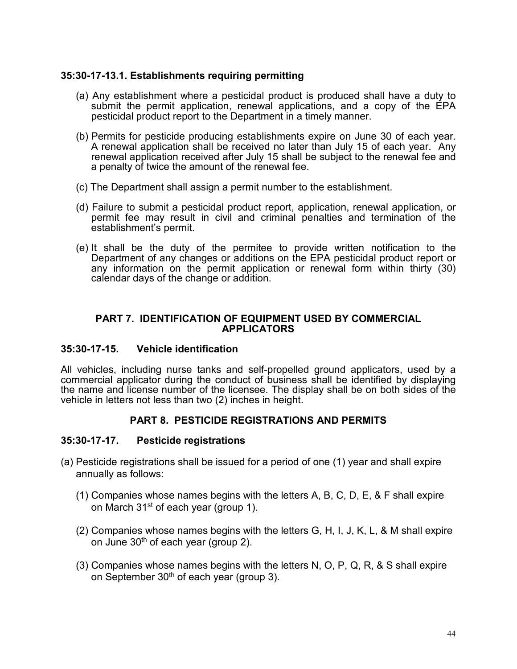## **35:30-17-13.1. Establishments requiring permitting**

- (a) Any establishment where a pesticidal product is produced shall have a duty to submit the permit application, renewal applications, and a copy of the EPA pesticidal product report to the Department in a timely manner.
- (b) Permits for pesticide producing establishments expire on June 30 of each year. A renewal application shall be received no later than July 15 of each year. Any renewal application received after July 15 shall be subject to the renewal fee and a penalty of twice the amount of the renewal fee.
- (c) The Department shall assign a permit number to the establishment.
- (d) Failure to submit a pesticidal product report, application, renewal application, or permit fee may result in civil and criminal penalties and termination of the establishment's permit.
- (e) It shall be the duty of the permitee to provide written notification to the Department of any changes or additions on the EPA pesticidal product report or any information on the permit application or renewal form within thirty (30) calendar days of the change or addition.

#### **PART 7. IDENTIFICATION OF EQUIPMENT USED BY COMMERCIAL APPLICATORS**

#### **35:30-17-15. Vehicle identification**

All vehicles, including nurse tanks and self-propelled ground applicators, used by a commercial applicator during the conduct of business shall be identified by displaying the name and license number of the licensee. The display shall be on both sides of the vehicle in letters not less than two (2) inches in height.

## **PART 8. PESTICIDE REGISTRATIONS AND PERMITS**

#### **35:30-17-17. Pesticide registrations**

- (a) Pesticide registrations shall be issued for a period of one (1) year and shall expire annually as follows:
	- (1) Companies whose names begins with the letters A, B, C, D, E, & F shall expire on March 31st of each year (group 1).
	- (2) Companies whose names begins with the letters G, H, I, J, K, L, & M shall expire on June  $30<sup>th</sup>$  of each year (group 2).
	- (3) Companies whose names begins with the letters N, O, P, Q, R, & S shall expire on September 30<sup>th</sup> of each year (group 3).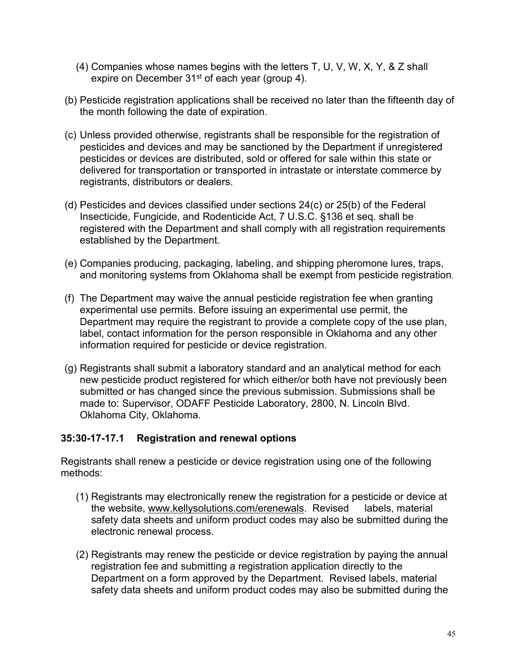- (4) Companies whose names begins with the letters T, U, V, W, X, Y, & Z shall expire on December 31<sup>st</sup> of each year (group 4).
- (b) Pesticide registration applications shall be received no later than the fifteenth day of the month following the date of expiration.
- (c) Unless provided otherwise, registrants shall be responsible for the registration of pesticides and devices and may be sanctioned by the Department if unregistered pesticides or devices are distributed, sold or offered for sale within this state or delivered for transportation or transported in intrastate or interstate commerce by registrants, distributors or dealers.
- (d) Pesticides and devices classified under sections 24(c) or 25(b) of the Federal Insecticide, Fungicide, and Rodenticide Act, 7 U.S.C. §136 et seq. shall be registered with the Department and shall comply with all registration requirements established by the Department.
- (e) Companies producing, packaging, labeling, and shipping pheromone lures, traps, and monitoring systems from Oklahoma shall be exempt from pesticide registration.
- (f) The Department may waive the annual pesticide registration fee when granting experimental use permits. Before issuing an experimental use permit, the Department may require the registrant to provide a complete copy of the use plan, label, contact information for the person responsible in Oklahoma and any other information required for pesticide or device registration.
- (g) Registrants shall submit a laboratory standard and an analytical method for each new pesticide product registered for which either/or both have not previously been submitted or has changed since the previous submission. Submissions shall be made to: Supervisor, ODAFF Pesticide Laboratory, 2800, N. Lincoln Blvd. Oklahoma City, Oklahoma.

# **35:30-17-17.1 Registration and renewal options**

Registrants shall renew a pesticide or device registration using one of the following methods:

- (1) Registrants may electronically renew the registration for a pesticide or device at the website, [www.kellysolutions.com/erenewals.](http://www.kellysolutions.com/erenewals) Revised labels, material safety data sheets and uniform product codes may also be submitted during the electronic renewal process.
- (2) Registrants may renew the pesticide or device registration by paying the annual registration fee and submitting a registration application directly to the Department on a form approved by the Department. Revised labels, material safety data sheets and uniform product codes may also be submitted during the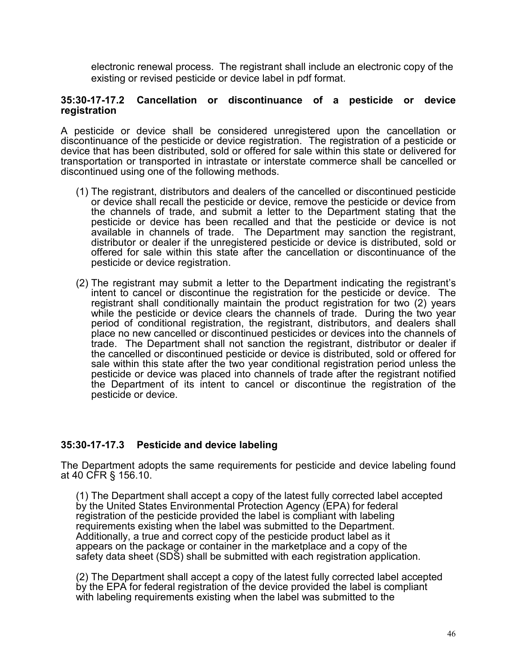electronic renewal process. The registrant shall include an electronic copy of the existing or revised pesticide or device label in pdf format.

#### **35:30-17-17.2 Cancellation or discontinuance of a pesticide or device registration**

A pesticide or device shall be considered unregistered upon the cancellation or discontinuance of the pesticide or device registration. The registration of a pesticide or device that has been distributed, sold or offered for sale within this state or delivered for transportation or transported in intrastate or interstate commerce shall be cancelled or discontinued using one of the following methods.

- (1) The registrant, distributors and dealers of the cancelled or discontinued pesticide or device shall recall the pesticide or device, remove the pesticide or device from the channels of trade, and submit a letter to the Department stating that the pesticide or device has been recalled and that the pesticide or device is not available in channels of trade. The Department may sanction the registrant, distributor or dealer if the unregistered pesticide or device is distributed, sold or offered for sale within this state after the cancellation or discontinuance of the pesticide or device registration.
- (2) The registrant may submit a letter to the Department indicating the registrant's intent to cancel or discontinue the registration for the pesticide or device. The registrant shall conditionally maintain the product registration for two (2) years while the pesticide or device clears the channels of trade. During the two year period of conditional registration, the registrant, distributors, and dealers shall place no new cancelled or discontinued pesticides or devices into the channels of trade. The Department shall not sanction the registrant, distributor or dealer if the cancelled or discontinued pesticide or device is distributed, sold or offered for sale within this state after the two year conditional registration period unless the pesticide or device was placed into channels of trade after the registrant notified the Department of its intent to cancel or discontinue the registration of the pesticide or device.

## **35:30-17-17.3 Pesticide and device labeling**

The Department adopts the same requirements for pesticide and device labeling found at 40 CFR § 156.10.

(1) The Department shall accept a copy of the latest fully corrected label accepted by the United States Environmental Protection Agency (EPA) for federal registration of the pesticide provided the label is compliant with labeling requirements existing when the label was submitted to the Department. Additionally, a true and correct copy of the pesticide product label as it appears on the package or container in the marketplace and a copy of the safety data sheet (SDS) shall be submitted with each registration application.

(2) The Department shall accept a copy of the latest fully corrected label accepted by the EPA for federal registration of the device provided the label is compliant with labeling requirements existing when the label was submitted to the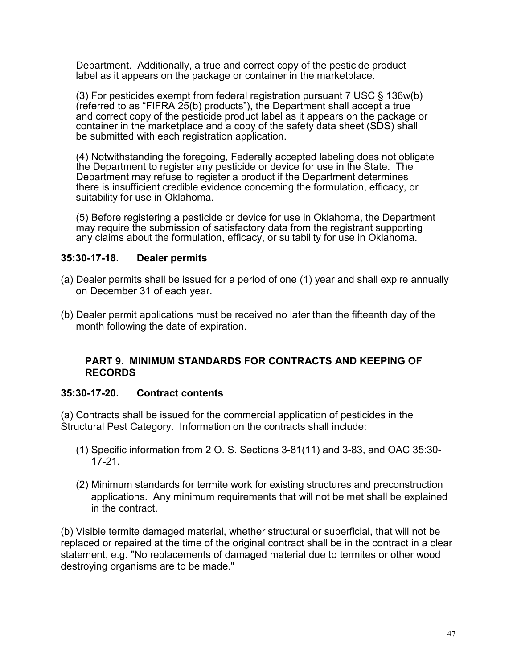Department. Additionally, a true and correct copy of the pesticide product label as it appears on the package or container in the marketplace.

(3) For pesticides exempt from federal registration pursuant 7 USC § 136w(b) (referred to as "FIFRA 25(b) products"), the Department shall accept a true and correct copy of the pesticide product label as it appears on the package or container in the marketplace and a copy of the safety data sheet (SDS) shall be submitted with each registration application.

(4) Notwithstanding the foregoing, Federally accepted labeling does not obligate the Department to register any pesticide or device for use in the State. The Department may refuse to register a product if the Department determines there is insufficient credible evidence concerning the formulation, efficacy, or suitability for use in Oklahoma.

(5) Before registering a pesticide or device for use in Oklahoma, the Department may require the submission of satisfactory data from the registrant supporting any claims about the formulation, efficacy, or suitability for use in Oklahoma.

## **35:30-17-18. Dealer permits**

- (a) Dealer permits shall be issued for a period of one (1) year and shall expire annually on December 31 of each year.
- (b) Dealer permit applications must be received no later than the fifteenth day of the month following the date of expiration.

## **PART 9. MINIMUM STANDARDS FOR CONTRACTS AND KEEPING OF RECORDS**

## **35:30-17-20. Contract contents**

(a) Contracts shall be issued for the commercial application of pesticides in the Structural Pest Category. Information on the contracts shall include:

- (1) Specific information from 2 O. S. Sections 3-81(11) and 3-83, and OAC 35:30- 17-21.
- (2) Minimum standards for termite work for existing structures and preconstruction applications. Any minimum requirements that will not be met shall be explained in the contract.

(b) Visible termite damaged material, whether structural or superficial, that will not be replaced or repaired at the time of the original contract shall be in the contract in a clear statement, e.g. "No replacements of damaged material due to termites or other wood destroying organisms are to be made."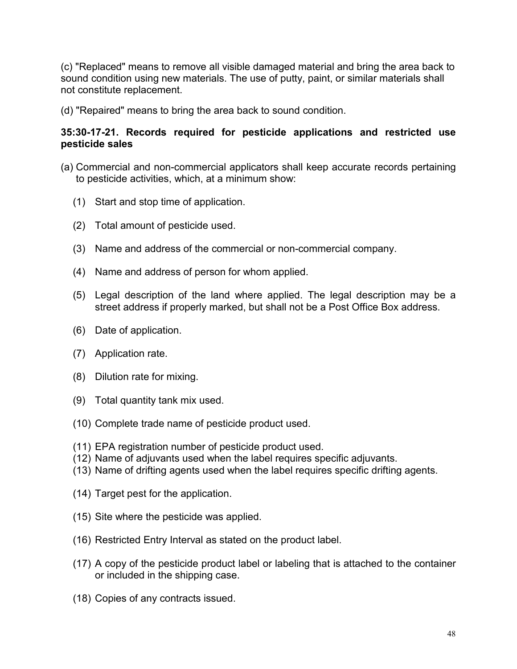(c) "Replaced" means to remove all visible damaged material and bring the area back to sound condition using new materials. The use of putty, paint, or similar materials shall not constitute replacement.

(d) "Repaired" means to bring the area back to sound condition.

## **35:30-17-21. Records required for pesticide applications and restricted use pesticide sales**

- (a) Commercial and non-commercial applicators shall keep accurate records pertaining to pesticide activities, which, at a minimum show:
	- (1) Start and stop time of application.
	- (2) Total amount of pesticide used.
	- (3) Name and address of the commercial or non-commercial company.
	- (4) Name and address of person for whom applied.
	- (5) Legal description of the land where applied. The legal description may be a street address if properly marked, but shall not be a Post Office Box address.
	- (6) Date of application.
	- (7) Application rate.
	- (8) Dilution rate for mixing.
	- (9) Total quantity tank mix used.
	- (10) Complete trade name of pesticide product used.
	- (11) EPA registration number of pesticide product used.
	- (12) Name of adjuvants used when the label requires specific adjuvants.
	- (13) Name of drifting agents used when the label requires specific drifting agents.
	- (14) Target pest for the application.
	- (15) Site where the pesticide was applied.
	- (16) Restricted Entry Interval as stated on the product label.
	- (17) A copy of the pesticide product label or labeling that is attached to the container or included in the shipping case.
	- (18) Copies of any contracts issued.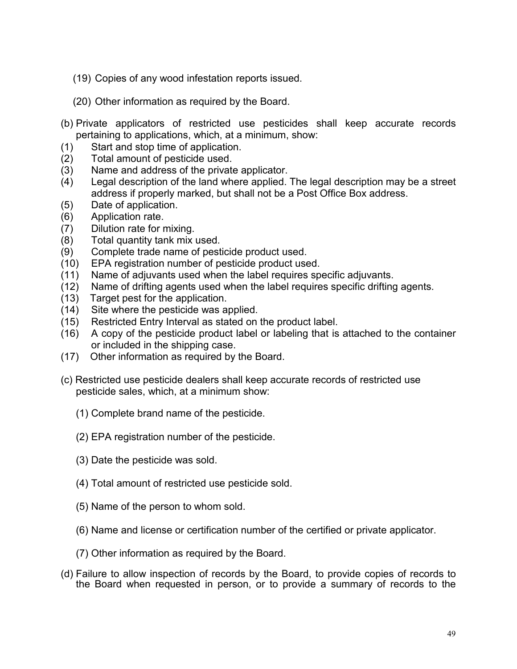- (19) Copies of any wood infestation reports issued.
- (20) Other information as required by the Board.
- (b) Private applicators of restricted use pesticides shall keep accurate records pertaining to applications, which, at a minimum, show:
- (1) Start and stop time of application.
- (2) Total amount of pesticide used.
- (3) Name and address of the private applicator.
- (4) Legal description of the land where applied. The legal description may be a street address if properly marked, but shall not be a Post Office Box address.
- (5) Date of application.
- (6) Application rate.
- (7) Dilution rate for mixing.
- (8) Total quantity tank mix used.
- 
- (9) Complete trade name of pesticide product used.<br>(10) EPA registration number of pesticide product use EPA registration number of pesticide product used.
- (11) Name of adjuvants used when the label requires specific adjuvants.
- (12) Name of drifting agents used when the label requires specific drifting agents.
- (13) Target pest for the application.
- (14) Site where the pesticide was applied.
- (15) Restricted Entry Interval as stated on the product label.
- (16) A copy of the pesticide product label or labeling that is attached to the container or included in the shipping case.
- (17) Other information as required by the Board.
- (c) Restricted use pesticide dealers shall keep accurate records of restricted use pesticide sales, which, at a minimum show:
	- (1) Complete brand name of the pesticide.
	- (2) EPA registration number of the pesticide.
	- (3) Date the pesticide was sold.
	- (4) Total amount of restricted use pesticide sold.
	- (5) Name of the person to whom sold.
	- (6) Name and license or certification number of the certified or private applicator.
	- (7) Other information as required by the Board.
- (d) Failure to allow inspection of records by the Board, to provide copies of records to the Board when requested in person, or to provide a summary of records to the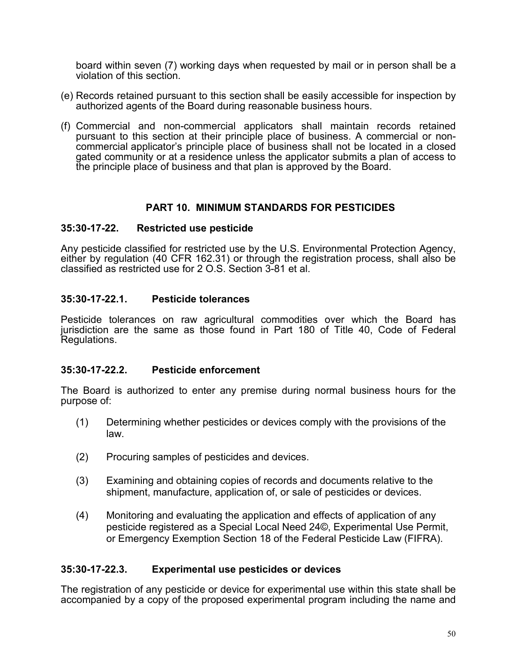board within seven (7) working days when requested by mail or in person shall be a violation of this section.

- (e) Records retained pursuant to this section shall be easily accessible for inspection by authorized agents of the Board during reasonable business hours.
- (f) Commercial and non-commercial applicators shall maintain records retained commercial applicator's principle place of business shall not be located in a closed gated community or at a residence unless the applicator submits a plan of access to the principle place of business and that plan is approved by the Board.

## **PART 10. MINIMUM STANDARDS FOR PESTICIDES**

#### **35:30-17-22. Restricted use pesticide**

Any pesticide classified for restricted use by the U.S. Environmental Protection Agency, either by regulation (40 CFR 162.31) or through the registration process, shall also be classified as restricted use for 2 O.S. Section 3-81 et al.

#### **35:30-17-22.1. Pesticide tolerances**

Pesticide tolerances on raw agricultural commodities over which the Board has jurisdiction are the same as those found in Part 180 of Title 40, Code of Federal Regulations.

#### **35:30-17-22.2. Pesticide enforcement**

The Board is authorized to enter any premise during normal business hours for the purpose of:

- (1) Determining whether pesticides or devices comply with the provisions of the law.
- (2) Procuring samples of pesticides and devices.
- (3) Examining and obtaining copies of records and documents relative to the shipment, manufacture, application of, or sale of pesticides or devices.
- (4) Monitoring and evaluating the application and effects of application of any pesticide registered as a Special Local Need 24©, Experimental Use Permit, or Emergency Exemption Section 18 of the Federal Pesticide Law (FIFRA).

## **35:30-17-22.3. Experimental use pesticides or devices**

The registration of any pesticide or device for experimental use within this state shall be accompanied by a copy of the proposed experimental program including the name and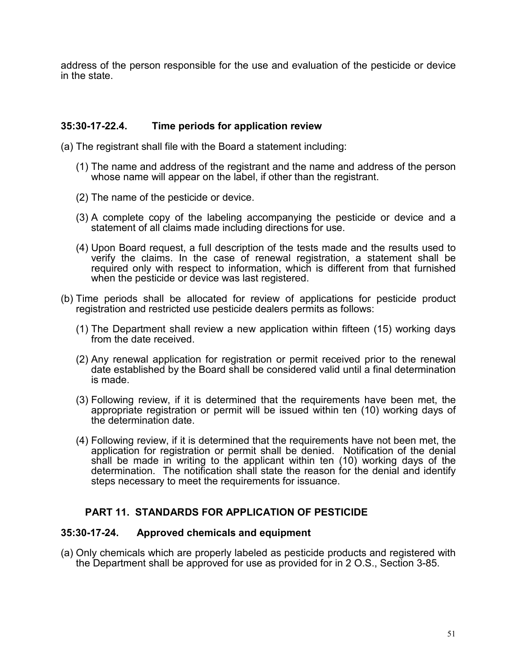address of the person responsible for the use and evaluation of the pesticide or device in the state.

#### **35:30-17-22.4. Time periods for application review**

- (a) The registrant shall file with the Board a statement including:
	- (1) The name and address of the registrant and the name and address of the person whose name will appear on the label, if other than the registrant.
	- (2) The name of the pesticide or device.
	- (3) A complete copy of the labeling accompanying the pesticide or device and a statement of all claims made including directions for use.
	- (4) Upon Board request, a full description of the tests made and the results used to verify the claims. In the case of renewal registration, a statement shall be required only with respect to information, which is different from that furnished when the pesticide or device was last registered.
- (b) Time periods shall be allocated for review of applications for pesticide product registration and restricted use pesticide dealers permits as follows:
	- (1) The Department shall review a new application within fifteen (15) working days from the date received.
	- (2) Any renewal application for registration or permit received prior to the renewal date established by the Board shall be considered valid until a final determination is made.
	- (3) Following review, if it is determined that the requirements have been met, the appropriate registration or permit will be issued within ten (10) working days of the determination date.
	- (4) Following review, if it is determined that the requirements have not been met, the application for registration or permit shall be denied. Notification of the denial shall be made in writing to the applicant within ten (10) working days of the determination. The notification shall state the reason for the denial and identify steps necessary to meet the requirements for issuance.

## **PART 11. STANDARDS FOR APPLICATION OF PESTICIDE**

#### **35:30-17-24. Approved chemicals and equipment**

(a) Only chemicals which are properly labeled as pesticide products and registered with the Department shall be approved for use as provided for in 2 O.S., Section 3-85.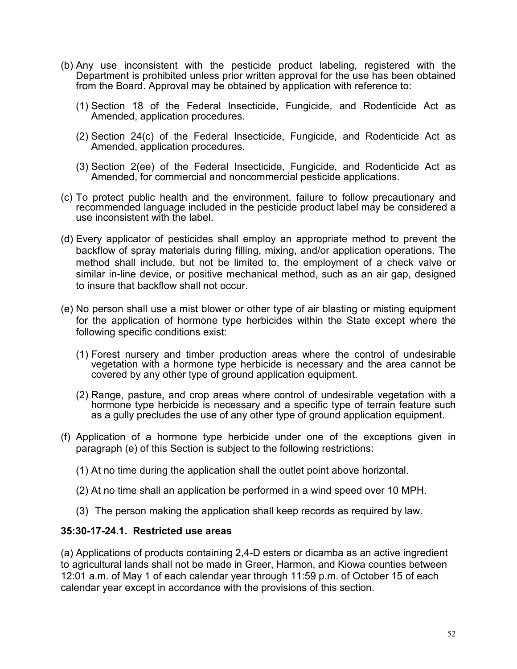- (b) Any use inconsistent with the pesticide product labeling, registered with the Department is prohibited unless prior written approval for the use has been obtained from the Board. Approval may be obtained by application with reference to:
	- (1) Section 18 of the Federal Insecticide, Fungicide, and Rodenticide Act as Amended, application procedures.
	- (2) Section 24(c) of the Federal Insecticide, Fungicide, and Rodenticide Act as Amended, application procedures.
	- (3) Section 2(ee) of the Federal Insecticide, Fungicide, and Rodenticide Act as Amended, for commercial and noncommercial pesticide applications.
- (c) To protect public health and the environment, failure to follow precautionary and recommended language included in the pesticide product label may be considered a use inconsistent with the label.
- (d) Every applicator of pesticides shall employ an appropriate method to prevent the backflow of spray materials during filling, mixing, and/or application operations. The method shall include, but not be limited to, the employment of a check valve or similar in-line device, or positive mechanical method, such as an air gap, designed to insure that backflow shall not occur.
- (e) No person shall use a mist blower or other type of air blasting or misting equipment for the application of hormone type herbicides within the State except where the following specific conditions exist:
	- (1) Forest nursery and timber production areas where the control of undesirable vegetation with a hormone type herbicide is necessary and the area cannot be covered by any other type of ground application equipment.
	- (2) Range, pasture, and crop areas where control of undesirable vegetation with a hormone type herbicide is necessary and a specific type of terrain feature such as a gully precludes the use of any other type of ground application equipment.
- (f) Application of a hormone type herbicide under one of the exceptions given in paragraph (e) of this Section is subject to the following restrictions:
	- (1) At no time during the application shall the outlet point above horizontal.
	- (2) At no time shall an application be performed in a wind speed over 10 MPH.
	- (3) The person making the application shall keep records as required by law.

#### **35:30-17-24.1. Restricted use areas**

(a) Applications of products containing 2,4-D esters or dicamba as an active ingredient to agricultural lands shall not be made in Greer, Harmon, and Kiowa counties between 12:01 a.m. of May 1 of each calendar year through 11:59 p.m. of October 15 of each calendar year except in accordance with the provisions of this section.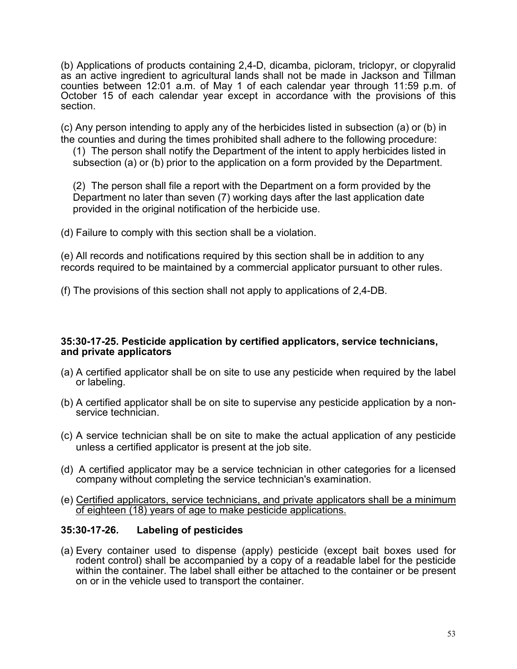(b) Applications of products containing 2,4-D, dicamba, picloram, triclopyr, or clopyralid as an active ingredient to agricultural lands shall not be made in Jackson and Tillman counties between 12:01 a.m. of May 1 of each calendar year through 11:59 p.m. of October 15 of each calendar year except in accordance with the provisions of this section.

(c) Any person intending to apply any of the herbicides listed in subsection (a) or (b) in the counties and during the times prohibited shall adhere to the following procedure:

(1) The person shall notify the Department of the intent to apply herbicides listed in subsection (a) or (b) prior to the application on a form provided by the Department.

(2) The person shall file a report with the Department on a form provided by the Department no later than seven (7) working days after the last application date provided in the original notification of the herbicide use.

(d) Failure to comply with this section shall be a violation.

(e) All records and notifications required by this section shall be in addition to any records required to be maintained by a commercial applicator pursuant to other rules.

(f) The provisions of this section shall not apply to applications of 2,4-DB.

# **35:30-17-25. Pesticide application by certified applicators, service technicians, and private applicators**

- (a) A certified applicator shall be on site to use any pesticide when required by the label or labeling.
- (b) A certified applicator shall be on site to supervise any pesticide application by a non- service technician.
- (c) A service technician shall be on site to make the actual application of any pesticide unless a certified applicator is present at the job site.
- (d) A certified applicator may be a service technician in other categories for a licensed company without completing the service technician's examination.
- (e) Certified applicators, service technicians, and private applicators shall be a minimum of eighteen (18) years of age to make pesticide applications.

# **35:30-17-26. Labeling of pesticides**

(a) Every container used to dispense (apply) pesticide (except bait boxes used for rodent control) shall be accompanied by a copy of a readable label for the pesticide within the container. The label shall either be attached to the container or be present on or in the vehicle used to transport the container.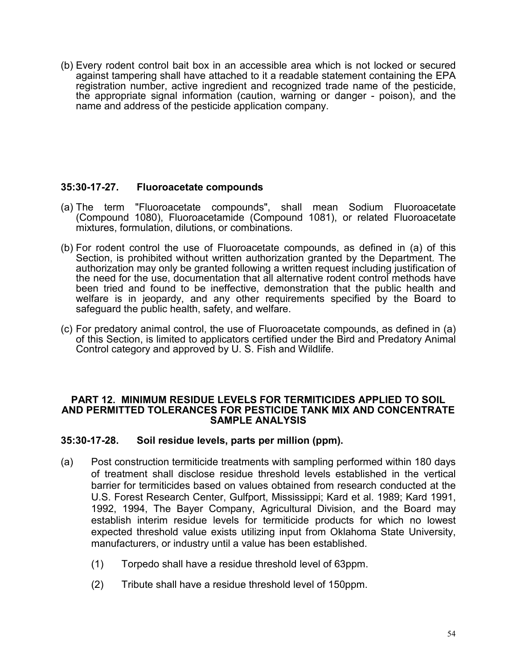(b) Every rodent control bait box in an accessible area which is not locked or secured against tampering shall have attached to it a readable statement containing the EPA registration number, active ingredient and recognized trade name of the pesticide, the appropriate signal information (caution, warning or danger - poison), and the name and address of the pesticide application company.

## **35:30-17-27. Fluoroacetate compounds**

- (a) The term "Fluoroacetate compounds", shall mean Sodium Fluoroacetate (Compound 1080), Fluoroacetamide (Compound 1081), or related Fluoroacetate mixtures, formulation, dilutions, or combinations.
- (b) For rodent control the use of Fluoroacetate compounds, as defined in (a) of this Section, is prohibited without written authorization granted by the Department. The authorization may only be granted following a written request including justification of the need for the use, documentation that all alternative rodent control methods have been tried and found to be ineffective, demonstration that the public health and welfare is in jeopardy, and any other requirements specified by the Board to safeguard the public health, safety, and welfare.
- (c) For predatory animal control, the use of Fluoroacetate compounds, as defined in (a) of this Section, is limited to applicators certified under the Bird and Predatory Animal Control category and approved by U. S. Fish and Wildlife.

#### **PART 12. MINIMUM RESIDUE LEVELS FOR TERMITICIDES APPLIED TO SOIL AND PERMITTED TOLERANCES FOR PESTICIDE TANK MIX AND CONCENTRATE SAMPLE ANALYSIS**

## **35:30-17-28. Soil residue levels, parts per million (ppm).**

- (a) Post construction termiticide treatments with sampling performed within 180 days of treatment shall disclose residue threshold levels established in the vertical barrier for termiticides based on values obtained from research conducted at the U.S. Forest Research Center, Gulfport, Mississippi; Kard et al. 1989; Kard 1991, 1992, 1994, The Bayer Company, Agricultural Division, and the Board may establish interim residue levels for termiticide products for which no lowest expected threshold value exists utilizing input from Oklahoma State University, manufacturers, or industry until a value has been established.
	- (1) Torpedo shall have a residue threshold level of 63ppm.
	- (2) Tribute shall have a residue threshold level of 150ppm.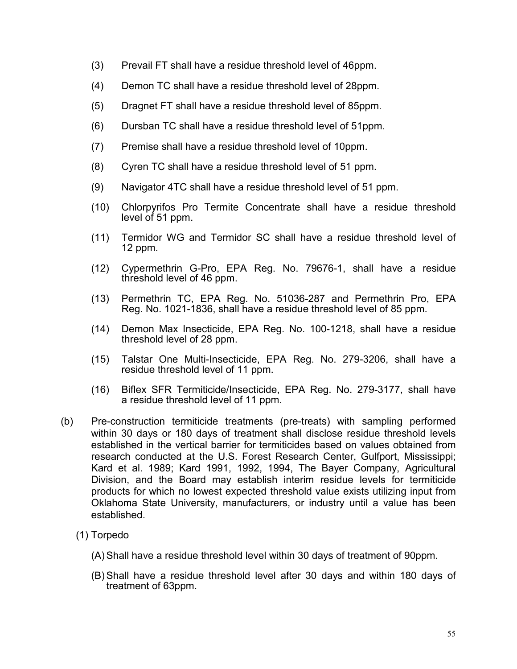- (3) Prevail FT shall have a residue threshold level of 46ppm.
- (4) Demon TC shall have a residue threshold level of 28ppm.
- (5) Dragnet FT shall have a residue threshold level of 85ppm.
- (6) Dursban TC shall have a residue threshold level of 51ppm.
- (7) Premise shall have a residue threshold level of 10ppm.
- (8) Cyren TC shall have a residue threshold level of 51 ppm.
- (9) Navigator 4TC shall have a residue threshold level of 51 ppm.
- (10) Chlorpyrifos Pro Termite Concentrate shall have a residue threshold level of 51 ppm.
- (11) Termidor WG and Termidor SC shall have a residue threshold level of 12 ppm.
- (12) Cypermethrin G-Pro, EPA Reg. No. 79676-1, shall have a residue threshold level of 46 ppm.
- (13) Permethrin TC, EPA Reg. No. 51036-287 and Permethrin Pro, EPA Reg. No. 1021-1836, shall have a residue threshold level of 85 ppm.
- (14) Demon Max Insecticide, EPA Reg. No. 100-1218, shall have a residue threshold level of 28 ppm.
- (15) Talstar One Multi-Insecticide, EPA Reg. No. 279-3206, shall have a residue threshold level of 11 ppm.
- (16) Biflex SFR Termiticide/Insecticide, EPA Reg. No. 279-3177, shall have a residue threshold level of 11 ppm.
- (b) Pre-construction termiticide treatments (pre-treats) with sampling performed within 30 days or 180 days of treatment shall disclose residue threshold levels established in the vertical barrier for termiticides based on values obtained from research conducted at the U.S. Forest Research Center, Gulfport, Mississippi; Kard et al. 1989; Kard 1991, 1992, 1994, The Bayer Company, Agricultural Division, and the Board may establish interim residue levels for termiticide products for which no lowest expected threshold value exists utilizing input from Oklahoma State University, manufacturers, or industry until a value has been established.
	- (1) Torpedo
		- (A) Shall have a residue threshold level within 30 days of treatment of 90ppm.
		- (B) Shall have a residue threshold level after 30 days and within 180 days of treatment of 63ppm.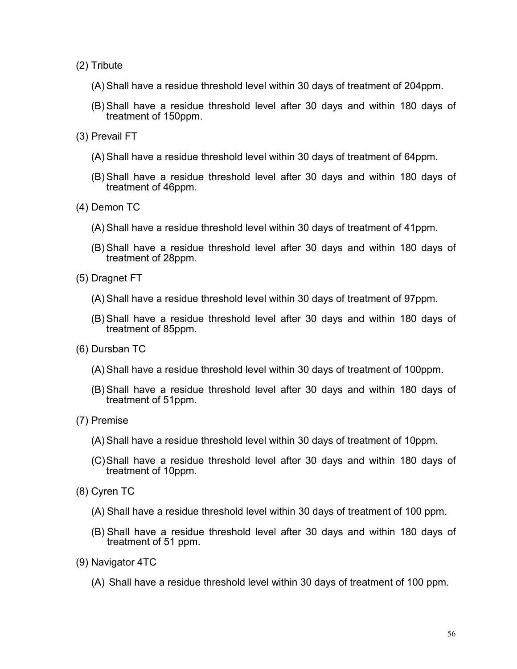- (2) Tribute
	- (A) Shall have a residue threshold level within 30 days of treatment of 204ppm.
	- (B) Shall have a residue threshold level after 30 days and within 180 days of treatment of 150ppm.
- (3) Prevail FT
	- (A) Shall have a residue threshold level within 30 days of treatment of 64ppm.
	- (B) Shall have a residue threshold level after 30 days and within 180 days of treatment of 46ppm.
- (4) Demon TC
	- (A) Shall have a residue threshold level within 30 days of treatment of 41ppm.
	- (B) Shall have a residue threshold level after 30 days and within 180 days of treatment of 28ppm.
- (5) Dragnet FT
	- (A) Shall have a residue threshold level within 30 days of treatment of 97ppm.
	- (B) Shall have a residue threshold level after 30 days and within 180 days of treatment of 85ppm.
- (6) Dursban TC
	- (A) Shall have a residue threshold level within 30 days of treatment of 100ppm.
	- (B) Shall have a residue threshold level after 30 days and within 180 days of treatment of 51ppm.
- (7) Premise
	- (A) Shall have a residue threshold level within 30 days of treatment of 10ppm.
	- (C)Shall have a residue threshold level after 30 days and within 180 days of treatment of 10ppm.
- (8) Cyren TC
	- (A) Shall have a residue threshold level within 30 days of treatment of 100 ppm.
	- (B) Shall have a residue threshold level after 30 days and within 180 days of treatment of 51 ppm.
- (9) Navigator 4TC
	- (A) Shall have a residue threshold level within 30 days of treatment of 100 ppm.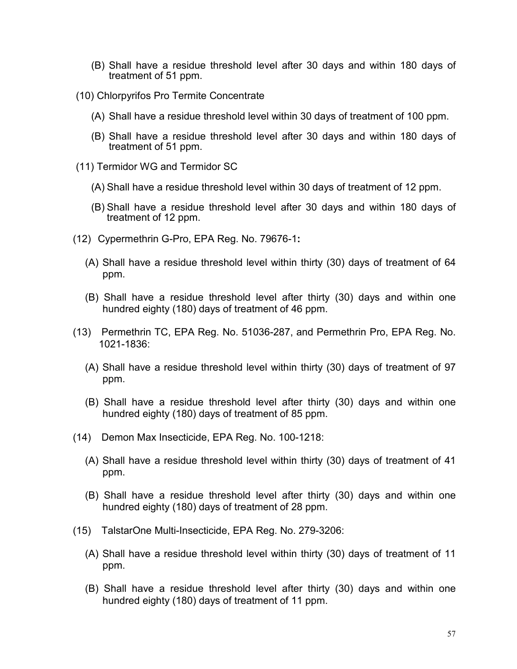- (B) Shall have a residue threshold level after 30 days and within 180 days of treatment of 51 ppm.
- (10) Chlorpyrifos Pro Termite Concentrate
	- (A) Shall have a residue threshold level within 30 days of treatment of 100 ppm.
	- (B) Shall have a residue threshold level after 30 days and within 180 days of treatment of 51 ppm.
- (11) Termidor WG and Termidor SC
	- (A) Shall have a residue threshold level within 30 days of treatment of 12 ppm.
	- (B) Shall have a residue threshold level after 30 days and within 180 days of treatment of 12 ppm.
- (12) Cypermethrin G-Pro, EPA Reg. No. 79676-1**:**
	- (A) Shall have a residue threshold level within thirty (30) days of treatment of 64 ppm.
	- (B) Shall have a residue threshold level after thirty (30) days and within one hundred eighty (180) days of treatment of 46 ppm.
- (13) Permethrin TC, EPA Reg. No. 51036-287, and Permethrin Pro, EPA Reg. No. 1021-1836:
	- (A) Shall have a residue threshold level within thirty (30) days of treatment of 97 ppm.
	- (B) Shall have a residue threshold level after thirty (30) days and within one hundred eighty (180) days of treatment of 85 ppm.
- (14) Demon Max Insecticide, EPA Reg. No. 100-1218:
	- (A) Shall have a residue threshold level within thirty (30) days of treatment of 41 ppm.
	- (B) Shall have a residue threshold level after thirty (30) days and within one hundred eighty (180) days of treatment of 28 ppm.
- (15) TalstarOne Multi-Insecticide, EPA Reg. No. 279-3206:
	- (A) Shall have a residue threshold level within thirty (30) days of treatment of 11 ppm.
	- (B) Shall have a residue threshold level after thirty (30) days and within one hundred eighty (180) days of treatment of 11 ppm.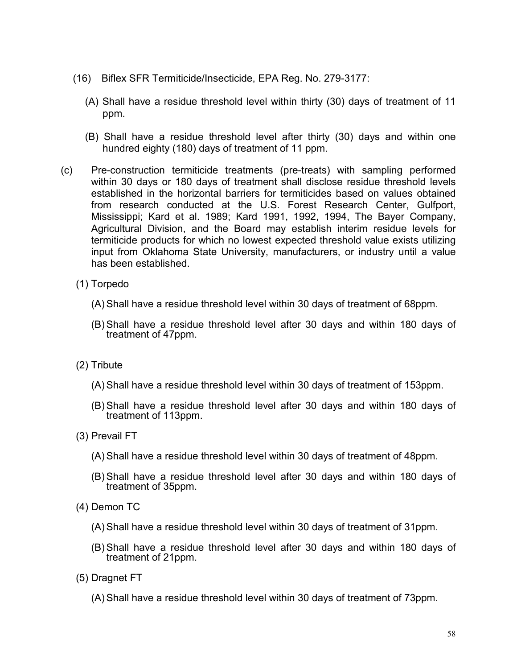- (16) Biflex SFR Termiticide/Insecticide, EPA Reg. No. 279-3177:
	- (A) Shall have a residue threshold level within thirty (30) days of treatment of 11 ppm.
	- (B) Shall have a residue threshold level after thirty (30) days and within one hundred eighty (180) days of treatment of 11 ppm.
- (c) Pre-construction termiticide treatments (pre-treats) with sampling performed within 30 days or 180 days of treatment shall disclose residue threshold levels established in the horizontal barriers for termiticides based on values obtained from research conducted at the U.S. Forest Research Center, Gulfport, Mississippi; Kard et al. 1989; Kard 1991, 1992, 1994, The Bayer Company, Agricultural Division, and the Board may establish interim residue levels for termiticide products for which no lowest expected threshold value exists utilizing input from Oklahoma State University, manufacturers, or industry until a value has been established.
	- (1) Torpedo
		- (A) Shall have a residue threshold level within 30 days of treatment of 68ppm.
		- (B) Shall have a residue threshold level after 30 days and within 180 days of treatment of 47ppm.
	- (2) Tribute
		- (A) Shall have a residue threshold level within 30 days of treatment of 153ppm.
		- (B) Shall have a residue threshold level after 30 days and within 180 days of treatment of 113ppm.
	- (3) Prevail FT
		- (A) Shall have a residue threshold level within 30 days of treatment of 48ppm.
		- (B) Shall have a residue threshold level after 30 days and within 180 days of treatment of 35ppm.
	- (4) Demon TC
		- (A) Shall have a residue threshold level within 30 days of treatment of 31ppm.
		- (B) Shall have a residue threshold level after 30 days and within 180 days of treatment of 21ppm.
	- (5) Dragnet FT
		- (A) Shall have a residue threshold level within 30 days of treatment of 73ppm.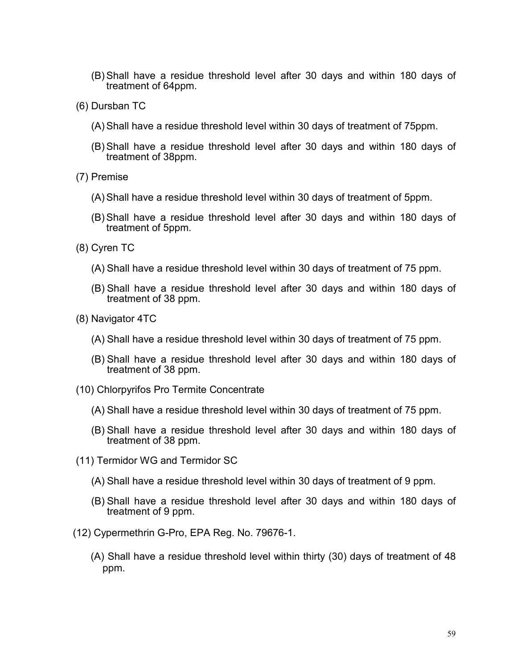- (B) Shall have a residue threshold level after 30 days and within 180 days of treatment of 64ppm.
- (6) Dursban TC
	- (A) Shall have a residue threshold level within 30 days of treatment of 75ppm.
	- (B) Shall have a residue threshold level after 30 days and within 180 days of treatment of 38ppm.
- (7) Premise
	- (A) Shall have a residue threshold level within 30 days of treatment of 5ppm.
	- (B) Shall have a residue threshold level after 30 days and within 180 days of treatment of 5ppm.
- (8) Cyren TC
	- (A) Shall have a residue threshold level within 30 days of treatment of 75 ppm.
	- (B) Shall have a residue threshold level after 30 days and within 180 days of treatment of 38 ppm.
- (8) Navigator 4TC
	- (A) Shall have a residue threshold level within 30 days of treatment of 75 ppm.
	- (B) Shall have a residue threshold level after 30 days and within 180 days of treatment of 38 ppm.
- (10) Chlorpyrifos Pro Termite Concentrate
	- (A) Shall have a residue threshold level within 30 days of treatment of 75 ppm.
	- (B) Shall have a residue threshold level after 30 days and within 180 days of treatment of 38 ppm.
- (11) Termidor WG and Termidor SC
	- (A) Shall have a residue threshold level within 30 days of treatment of 9 ppm.
	- (B) Shall have a residue threshold level after 30 days and within 180 days of treatment of 9 ppm.
- (12) Cypermethrin G-Pro, EPA Reg. No. 79676-1.
	- (A) Shall have a residue threshold level within thirty (30) days of treatment of 48 ppm.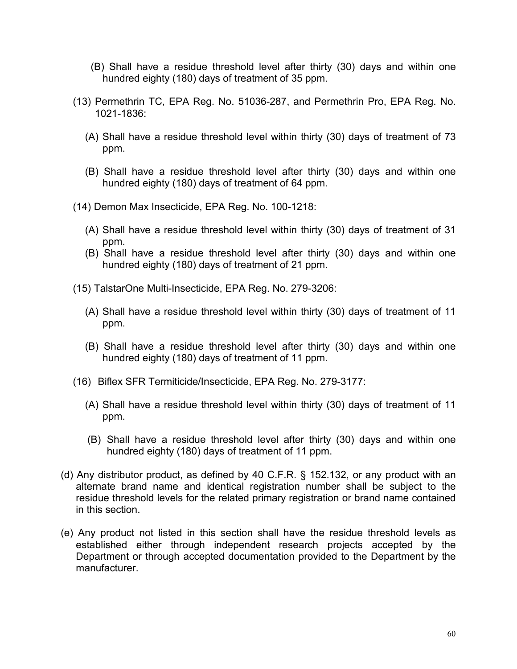- (B) Shall have a residue threshold level after thirty (30) days and within one hundred eighty (180) days of treatment of 35 ppm.
- (13) Permethrin TC, EPA Reg. No. 51036-287, and Permethrin Pro, EPA Reg. No. 1021-1836:
	- (A) Shall have a residue threshold level within thirty (30) days of treatment of 73 ppm.
	- (B) Shall have a residue threshold level after thirty (30) days and within one hundred eighty (180) days of treatment of 64 ppm.
- (14) Demon Max Insecticide, EPA Reg. No. 100-1218:
	- (A) Shall have a residue threshold level within thirty (30) days of treatment of 31 ppm.
	- (B) Shall have a residue threshold level after thirty (30) days and within one hundred eighty (180) days of treatment of 21 ppm.
- (15) TalstarOne Multi-Insecticide, EPA Reg. No. 279-3206:
	- (A) Shall have a residue threshold level within thirty (30) days of treatment of 11 ppm.
	- (B) Shall have a residue threshold level after thirty (30) days and within one hundred eighty (180) days of treatment of 11 ppm.
- (16) Biflex SFR Termiticide/Insecticide, EPA Reg. No. 279-3177:
	- (A) Shall have a residue threshold level within thirty (30) days of treatment of 11 ppm.
	- (B) Shall have a residue threshold level after thirty (30) days and within one hundred eighty (180) days of treatment of 11 ppm.
- (d) Any distributor product, as defined by 40 C.F.R. § 152.132, or any product with an alternate brand name and identical registration number shall be subject to the residue threshold levels for the related primary registration or brand name contained in this section.
- (e) Any product not listed in this section shall have the residue threshold levels as established either through independent research projects accepted by the Department or through accepted documentation provided to the Department by the manufacturer.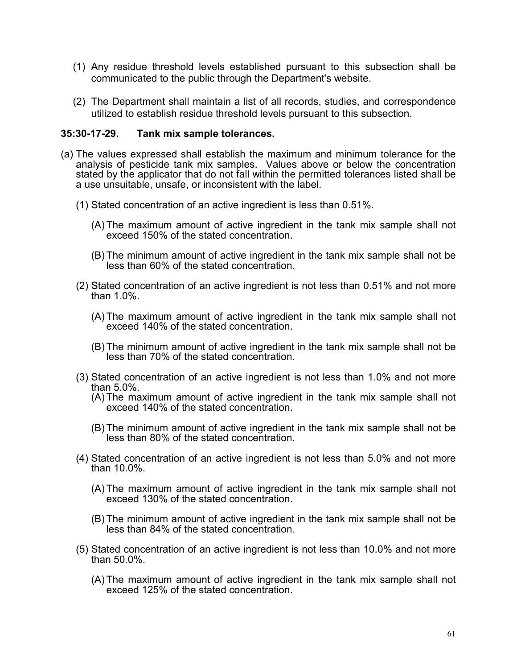- (1) Any residue threshold levels established pursuant to this subsection shall be communicated to the public through the Department's website.
- (2) The Department shall maintain a list of all records, studies, and correspondence utilized to establish residue threshold levels pursuant to this subsection.

#### **35:30-17-29. Tank mix sample tolerances.**

- (a) The values expressed shall establish the maximum and minimum tolerance for the analysis of pesticide tank mix samples. Values above or below the concentration stated by the applicator that do not fall within the permitted tolerances listed shall be a use unsuitable, unsafe, or inconsistent with the label.
	- (1) Stated concentration of an active ingredient is less than 0.51%.
		- (A) The maximum amount of active ingredient in the tank mix sample shall not exceed 150% of the stated concentration.
		- (B) The minimum amount of active ingredient in the tank mix sample shall not be less than 60% of the stated concentration.
	- (2) Stated concentration of an active ingredient is not less than 0.51% and not more than 1.0%.
		- (A) The maximum amount of active ingredient in the tank mix sample shall not exceed 140% of the stated concentration.
		- (B) The minimum amount of active ingredient in the tank mix sample shall not be less than 70% of the stated concentration.
	- (3) Stated concentration of an active ingredient is not less than 1.0% and not more than 5.0%.
		- (A) The maximum amount of active ingredient in the tank mix sample shall not exceed 140% of the stated concentration.
		- (B) The minimum amount of active ingredient in the tank mix sample shall not be less than 80% of the stated concentration.
	- (4) Stated concentration of an active ingredient is not less than 5.0% and not more than 10.0%.
		- (A) The maximum amount of active ingredient in the tank mix sample shall not exceed 130% of the stated concentration.
		- (B) The minimum amount of active ingredient in the tank mix sample shall not be less than 84% of the stated concentration.
	- (5) Stated concentration of an active ingredient is not less than 10.0% and not more than 50.0%.
		- (A) The maximum amount of active ingredient in the tank mix sample shall not exceed 125% of the stated concentration.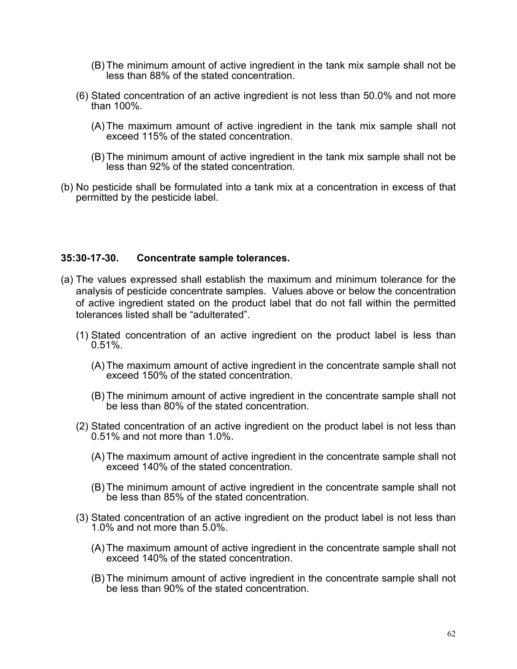- (B) The minimum amount of active ingredient in the tank mix sample shall not be less than 88% of the stated concentration.
- (6) Stated concentration of an active ingredient is not less than 50.0% and not more than 100%.
	- (A) The maximum amount of active ingredient in the tank mix sample shall not exceed 115% of the stated concentration.
	- (B) The minimum amount of active ingredient in the tank mix sample shall not be less than 92% of the stated concentration.
- (b) No pesticide shall be formulated into a tank mix at a concentration in excess of that permitted by the pesticide label.

#### **35:30-17-30. Concentrate sample tolerances.**

- (a) The values expressed shall establish the maximum and minimum tolerance for the analysis of pesticide concentrate samples. Values above or below the concentration of active ingredient stated on the product label that do not fall within the permitted tolerances listed shall be "adulterated".
	- (1) Stated concentration of an active ingredient on the product label is less than 0.51%.
		- (A) The maximum amount of active ingredient in the concentrate sample shall not exceed 150% of the stated concentration.
		- (B) The minimum amount of active ingredient in the concentrate sample shall not be less than 80% of the stated concentration.
	- (2) Stated concentration of an active ingredient on the product label is not less than 0.51% and not more than 1.0%.
		- (A) The maximum amount of active ingredient in the concentrate sample shall not exceed 140% of the stated concentration
		- (B) The minimum amount of active ingredient in the concentrate sample shall not be less than 85% of the stated concentration.
	- (3) Stated concentration of an active ingredient on the product label is not less than 1.0% and not more than 5.0%.
		- (A) The maximum amount of active ingredient in the concentrate sample shall not exceed 140% of the stated concentration.
		- (B) The minimum amount of active ingredient in the concentrate sample shall not be less than 90% of the stated concentration.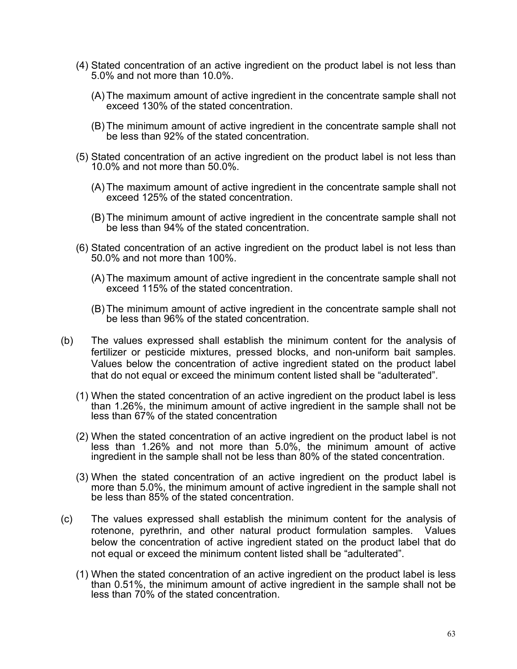- (4) Stated concentration of an active ingredient on the product label is not less than 5.0% and not more than 10.0%.
	- (A) The maximum amount of active ingredient in the concentrate sample shall not exceed 130% of the stated concentration.
	- (B) The minimum amount of active ingredient in the concentrate sample shall not be less than 92% of the stated concentration.
- (5) Stated concentration of an active ingredient on the product label is not less than 10.0% and not more than 50.0%.
	- (A) The maximum amount of active ingredient in the concentrate sample shall not exceed 125% of the stated concentration.
	- (B) The minimum amount of active ingredient in the concentrate sample shall not be less than 94% of the stated concentration.
- (6) Stated concentration of an active ingredient on the product label is not less than 50.0% and not more than 100%.
	- (A) The maximum amount of active ingredient in the concentrate sample shall not exceed 115% of the stated concentration.
	- (B) The minimum amount of active ingredient in the concentrate sample shall not be less than 96% of the stated concentration.
- (b) The values expressed shall establish the minimum content for the analysis of fertilizer or pesticide mixtures, pressed blocks, and non-uniform bait samples. Values below the concentration of active ingredient stated on the product label that do not equal or exceed the minimum content listed shall be "adulterated".
	- (1) When the stated concentration of an active ingredient on the product label is less than 1.26%, the minimum amount of active ingredient in the sample shall not be less than 67% of the stated concentration
	- (2) When the stated concentration of an active ingredient on the product label is not less than 1.26% and not more than 5.0%, the minimum amount of active ingredient in the sample shall not be less than 80% of the stated concentration.
	- (3) When the stated concentration of an active ingredient on the product label is more than 5.0%, the minimum amount of active ingredient in the sample shall not be less than 85% of the stated concentration.
- (c) The values expressed shall establish the minimum content for the analysis of rotenone, pyrethrin, and other natural product formulation samples. Values below the concentration of active ingredient stated on the product label that do not equal or exceed the minimum content listed shall be "adulterated".
	- (1) When the stated concentration of an active ingredient on the product label is less than 0.51%, the minimum amount of active ingredient in the sample shall not be less than 70% of the stated concentration.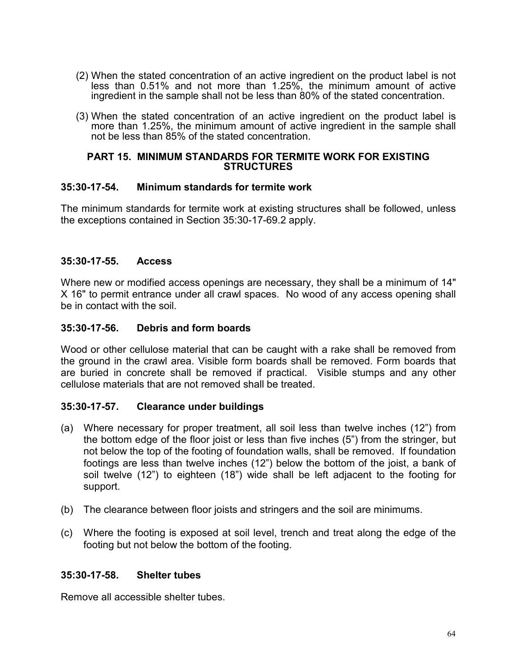- (2) When the stated concentration of an active ingredient on the product label is not less than 0.51% and not more than 1.25%, the minimum amount of active ingredient in the sample shall not be less than 80% of the stated concentration.
- (3) When the stated concentration of an active ingredient on the product label is more than 1.25%, the minimum amount of active ingredient in the sample shall not be less than 85% of the stated concentration.

#### **PART 15. MINIMUM STANDARDS FOR TERMITE WORK FOR EXISTING STRUCTURES**

#### **35:30-17-54. Minimum standards for termite work**

The minimum standards for termite work at existing structures shall be followed, unless the exceptions contained in Section 35:30-17-69.2 apply.

## **35:30-17-55. Access**

Where new or modified access openings are necessary, they shall be a minimum of 14" X 16" to permit entrance under all crawl spaces. No wood of any access opening shall be in contact with the soil.

## **35:30-17-56. Debris and form boards**

Wood or other cellulose material that can be caught with a rake shall be removed from the ground in the crawl area. Visible form boards shall be removed. Form boards that are buried in concrete shall be removed if practical. Visible stumps and any other cellulose materials that are not removed shall be treated.

## **35:30-17-57. Clearance under buildings**

- (a) Where necessary for proper treatment, all soil less than twelve inches (12") from the bottom edge of the floor joist or less than five inches (5") from the stringer, but not below the top of the footing of foundation walls, shall be removed. If foundation footings are less than twelve inches (12") below the bottom of the joist, a bank of soil twelve (12") to eighteen (18") wide shall be left adjacent to the footing for support.
- (b) The clearance between floor joists and stringers and the soil are minimums.
- (c) Where the footing is exposed at soil level, trench and treat along the edge of the footing but not below the bottom of the footing.

## **35:30-17-58. Shelter tubes**

Remove all accessible shelter tubes.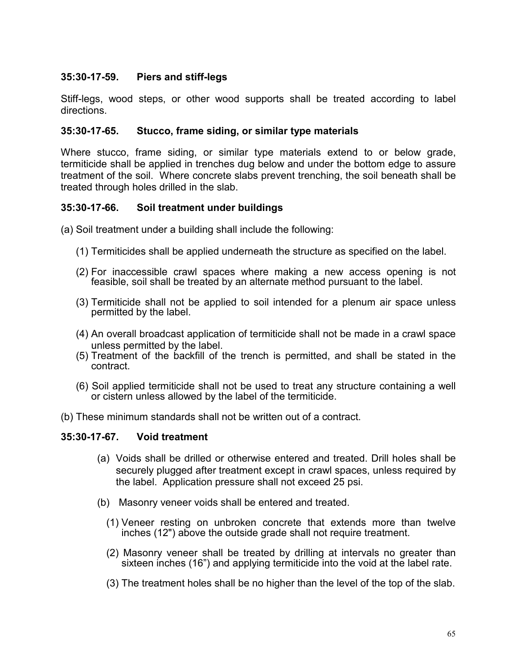## **35:30-17-59. Piers and stiff-legs**

Stiff-legs, wood steps, or other wood supports shall be treated according to label directions.

#### **35:30-17-65. Stucco, frame siding, or similar type materials**

Where stucco, frame siding, or similar type materials extend to or below grade, termiticide shall be applied in trenches dug below and under the bottom edge to assure treatment of the soil. Where concrete slabs prevent trenching, the soil beneath shall be treated through holes drilled in the slab.

## **35:30-17-66. Soil treatment under buildings**

(a) Soil treatment under a building shall include the following:

- (1) Termiticides shall be applied underneath the structure as specified on the label.
- (2) For inaccessible crawl spaces where making a new access opening is not feasible, soil shall be treated by an alternate method pursuant to the label.
- (3) Termiticide shall not be applied to soil intended for a plenum air space unless permitted by the label.
- (4) An overall broadcast application of termiticide shall not be made in a crawl space unless permitted by the label.
- (5) Treatment of the backfill of the trench is permitted, and shall be stated in the contract.
- (6) Soil applied termiticide shall not be used to treat any structure containing a well or cistern unless allowed by the label of the termiticide.
- (b) These minimum standards shall not be written out of a contract.

## **35:30-17-67. Void treatment**

- (a) Voids shall be drilled or otherwise entered and treated. Drill holes shall be securely plugged after treatment except in crawl spaces, unless required by the label. Application pressure shall not exceed 25 psi.
- (b) Masonry veneer voids shall be entered and treated.
	- (1) Veneer resting on unbroken concrete that extends more than twelve inches (12") above the outside grade shall not require treatment.
	- (2) Masonry veneer shall be treated by drilling at intervals no greater than sixteen inches (16") and applying termiticide into the void at the label rate.
	- (3) The treatment holes shall be no higher than the level of the top of the slab.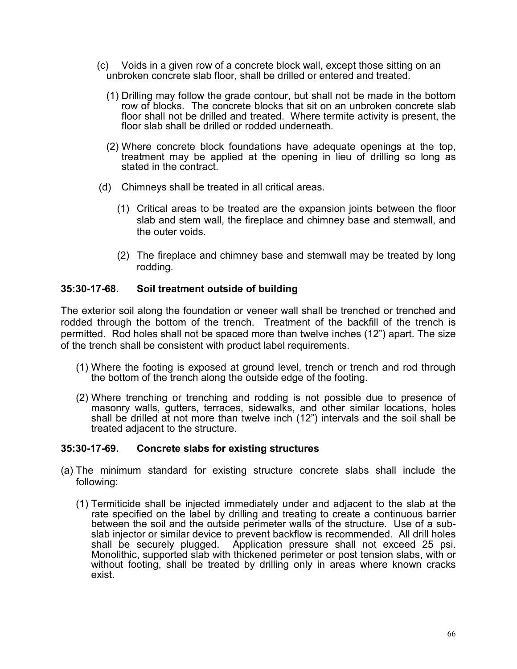- (c) Voids in a given row of a concrete block wall, except those sitting on an unbroken concrete slab floor, shall be drilled or entered and treated.
	- (1) Drilling may follow the grade contour, but shall not be made in the bottom row of blocks. The concrete blocks that sit on an unbroken concrete slab floor shall not be drilled and treated. Where termite activity is present, the floor slab shall be drilled or rodded underneath.
	- (2) Where concrete block foundations have adequate openings at the top, treatment may be applied at the opening in lieu of drilling so long as stated in the contract.
- (d) Chimneys shall be treated in all critical areas.
	- (1) Critical areas to be treated are the expansion joints between the floor slab and stem wall, the fireplace and chimney base and stemwall, and the outer voids.
	- (2) The fireplace and chimney base and stemwall may be treated by long rodding.

## **35:30-17-68. Soil treatment outside of building**

The exterior soil along the foundation or veneer wall shall be trenched or trenched and rodded through the bottom of the trench. Treatment of the backfill of the trench is permitted. Rod holes shall not be spaced more than twelve inches (12") apart. The size of the trench shall be consistent with product label requirements.

- (1) Where the footing is exposed at ground level, trench or trench and rod through the bottom of the trench along the outside edge of the footing.
- (2) Where trenching or trenching and rodding is not possible due to presence of masonry walls, gutters, terraces, sidewalks, and other similar locations, holes shall be drilled at not more than twelve inch (12") intervals and the soil shall be treated adjacent to the structure.

## **35:30-17-69. Concrete slabs for existing structures**

- (a) The minimum standard for existing structure concrete slabs shall include the following:
	- (1) Termiticide shall be injected immediately under and adjacent to the slab at the rate specified on the label by drilling and treating to create a continuous barrier<br>between the soil and the outside perimeter walls of the structure. Use of a subslab injector or similar device to prevent backflow is recommended. All drill holes shall be securely plugged. Application pressure shall not exceed 25 psi. Monolithic, supported slab with thickened perimeter or post tension slabs, with or without footing, shall be treated by drilling only in areas where known cracks exist.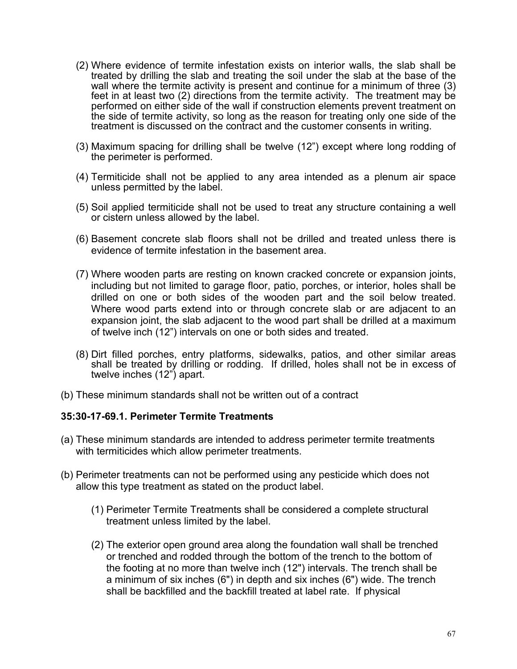- (2) Where evidence of termite infestation exists on interior walls, the slab shall be treated by drilling the slab and treating the soil under the slab at the base of the wall where the termite activity is present and continue for a minimum of three (3) feet in at least two (2) directions from the termite activity. The treatment may be performed on either side of the wall if construction elements prevent treatment on the side of termite activity, so long as the reason for treating only one side of the treatment is discussed on the contract and the customer consents in writing.
- (3) Maximum spacing for drilling shall be twelve (12") except where long rodding of the perimeter is performed.
- (4) Termiticide shall not be applied to any area intended as a plenum air space unless permitted by the label.
- (5) Soil applied termiticide shall not be used to treat any structure containing a well or cistern unless allowed by the label.
- (6) Basement concrete slab floors shall not be drilled and treated unless there is evidence of termite infestation in the basement area.
- (7) Where wooden parts are resting on known cracked concrete or expansion joints, including but not limited to garage floor, patio, porches, or interior, holes shall be drilled on one or both sides of the wooden part and the soil below treated. Where wood parts extend into or through concrete slab or are adjacent to an expansion joint, the slab adjacent to the wood part shall be drilled at a maximum of twelve inch (12") intervals on one or both sides and treated.
- (8) Dirt filled porches, entry platforms, sidewalks, patios, and other similar areas shall be treated by drilling or rodding. If drilled, holes shall not be in excess of twelve inches (12") apart.
- (b) These minimum standards shall not be written out of a contract

### **35:30-17-69.1. Perimeter Termite Treatments**

- (a) These minimum standards are intended to address perimeter termite treatments with termiticides which allow perimeter treatments.
- (b) Perimeter treatments can not be performed using any pesticide which does not allow this type treatment as stated on the product label.
	- (1) Perimeter Termite Treatments shall be considered a complete structural treatment unless limited by the label.
	- (2) The exterior open ground area along the foundation wall shall be trenched or trenched and rodded through the bottom of the trench to the bottom of the footing at no more than twelve inch (12") intervals. The trench shall be a minimum of six inches (6") in depth and six inches (6") wide. The trench shall be backfilled and the backfill treated at label rate. If physical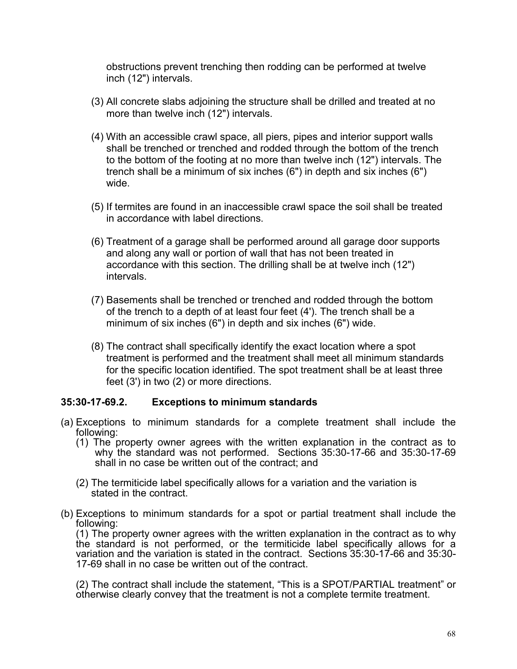obstructions prevent trenching then rodding can be performed at twelve inch (12") intervals.

- (3) All concrete slabs adjoining the structure shall be drilled and treated at no more than twelve inch (12") intervals.
- (4) With an accessible crawl space, all piers, pipes and interior support walls shall be trenched or trenched and rodded through the bottom of the trench to the bottom of the footing at no more than twelve inch (12") intervals. The trench shall be a minimum of six inches (6") in depth and six inches (6") wide.
- (5) If termites are found in an inaccessible crawl space the soil shall be treated in accordance with label directions.
- (6) Treatment of a garage shall be performed around all garage door supports and along any wall or portion of wall that has not been treated in accordance with this section. The drilling shall be at twelve inch (12") intervals.
- (7) Basements shall be trenched or trenched and rodded through the bottom of the trench to a depth of at least four feet (4'). The trench shall be a minimum of six inches (6") in depth and six inches (6") wide.
- (8) The contract shall specifically identify the exact location where a spot treatment is performed and the treatment shall meet all minimum standards for the specific location identified. The spot treatment shall be at least three feet (3') in two (2) or more directions.

### **35:30-17-69.2. Exceptions to minimum standards**

- (a) Exceptions to minimum standards for a complete treatment shall include the following:
	- (1) The property owner agrees with the written explanation in the contract as to why the standard was not performed. Sections 35:30-17-66 and 35:30-17-69 shall in no case be written out of the contract; and
	- (2) The termiticide label specifically allows for a variation and the variation is stated in the contract.
- (b) Exceptions to minimum standards for a spot or partial treatment shall include the following:

(1) The property owner agrees with the written explanation in the contract as to why the standard is not performed, or the termiticide label specifically allows for a variation and the variation is stated in the contract. Sections 35:30-17-66 and 35:30-<br>17-69 shall in no case be written out of the contract.

(2) The contract shall include the statement, "This is a SPOT/PARTIAL treatment" or otherwise clearly convey that the treatment is not a complete termite treatment.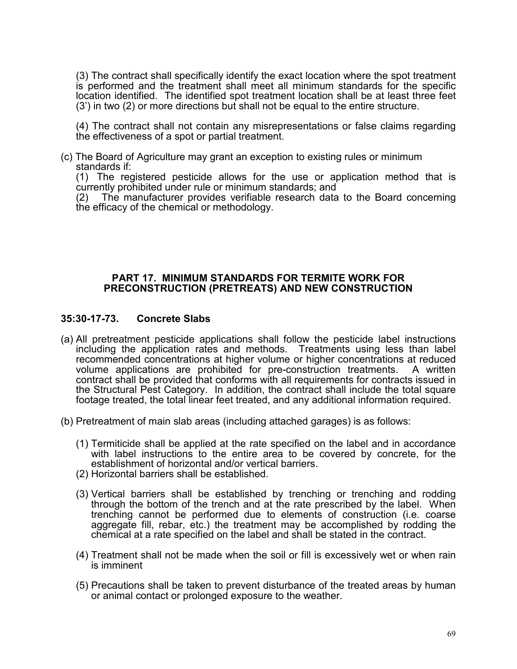(3) The contract shall specifically identify the exact location where the spot treatment is performed and the treatment shall meet all minimum standards for the specific location identified. The identified spot treatment location shall be at least three feet (3') in two (2) or more directions but shall not be equal to the entire structure.

(4) The contract shall not contain any misrepresentations or false claims regarding the effectiveness of a spot or partial treatment.

(c) The Board of Agriculture may grant an exception to existing rules or minimum standards if:

(1) The registered pesticide allows for the use or application method that is currently prohibited under rule or minimum standards; and

(2) The manufacturer provides verifiable research data to the Board concerning the efficacy of the chemical or methodology.

#### **PART 17. MINIMUM STANDARDS FOR TERMITE WORK FOR PRECONSTRUCTION (PRETREATS) AND NEW CONSTRUCTION**

#### **35:30-17-73. Concrete Slabs**

- (a) All pretreatment pesticide applications shall follow the pesticide label instructions including the application rates and methods. Treatments using less than label recommended concentrations at higher volume or higher concentrations at reduced volume applications are prohibited for pre-construction treatments. A written contract shall be provided that conforms with all requirements for contracts issued in the Structural Pest Category. In addition, the contract shall include the total square footage treated, the total linear feet treated, and any additional information required.
- (b) Pretreatment of main slab areas (including attached garages) is as follows:
	- (1) Termiticide shall be applied at the rate specified on the label and in accordance with label instructions to the entire area to be covered by concrete, for the establishment of horizontal and/or vertical barriers.
	- (2) Horizontal barriers shall be established.
	- (3) Vertical barriers shall be established by trenching or trenching and rodding through the bottom of the trench and at the rate prescribed by the label. When trenching cannot be performed due to elements of construction (i.e. coarse aggregate fill, rebar, etc.) the treatment may be accomplished by rodding the chemical at a rate specified on the label and shall be stated in the contract.
	- (4) Treatment shall not be made when the soil or fill is excessively wet or when rain is imminent
	- (5) Precautions shall be taken to prevent disturbance of the treated areas by human or animal contact or prolonged exposure to the weather.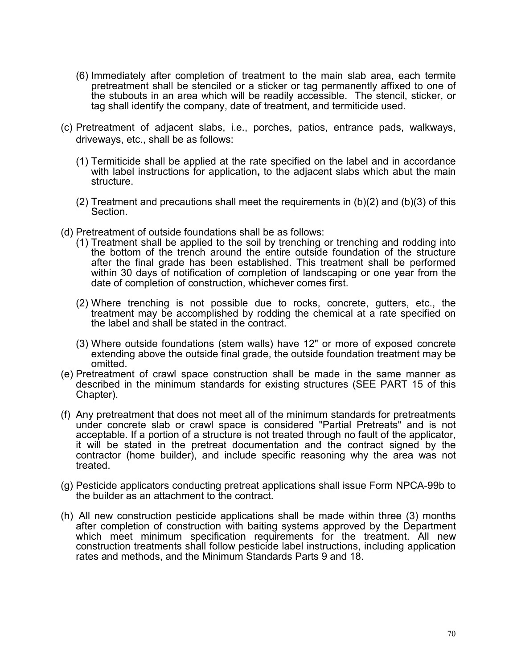- (6) Immediately after completion of treatment to the main slab area, each termite pretreatment shall be stenciled or a sticker or tag permanently affixed to one of the stubouts in an area which will be readily accessible. The stencil, sticker, or tag shall identify the company, date of treatment, and termiticide used.
- (c) Pretreatment of adjacent slabs, i.e., porches, patios, entrance pads, walkways, driveways, etc., shall be as follows:
	- (1) Termiticide shall be applied at the rate specified on the label and in accordance with label instructions for application**,** to the adjacent slabs which abut the main structure.
	- (2) Treatment and precautions shall meet the requirements in  $(b)(2)$  and  $(b)(3)$  of this Section.
- (d) Pretreatment of outside foundations shall be as follows:
	- (1) Treatment shall be applied to the soil by trenching or trenching and rodding into the bottom of the trench around the entire outside foundation of the structure after the final grade has been established. This treatment shall be performed within 30 days of notification of completion of landscaping or one year from the date of completion of construction, whichever comes first.
	- (2) Where trenching is not possible due to rocks, concrete, gutters, etc., the treatment may be accomplished by rodding the chemical at a rate specified on the label and shall be stated in the contract.
	- (3) Where outside foundations (stem walls) have 12" or more of exposed concrete extending above the outside final grade, the outside foundation treatment may be omitted.
- (e) Pretreatment of crawl space construction shall be made in the same manner as described in the minimum standards for existing structures (SEE PART 15 of this Chapter).
- (f) Any pretreatment that does not meet all of the minimum standards for pretreatments under concrete slab or crawl space is considered "Partial Pretreats" and is not acceptable. If a portion of a structure is not treated through no fault of the applicator, it will be stated in the pretreat documentation and the contract signed by the contractor (home builder), and include specific reasoning why the area was not treated.
- (g) Pesticide applicators conducting pretreat applications shall issue Form NPCA-99b to the builder as an attachment to the contract.
- (h) All new construction pesticide applications shall be made within three (3) months after completion of construction with baiting systems approved by the Department which meet minimum specification requirements for the treatment. All new construction treatments shall follow pesticide label instructions, including application rates and methods, and the Minimum Standards Parts 9 and 18.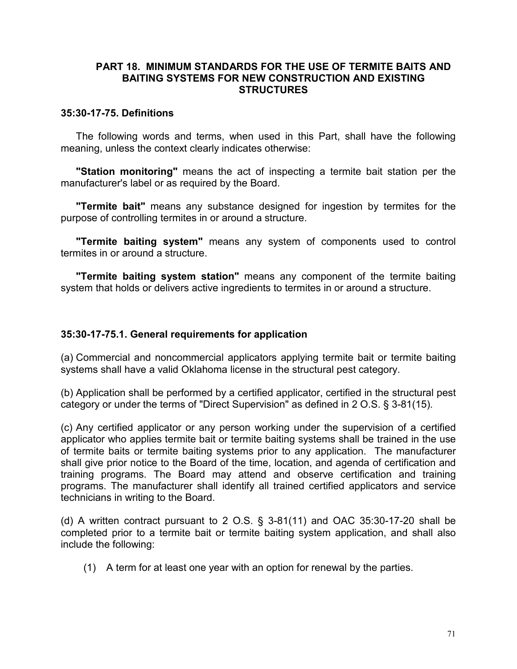### **PART 18. MINIMUM STANDARDS FOR THE USE OF TERMITE BAITS AND BAITING SYSTEMS FOR NEW CONSTRUCTION AND EXISTING STRUCTURES**

#### **35:30-17-75. Definitions**

The following words and terms, when used in this Part, shall have the following meaning, unless the context clearly indicates otherwise:

**"Station monitoring"** means the act of inspecting a termite bait station per the manufacturer's label or as required by the Board.

**"Termite bait"** means any substance designed for ingestion by termites for the purpose of controlling termites in or around a structure.

**"Termite baiting system"** means any system of components used to control termites in or around a structure.

**"Termite baiting system station"** means any component of the termite baiting system that holds or delivers active ingredients to termites in or around a structure.

### **35:30-17-75.1. General requirements for application**

(a) Commercial and noncommercial applicators applying termite bait or termite baiting systems shall have a valid Oklahoma license in the structural pest category.

(b) Application shall be performed by a certified applicator, certified in the structural pest category or under the terms of "Direct Supervision" as defined in 2 O.S. § 3-81(15).

(c) Any certified applicator or any person working under the supervision of a certified applicator who applies termite bait or termite baiting systems shall be trained in the use of termite baits or termite baiting systems prior to any application. The manufacturer shall give prior notice to the Board of the time, location, and agenda of certification and training programs. The Board may attend and observe certification and training programs. The manufacturer shall identify all trained certified applicators and service technicians in writing to the Board.

(d) A written contract pursuant to 2 O.S.  $\S$  3-81(11) and OAC 35:30-17-20 shall be completed prior to a termite bait or termite baiting system application, and shall also include the following:

(1) A term for at least one year with an option for renewal by the parties.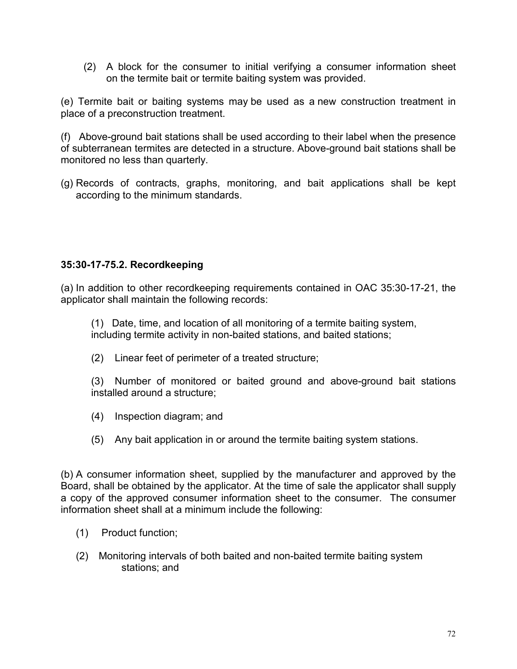(2) A block for the consumer to initial verifying a consumer information sheet on the termite bait or termite baiting system was provided.

(e) Termite bait or baiting systems may be used as a new construction treatment in place of a preconstruction treatment.

(f) Above-ground bait stations shall be used according to their label when the presence of subterranean termites are detected in a structure. Above-ground bait stations shall be monitored no less than quarterly.

(g) Records of contracts, graphs, monitoring, and bait applications shall be kept according to the minimum standards.

# **35:30-17-75.2. Recordkeeping**

(a) In addition to other recordkeeping requirements contained in OAC 35:30-17-21, the applicator shall maintain the following records:

(1) Date, time, and location of all monitoring of a termite baiting system, including termite activity in non-baited stations, and baited stations;

(2) Linear feet of perimeter of a treated structure;

(3) Number of monitored or baited ground and above-ground bait stations installed around a structure;

- (4) Inspection diagram; and
- (5) Any bait application in or around the termite baiting system stations.

(b) A consumer information sheet, supplied by the manufacturer and approved by the Board, shall be obtained by the applicator. At the time of sale the applicator shall supply a copy of the approved consumer information sheet to the consumer. The consumer information sheet shall at a minimum include the following:

- (1) Product function;
- (2) Monitoring intervals of both baited and non-baited termite baiting system stations; and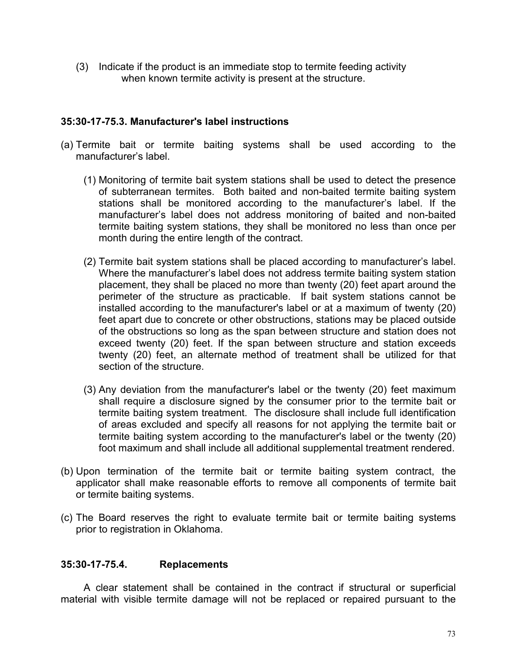(3) Indicate if the product is an immediate stop to termite feeding activity when known termite activity is present at the structure.

## **35:30-17-75.3. Manufacturer's label instructions**

- (a) Termite bait or termite baiting systems shall be used according to the manufacturer's label.
	- (1) Monitoring of termite bait system stations shall be used to detect the presence of subterranean termites. Both baited and non-baited termite baiting system stations shall be monitored according to the manufacturer's label. If the manufacturer's label does not address monitoring of baited and non-baited termite baiting system stations, they shall be monitored no less than once per month during the entire length of the contract.
	- (2) Termite bait system stations shall be placed according to manufacturer's label. Where the manufacturer's label does not address termite baiting system station placement, they shall be placed no more than twenty (20) feet apart around the perimeter of the structure as practicable. If bait system stations cannot be installed according to the manufacturer's label or at a maximum of twenty (20) feet apart due to concrete or other obstructions, stations may be placed outside of the obstructions so long as the span between structure and station does not exceed twenty (20) feet. If the span between structure and station exceeds twenty (20) feet, an alternate method of treatment shall be utilized for that section of the structure.
	- (3) Any deviation from the manufacturer's label or the twenty (20) feet maximum shall require a disclosure signed by the consumer prior to the termite bait or termite baiting system treatment. The disclosure shall include full identification of areas excluded and specify all reasons for not applying the termite bait or termite baiting system according to the manufacturer's label or the twenty (20) foot maximum and shall include all additional supplemental treatment rendered.
- (b) Upon termination of the termite bait or termite baiting system contract, the applicator shall make reasonable efforts to remove all components of termite bait or termite baiting systems.
- (c) The Board reserves the right to evaluate termite bait or termite baiting systems prior to registration in Oklahoma.

### **35:30-17-75.4. Replacements**

A clear statement shall be contained in the contract if structural or superficial material with visible termite damage will not be replaced or repaired pursuant to the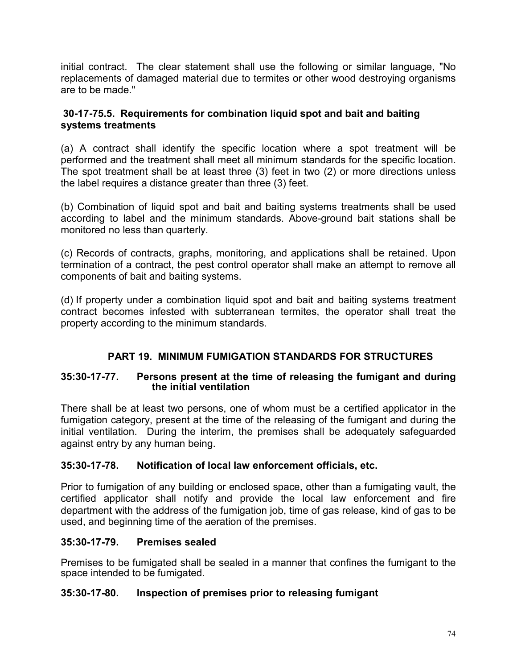initial contract. The clear statement shall use the following or similar language, "No replacements of damaged material due to termites or other wood destroying organisms are to be made."

# **30-17-75.5. Requirements for combination liquid spot and bait and baiting systems treatments**

(a) A contract shall identify the specific location where a spot treatment will be performed and the treatment shall meet all minimum standards for the specific location. The spot treatment shall be at least three (3) feet in two (2) or more directions unless the label requires a distance greater than three (3) feet.

(b) Combination of liquid spot and bait and baiting systems treatments shall be used according to label and the minimum standards. Above-ground bait stations shall be monitored no less than quarterly.

(c) Records of contracts, graphs, monitoring, and applications shall be retained. Upon termination of a contract, the pest control operator shall make an attempt to remove all components of bait and baiting systems.

(d) If property under a combination liquid spot and bait and baiting systems treatment contract becomes infested with subterranean termites, the operator shall treat the property according to the minimum standards.

# **PART 19. MINIMUM FUMIGATION STANDARDS FOR STRUCTURES**

# **35:30-17-77. Persons present at the time of releasing the fumigant and during the initial ventilation**

There shall be at least two persons, one of whom must be a certified applicator in the fumigation category, present at the time of the releasing of the fumigant and during the initial ventilation. During the interim, the premises shall be adequately safeguarded against entry by any human being.

# **35:30-17-78. Notification of local law enforcement officials, etc.**

Prior to fumigation of any building or enclosed space, other than a fumigating vault, the certified applicator shall notify and provide the local law enforcement and fire department with the address of the fumigation job, time of gas release, kind of gas to be used, and beginning time of the aeration of the premises.

# **35:30-17-79. Premises sealed**

Premises to be fumigated shall be sealed in a manner that confines the fumigant to the space intended to be fumigated.

# **35:30-17-80. Inspection of premises prior to releasing fumigant**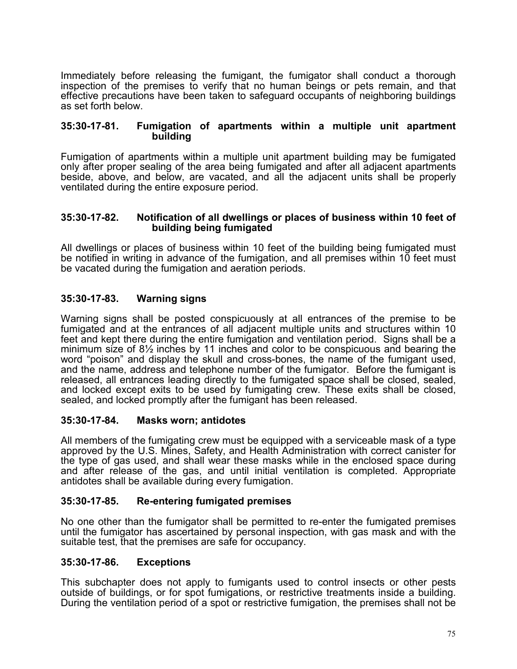Immediately before releasing the fumigant, the fumigator shall conduct a thorough inspection of the premises to verify that no human beings or pets remain, and that effective precautions have been taken to safeguard occupants of neighboring buildings as set forth below.

#### **35:30-17-81. Fumigation of apartments within a multiple unit apartment building**

Fumigation of apartments within a multiple unit apartment building may be fumigated only after proper sealing of the area being fumigated and after all adjacent apartments beside, above, and below, are vacated, and all the adjacent units shall be properly ventilated during the entire exposure period.

#### **35:30-17-82. Notification of all dwellings or places of business within 10 feet of building being fumigated**

All dwellings or places of business within 10 feet of the building being fumigated must be notified in writing in advance of the fumigation, and all premises within 10 feet must be vacated during the fumigation and aeration periods.

# **35:30-17-83. Warning signs**

Warning signs shall be posted conspicuously at all entrances of the premise to be fumigated and at the entrances of all adjacent multiple units and structures within 10 feet and kept there during the entire fumigation and ventilation period. Signs shall be a minimum size of 8½ inches by 11 inches and color to be conspicuous and bearing the word "poison" and display the skull and cross-bones, the name of the fumigant used, and the name, address and telephone number of the fumigator. Before the fumigant is released, all entrances leading directly to the fumigated space shall be closed, sealed, and locked except exits to be used by fumigating crew. These exits shall be closed, sealed, and locked promptly after the fumigant has been released.

### **35:30-17-84. Masks worn; antidotes**

All members of the fumigating crew must be equipped with a serviceable mask of a type approved by the U.S. Mines, Safety, and Health Administration with correct canister for the type of gas used, and shall wear these masks while in the enclosed space during and after release of the gas, and until initial ventilation is completed. Appropriate antidotes shall be available during every fumigation.

### **35:30-17-85. Re-entering fumigated premises**

No one other than the fumigator shall be permitted to re-enter the fumigated premises until the fumigator has ascertained by personal inspection, with gas mask and with the suitable test, that the premises are safe for occupancy.

#### **35:30-17-86. Exceptions**

This subchapter does not apply to fumigants used to control insects or other pests outside of buildings, or for spot fumigations, or restrictive treatments inside a building. During the ventilation period of a spot or restrictive fumigation, the premises shall not be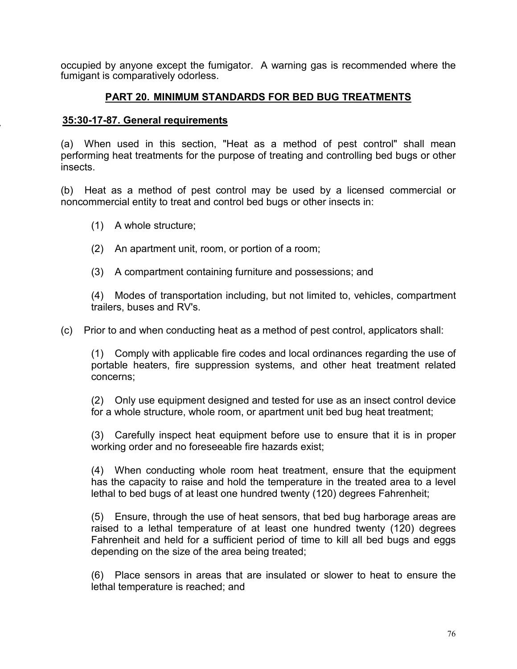occupied by anyone except the fumigator. A warning gas is recommended where the fumigant is comparatively odorless.

# **PART 20. MINIMUM STANDARDS FOR BED BUG TREATMENTS**

# **35:30-17-87. General requirements**

(a) When used in this section, "Heat as a method of pest control" shall mean performing heat treatments for the purpose of treating and controlling bed bugs or other insects.

(b) Heat as a method of pest control may be used by a licensed commercial or noncommercial entity to treat and control bed bugs or other insects in:

- (1) A whole structure;
- (2) An apartment unit, room, or portion of a room;
- (3) A compartment containing furniture and possessions; and

(4) Modes of transportation including, but not limited to, vehicles, compartment trailers, buses and RV's.

(c) Prior to and when conducting heat as a method of pest control, applicators shall:

(1) Comply with applicable fire codes and local ordinances regarding the use of portable heaters, fire suppression systems, and other heat treatment related concerns;

(2) Only use equipment designed and tested for use as an insect control device for a whole structure, whole room, or apartment unit bed bug heat treatment;

(3) Carefully inspect heat equipment before use to ensure that it is in proper working order and no foreseeable fire hazards exist;

(4) When conducting whole room heat treatment, ensure that the equipment has the capacity to raise and hold the temperature in the treated area to a level lethal to bed bugs of at least one hundred twenty (120) degrees Fahrenheit;

(5) Ensure, through the use of heat sensors, that bed bug harborage areas are raised to a lethal temperature of at least one hundred twenty (120) degrees Fahrenheit and held for a sufficient period of time to kill all bed bugs and eggs depending on the size of the area being treated;

(6) Place sensors in areas that are insulated or slower to heat to ensure the lethal temperature is reached; and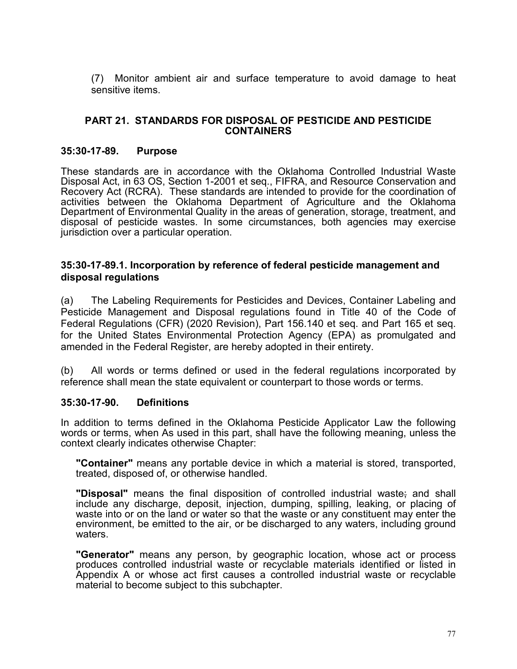(7) Monitor ambient air and surface temperature to avoid damage to heat sensitive items.

#### **PART 21. STANDARDS FOR DISPOSAL OF PESTICIDE AND PESTICIDE CONTAINERS**

#### **35:30-17-89. Purpose**

These standards are in accordance with the Oklahoma Controlled Industrial Waste Disposal Act, in 63 OS, Section 1-2001 et seq., FIFRA, and Resource Conservation and Recovery Act (RCRA). These standards are intended to provide for the coordination of activities between the Oklahoma Department of Agriculture and the Oklahoma Department of Environmental Quality in the areas of generation, storage, treatment, and disposal of pesticide wastes. In some circumstances, both agencies may exercise jurisdiction over a particular operation.

#### **35:30-17-89.1. Incorporation by reference of federal pesticide management and disposal regulations**

(a) The Labeling Requirements for Pesticides and Devices, Container Labeling and Pesticide Management and Disposal regulations found in Title 40 of the Code of Federal Regulations (CFR) (2020 Revision), Part 156.140 et seq. and Part 165 et seq. for the United States Environmental Protection Agency (EPA) as promulgated and amended in the Federal Register, are hereby adopted in their entirety.

(b) All words or terms defined or used in the federal regulations incorporated by reference shall mean the state equivalent or counterpart to those words or terms.

### **35:30-17-90. Definitions**

In addition to terms defined in the Oklahoma Pesticide Applicator Law the following words or terms, when As used in this part, shall have the following meaning, unless the context clearly indicates otherwise Chapter:

**"Container"** means any portable device in which a material is stored, transported, treated, disposed of, or otherwise handled.

**"Disposal"** means the final disposition of controlled industrial waste; and shall include any discharge, deposit, injection, dumping, spilling, leaking, or placing of waste into or on the land or water so that the waste or any constituent may enter the environment, be emitted to the air, or be discharged to any waters, including ground waters.

**"Generator"** means any person, by geographic location, whose act or process produces controlled industrial waste or recyclable materials identified or listed in Appendix A or whose act first causes a controlled industrial waste or recyclable material to become subject to this subchapter.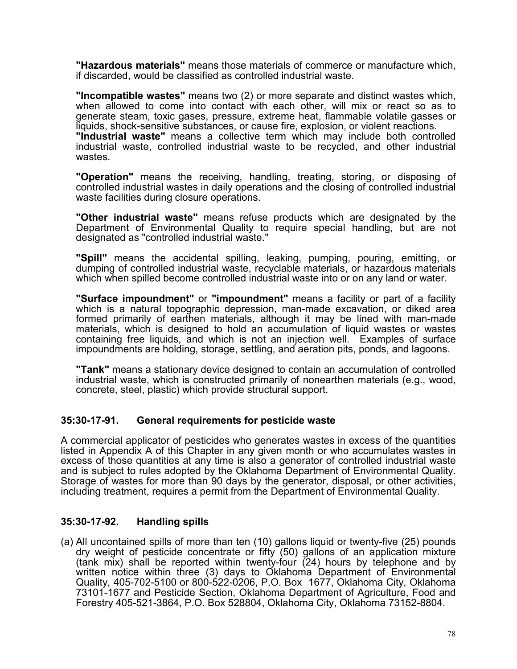**"Hazardous materials"** means those materials of commerce or manufacture which, if discarded, would be classified as controlled industrial waste.

**"Incompatible wastes"** means two (2) or more separate and distinct wastes which, when allowed to come into contact with each other, will mix or react so as to generate steam, toxic gases, pressure, extreme heat, flammable volatile gasses or liquids, shock-sensitive substances, or cause fire, explosion, or violent reactions.

**"Industrial waste"** means a collective term which may include both controlled industrial waste, controlled industrial waste to be recycled, and other industrial wastes.

**"Operation"** means the receiving, handling, treating, storing, or disposing of controlled industrial wastes in daily operations and the closing of controlled industrial waste facilities during closure operations.

**"Other industrial waste"** means refuse products which are designated by the Department of Environmental Quality to require special handling, but are not designated as "controlled industrial waste."

**"Spill"** means the accidental spilling, leaking, pumping, pouring, emitting, or dumping of controlled industrial waste, recyclable materials, or hazardous materials which when spilled become controlled industrial waste into or on any land or water.

**"Surface impoundment"** or **"impoundment"** means a facility or part of a facility which is a natural topographic depression, man-made excavation, or diked area formed primarily of earthen materials, although it may be lined with man-made materials, which is designed to hold an accumulation of liquid wastes or wastes containing free liquids, and which is not an injection well. Examples of surface impoundments are holding, storage, settling, and aeration pits, ponds, and lagoons.

**"Tank"** means a stationary device designed to contain an accumulation of controlled industrial waste, which is constructed primarily of nonearthen materials (e.g., wood, concrete, steel, plastic) which provide structural support.

### **35:30-17-91. General requirements for pesticide waste**

A commercial applicator of pesticides who generates wastes in excess of the quantities listed in Appendix A of this Chapter in any given month or who accumulates wastes in excess of those quantities at any time is also a generator of controlled industrial waste and is subject to rules adopted by the Oklahoma Department of Environmental Quality. Storage of wastes for more than 90 days by the generator, disposal, or other activities, including treatment, requires a permit from the Department of Environmental Quality.

### **35:30-17-92. Handling spills**

(a) All uncontained spills of more than ten (10) gallons liquid or twenty-five (25) pounds dry weight of pesticide concentrate or fifty (50) gallons of an application mixture (tank mix) shall be reported within twenty-four (24) hours by telephone and by written notice within three (3) days to Oklahoma Department of Environmental Quality, 405-702-5100 or 800-522-0206, P.O. Box 1677, Oklahoma City, Oklahoma 73101-1677 and Pesticide Section, Oklahoma Department of Agriculture, Food and Forestry 405-521-3864, P.O. Box 528804, Oklahoma City, Oklahoma 73152-8804.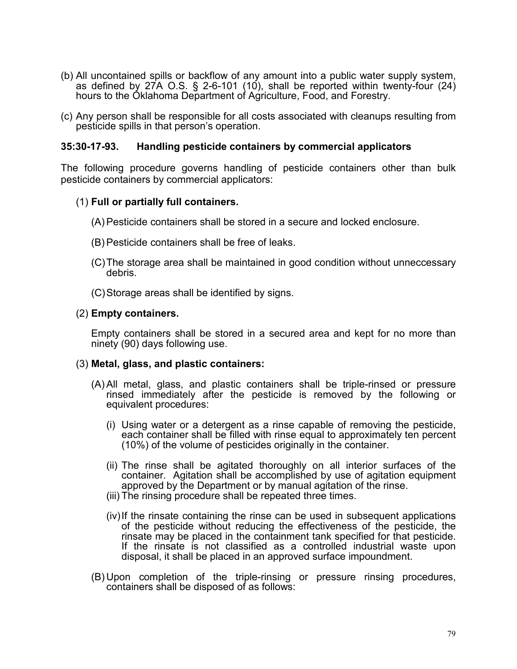- (b) All uncontained spills or backflow of any amount into a public water supply system, as defined by 27A O.S.  $\S$  2-6-101 (10), shall be reported within twenty-four (24) hours to the Oklahoma Department of Agriculture, Food, and Forestry.
- (c) Any person shall be responsible for all costs associated with cleanups resulting from pesticide spills in that person's operation.

#### **35:30-17-93. Handling pesticide containers by commercial applicators**

The following procedure governs handling of pesticide containers other than bulk pesticide containers by commercial applicators:

#### (1) **Full or partially full containers.**

- (A) Pesticide containers shall be stored in a secure and locked enclosure.
- (B) Pesticide containers shall be free of leaks.
- (C)The storage area shall be maintained in good condition without unneccessary debris.
- (C)Storage areas shall be identified by signs.

#### (2) **Empty containers.**

Empty containers shall be stored in a secured area and kept for no more than ninety (90) days following use.

#### (3) **Metal, glass, and plastic containers:**

- (A) All metal, glass, and plastic containers shall be triple-rinsed or pressure rinsed immediately after the pesticide is removed by the following or equivalent procedures:
	- (i) Using water or a detergent as a rinse capable of removing the pesticide, each container shall be filled with rinse equal to approximately ten percent (10%) of the volume of pesticides originally in the container.
	- (ii) The rinse shall be agitated thoroughly on all interior surfaces of the container. Agitation shall be accomplished by use of agitation equipment approved by the Department or by manual agitation of the rinse.
	- (iii) The rinsing procedure shall be repeated three times.
	- $(iv)$  If the rinsate containing the rinse can be used in subsequent applications of the pesticide without reducing the effectiveness of the pesticide, the rinsate may be placed in the containment tank specified for that pesticide. If the rinsate is not classified as a controlled industrial waste upon disposal, it shall be placed in an approved surface impoundment.
- (B) Upon completion of the triple-rinsing or pressure rinsing procedures, containers shall be disposed of as follows: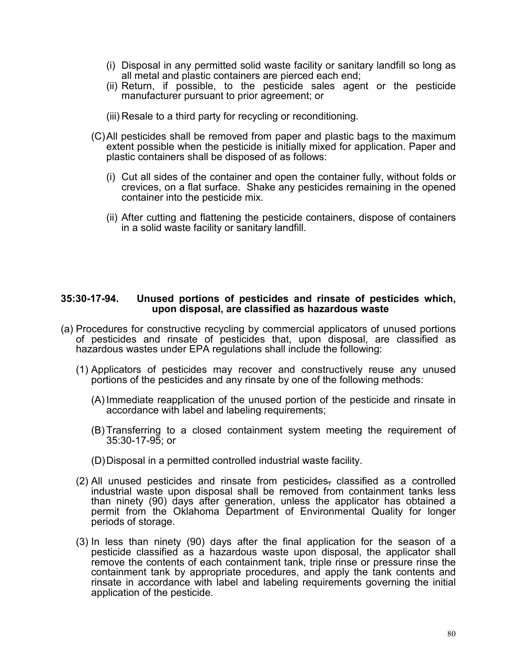- (i) Disposal in any permitted solid waste facility or sanitary landfill so long as all metal and plastic containers are pierced each end;
- (ii) Return, if possible, to the pesticide sales agent or the pesticide manufacturer pursuant to prior agreement; or
- (iii) Resale to a third party for recycling or reconditioning.
- (C)All pesticides shall be removed from paper and plastic bags to the maximum extent possible when the pesticide is initially mixed for application. Paper and plastic containers shall be disposed of as follows:
	- (i) Cut all sides of the container and open the container fully, without folds or crevices, on a flat surface. Shake any pesticides remaining in the opened container into the pesticide mix.
	- (ii) After cutting and flattening the pesticide containers, dispose of containers in a solid waste facility or sanitary landfill.

#### **35:30-17-94. Unused portions of pesticides and rinsate of pesticides which, upon disposal, are classified as hazardous waste**

- (a) Procedures for constructive recycling by commercial applicators of unused portions of pesticides and rinsate of pesticides that, upon disposal, are classified as hazardous wastes under EPA regulations shall include the following:
	- (1) Applicators of pesticides may recover and constructively reuse any unused portions of the pesticides and any rinsate by one of the following methods:
		- (A) Immediate reapplication of the unused portion of the pesticide and rinsate in accordance with label and labeling requirements;
		- (B) Transferring to a closed containment system meeting the requirement of 35:30-17-95; or
		- (D)Disposal in a permitted controlled industrial waste facility.
	- (2) All unused pesticides and rinsate from pesticides, classified as a controlled industrial waste upon disposal shall be removed from containment tanks less than ninety (90) days after generation, unless the applicator has obtained a permit from the Oklahoma Department of Environmental Quality for longer periods of storage.
	- (3) In less than ninety (90) days after the final application for the season of a pesticide classified as a hazardous waste upon disposal, the applicator shall remove the contents of each containment tank, triple rinse or pressure rinse the containment tank by appropriate procedures, and apply the tank contents and rinsate in accordance with label and labeling requirements governing the initial application of the pesticide.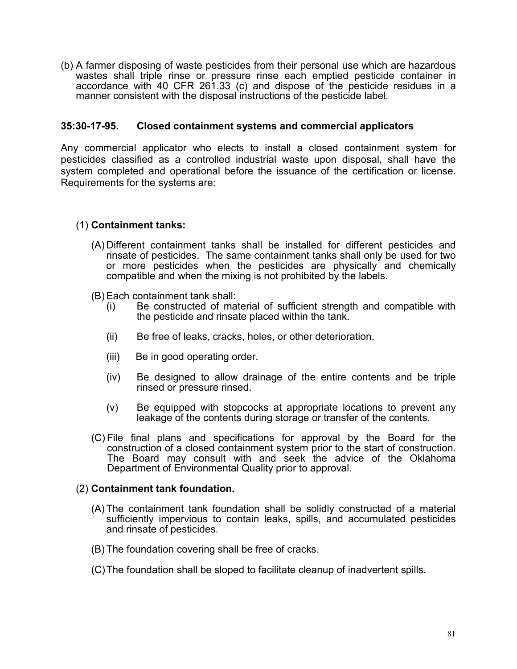(b) A farmer disposing of waste pesticides from their personal use which are hazardous wastes shall triple rinse or pressure rinse each emptied pesticide container in accordance with 40 CFR 261.33 (c) and dispose of the pesticide residues in a manner consistent with the disposal instructions of the pesticide label.

#### **35:30-17-95. Closed containment systems and commercial applicators**

Any commercial applicator who elects to install a closed containment system for pesticides classified as a controlled industrial waste upon disposal, shall have the system completed and operational before the issuance of the certification or license. Requirements for the systems are:

### (1) **Containment tanks:**

- (A) Different containment tanks shall be installed for different pesticides and rinsate of pesticides. The same containment tanks shall only be used for two or more pesticides when the pesticides are physically and chemically compatible and when the mixing is not prohibited by the labels.
- (B) Each containment tank shall:
	- (i) Be constructed of material of sufficient strength and compatible with the pesticide and rinsate placed within the tank.
	- (ii) Be free of leaks, cracks, holes, or other deterioration.
	- (iii) Be in good operating order.
	- (iv) Be designed to allow drainage of the entire contents and be triple rinsed or pressure rinsed.
	- (v) Be equipped with stopcocks at appropriate locations to prevent any leakage of the contents during storage or transfer of the contents.
- (C) File final plans and specifications for approval by the Board for the The Board may consult with and seek the advice of the Oklahoma Department of Environmental Quality prior to approval.

#### (2) **Containment tank foundation.**

- (A) The containment tank foundation shall be solidly constructed of a material sufficiently impervious to contain leaks, spills, and accumulated pesticides and rinsate of pesticides.
- (B) The foundation covering shall be free of cracks.
- (C)The foundation shall be sloped to facilitate cleanup of inadvertent spills.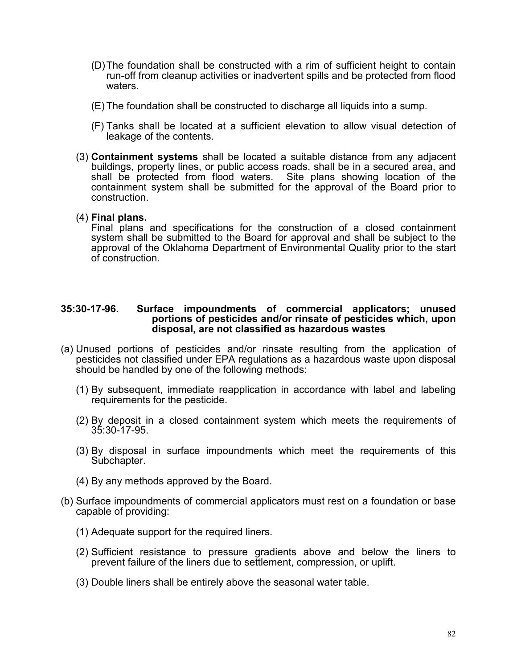- (D)The foundation shall be constructed with a rim of sufficient height to contain run-off from cleanup activities or inadvertent spills and be protected from flood waters.
- (E) The foundation shall be constructed to discharge all liquids into a sump.
- (F) Tanks shall be located at a sufficient elevation to allow visual detection of leakage of the contents.
- (3) **Containment systems** shall be located a suitable distance from any adjacent buildings, property lines, or public access roads, shall be in a secured area, and shall be protected from flood waters. Site plans showing location of the containment system shall be submitted for the approval of the Board prior to construction.

#### (4) **Final plans.**

Final plans and specifications for the construction of a closed containment system shall be submitted to the Board for approval and shall be subject to the approval of the Oklahoma Department of Environmental Quality prior to the start of construction.

#### **35:30-17-96. Surface impoundments of commercial applicators; unused portions of pesticides and/or rinsate of pesticides which, upon disposal, are not classified as hazardous wastes**

- (a) Unused portions of pesticides and/or rinsate resulting from the application of pesticides not classified under EPA regulations as a hazardous waste upon disposal should be handled by one of the following methods:
	- (1) By subsequent, immediate reapplication in accordance with label and labeling requirements for the pesticide.
	- (2) By deposit in a closed containment system which meets the requirements of 35:30-17-95.
	- (3) By disposal in surface impoundments which meet the requirements of this Subchapter.
	- (4) By any methods approved by the Board.
- (b) Surface impoundments of commercial applicators must rest on a foundation or base capable of providing:
	- (1) Adequate support for the required liners.
	- (2) Sufficient resistance to pressure gradients above and below the liners to prevent failure of the liners due to settlement, compression, or uplift.
	- (3) Double liners shall be entirely above the seasonal water table.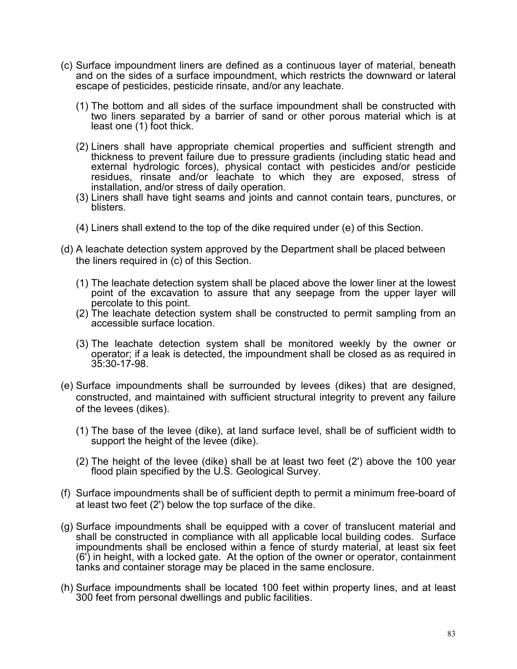- (c) Surface impoundment liners are defined as a continuous layer of material, beneath and on the sides of a surface impoundment, which restricts the downward or lateral escape of pesticides, pesticide rinsate, and/or any leachate.
	- (1) The bottom and all sides of the surface impoundment shall be constructed with two liners separated by a barrier of sand or other porous material which is at least one (1) foot thick.
	- (2) Liners shall have appropriate chemical properties and sufficient strength and thickness to prevent failure due to pressure gradients (including static head and external hydrologic forces), physical contact with pesticides and/or pesticide residues, rinsate and/or leachate to which they are exposed, stress of installation, and/or stress of daily operation.
	- (3) Liners shall have tight seams and joints and cannot contain tears, punctures, or blisters.
	- (4) Liners shall extend to the top of the dike required under (e) of this Section.
- (d) A leachate detection system approved by the Department shall be placed between the liners required in (c) of this Section.
	- (1) The leachate detection system shall be placed above the lower liner at the lowest point of the excavation to assure that any seepage from the upper layer will percolate to this point.
	- (2) The leachate detection system shall be constructed to permit sampling from an accessible surface location.
	- (3) The leachate detection system shall be monitored weekly by the owner or operator; if a leak is detected, the impoundment shall be closed as as required in 35:30-17-98.
- (e) Surface impoundments shall be surrounded by levees (dikes) that are designed, constructed, and maintained with sufficient structural integrity to prevent any failure of the levees (dikes).
	- (1) The base of the levee (dike), at land surface level, shall be of sufficient width to support the height of the levee (dike).
	- (2) The height of the levee (dike) shall be at least two feet (2') above the 100 year flood plain specified by the U.S. Geological Survey.
- (f) Surface impoundments shall be of sufficient depth to permit a minimum free-board of at least two feet (2') below the top surface of the dike.
- (g) Surface impoundments shall be equipped with a cover of translucent material and shall be constructed in compliance with all applicable local building codes. Surface impoundments shall be enclosed within a fence of sturdy material, at least six feet (6') in height, with a locked gate. At the option of the owner or operator, containment tanks and container storage may be placed in the same enclosure.
- (h) Surface impoundments shall be located 100 feet within property lines, and at least 300 feet from personal dwellings and public facilities.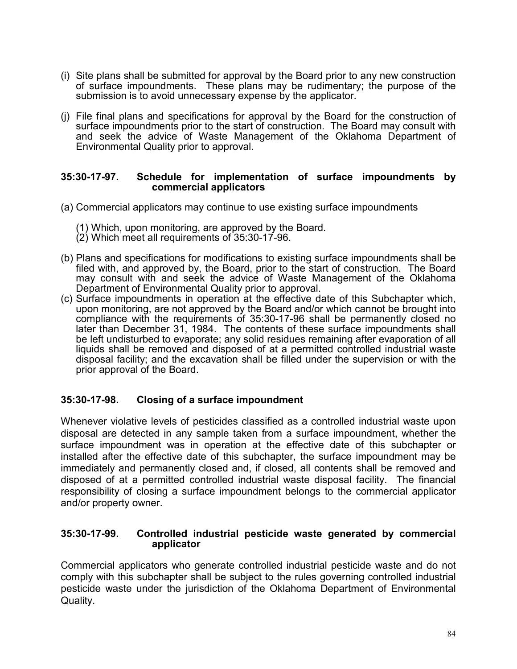- (i) Site plans shall be submitted for approval by the Board prior to any new construction of surface impoundments. These plans may be rudimentary; the purpose of the submission is to avoid unnecessary expense by the applicator.
- (j) File final plans and specifications for approval by the Board for the construction of surface impoundments prior to the start of construction. The Board may consult with and seek the advice of Waste Management of the Oklahoma Department of Environmental Quality prior to approval.

#### **35:30-17-97. Schedule for implementation of surface impoundments by commercial applicators**

- (a) Commercial applicators may continue to use existing surface impoundments
	- (1) Which, upon monitoring, are approved by the Board.
	- (2) Which meet all requirements of 35:30-17-96.
- (b) Plans and specifications for modifications to existing surface impoundments shall be filed with, and approved by, the Board, prior to the start of construction. The Board may consult with and seek the advice of Waste Management of the Oklahoma Department of Environmental Quality prior to approval.
- (c) Surface impoundments in operation at the effective date of this Subchapter which, upon monitoring, are not approved by the Board and/or which cannot be brought into compliance with the requirements of 35:30-17-96 shall be permanently closed no later than December 31, 1984. The contents of these surface impoundments shall be left undisturbed to evaporate; any solid residues remaining after evaporation of all liquids shall be removed and disposed of at a permitted controlled industrial waste disposal facility; and the excavation shall be filled under the supervision or with the prior approval of the Board.

### **35:30-17-98. Closing of a surface impoundment**

Whenever violative levels of pesticides classified as a controlled industrial waste upon disposal are detected in any sample taken from a surface impoundment, whether the surface impoundment was in operation at the effective date of this subchapter or installed after the effective date of this subchapter, the surface impoundment may be immediately and permanently closed and, if closed, all contents shall be removed and disposed of at a permitted controlled industrial waste disposal facility. The financial responsibility of closing a surface impoundment belongs to the commercial applicator and/or property owner.

#### **35:30-17-99. Controlled industrial pesticide waste generated by commercial applicator**

Commercial applicators who generate controlled industrial pesticide waste and do not comply with this subchapter shall be subject to the rules governing controlled industrial pesticide waste under the jurisdiction of the Oklahoma Department of Environmental Quality.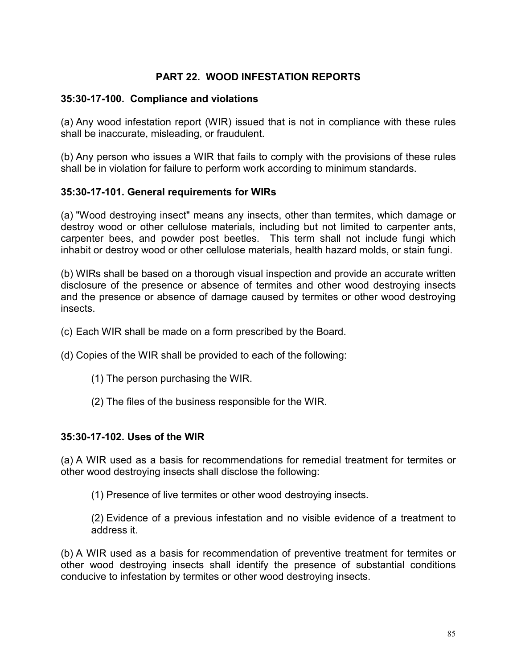# **PART 22. WOOD INFESTATION REPORTS**

### **35:30-17-100. Compliance and violations**

(a) Any wood infestation report (WIR) issued that is not in compliance with these rules shall be inaccurate, misleading, or fraudulent.

(b) Any person who issues a WIR that fails to comply with the provisions of these rules shall be in violation for failure to perform work according to minimum standards.

### **35:30-17-101. General requirements for WIRs**

(a) "Wood destroying insect" means any insects, other than termites, which damage or destroy wood or other cellulose materials, including but not limited to carpenter ants, carpenter bees, and powder post beetles. This term shall not include fungi which inhabit or destroy wood or other cellulose materials, health hazard molds, or stain fungi.

(b) WIRs shall be based on a thorough visual inspection and provide an accurate written disclosure of the presence or absence of termites and other wood destroying insects and the presence or absence of damage caused by termites or other wood destroying insects.

- (c) Each WIR shall be made on a form prescribed by the Board.
- (d) Copies of the WIR shall be provided to each of the following:
	- (1) The person purchasing the WIR.
	- (2) The files of the business responsible for the WIR.

### **35:30-17-102. Uses of the WIR**

(a) A WIR used as a basis for recommendations for remedial treatment for termites or other wood destroying insects shall disclose the following:

(1) Presence of live termites or other wood destroying insects.

(2) Evidence of a previous infestation and no visible evidence of a treatment to address it.

(b) A WIR used as a basis for recommendation of preventive treatment for termites or other wood destroying insects shall identify the presence of substantial conditions conducive to infestation by termites or other wood destroying insects.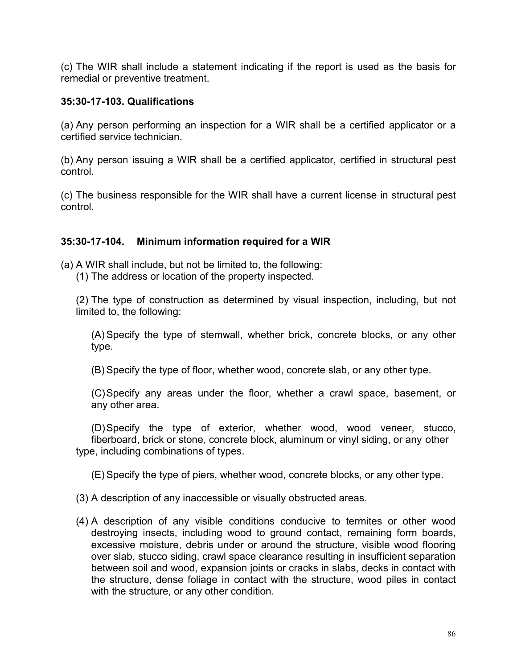(c) The WIR shall include a statement indicating if the report is used as the basis for remedial or preventive treatment.

### **35:30-17-103. Qualifications**

(a) Any person performing an inspection for a WIR shall be a certified applicator or a certified service technician.

(b) Any person issuing a WIR shall be a certified applicator, certified in structural pest control.

(c) The business responsible for the WIR shall have a current license in structural pest control.

# **35:30-17-104. Minimum information required for a WIR**

(a) A WIR shall include, but not be limited to, the following:

(1) The address or location of the property inspected.

(2) The type of construction as determined by visual inspection, including, but not limited to, the following:

(A) Specify the type of stemwall, whether brick, concrete blocks, or any other type.

(B) Specify the type of floor, whether wood, concrete slab, or any other type.

(C)Specify any areas under the floor, whether a crawl space, basement, or any other area.

(D)Specify the type of exterior, whether wood, wood veneer, stucco, fiberboard, brick or stone, concrete block, aluminum or vinyl siding, or any other type, including combinations of types.

(E) Specify the type of piers, whether wood, concrete blocks, or any other type.

(3) A description of any inaccessible or visually obstructed areas.

(4) A description of any visible conditions conducive to termites or other wood destroying insects, including wood to ground contact, remaining form boards, excessive moisture, debris under or around the structure, visible wood flooring over slab, stucco siding, crawl space clearance resulting in insufficient separation between soil and wood, expansion joints or cracks in slabs, decks in contact with the structure, dense foliage in contact with the structure, wood piles in contact with the structure, or any other condition.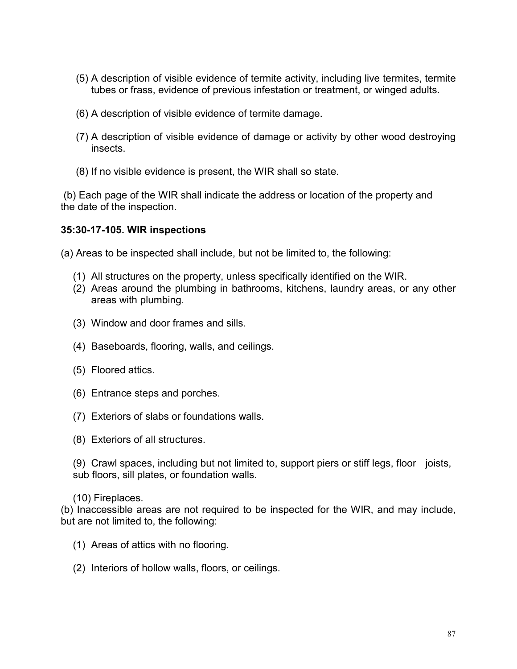- (5) A description of visible evidence of termite activity, including live termites, termite tubes or frass, evidence of previous infestation or treatment, or winged adults.
- (6) A description of visible evidence of termite damage.
- (7) A description of visible evidence of damage or activity by other wood destroying insects.
- (8) If no visible evidence is present, the WIR shall so state.

(b) Each page of the WIR shall indicate the address or location of the property and the date of the inspection.

#### **35:30-17-105. WIR inspections**

(a) Areas to be inspected shall include, but not be limited to, the following:

- (1) All structures on the property, unless specifically identified on the WIR.
- (2) Areas around the plumbing in bathrooms, kitchens, laundry areas, or any other areas with plumbing.
- (3) Window and door frames and sills.
- (4) Baseboards, flooring, walls, and ceilings.
- (5) Floored attics.
- (6) Entrance steps and porches.
- (7) Exteriors of slabs or foundations walls.
- (8) Exteriors of all structures.

(9) Crawl spaces, including but not limited to, support piers or stiff legs, floor joists, sub floors, sill plates, or foundation walls.

#### (10) Fireplaces.

(b) Inaccessible areas are not required to be inspected for the WIR, and may include, but are not limited to, the following:

- (1) Areas of attics with no flooring.
- (2) Interiors of hollow walls, floors, or ceilings.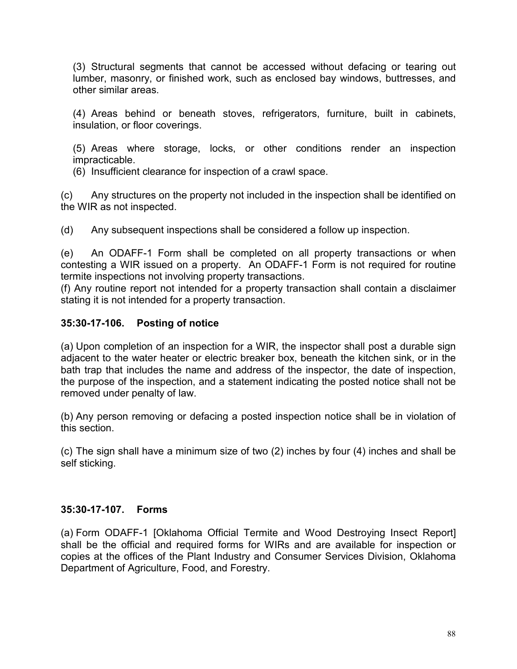(3) Structural segments that cannot be accessed without defacing or tearing out lumber, masonry, or finished work, such as enclosed bay windows, buttresses, and other similar areas.

(4) Areas behind or beneath stoves, refrigerators, furniture, built in cabinets, insulation, or floor coverings.

(5) Areas where storage, locks, or other conditions render an inspection impracticable.

(6) Insufficient clearance for inspection of a crawl space.

(c) Any structures on the property not included in the inspection shall be identified on the WIR as not inspected.

(d) Any subsequent inspections shall be considered a follow up inspection.

(e) An ODAFF-1 Form shall be completed on all property transactions or when contesting a WIR issued on a property. An ODAFF-1 Form is not required for routine termite inspections not involving property transactions.

(f) Any routine report not intended for a property transaction shall contain a disclaimer stating it is not intended for a property transaction.

# **35:30-17-106. Posting of notice**

(a) Upon completion of an inspection for a WIR, the inspector shall post a durable sign adjacent to the water heater or electric breaker box, beneath the kitchen sink, or in the bath trap that includes the name and address of the inspector, the date of inspection, the purpose of the inspection, and a statement indicating the posted notice shall not be removed under penalty of law.

(b) Any person removing or defacing a posted inspection notice shall be in violation of this section.

(c) The sign shall have a minimum size of two (2) inches by four (4) inches and shall be self sticking.

### **35:30-17-107. Forms**

(a) Form ODAFF-1 [Oklahoma Official Termite and Wood Destroying Insect Report] shall be the official and required forms for WIRs and are available for inspection or copies at the offices of the Plant Industry and Consumer Services Division, Oklahoma Department of Agriculture, Food, and Forestry.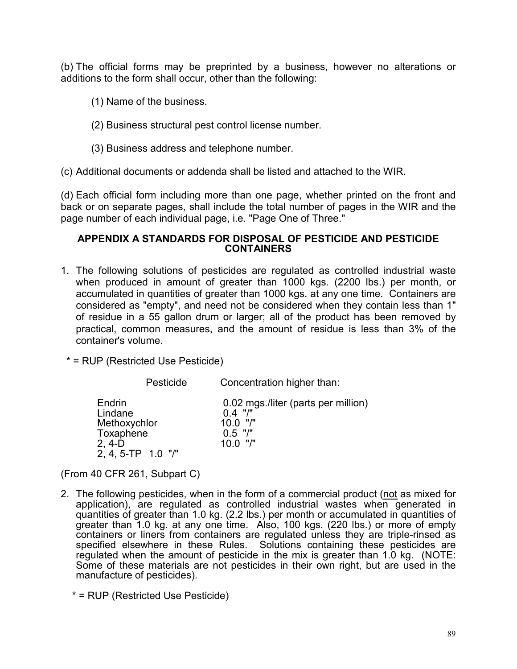(b) The official forms may be preprinted by a business, however no alterations or additions to the form shall occur, other than the following:

- (1) Name of the business.
- (2) Business structural pest control license number.
- (3) Business address and telephone number.

(c) Additional documents or addenda shall be listed and attached to the WIR.

(d) Each official form including more than one page, whether printed on the front and back or on separate pages, shall include the total number of pages in the WIR and the page number of each individual page, i.e. "Page One of Three."

### **APPENDIX A STANDARDS FOR DISPOSAL OF PESTICIDE AND PESTICIDE CONTAINERS**

1. The following solutions of pesticides are regulated as controlled industrial waste when produced in amount of greater than 1000 kgs. (2200 lbs.) per month, or accumulated in quantities of greater than 1000 kgs. at any one time. Containers are considered as "empty", and need not be considered when they contain less than 1" of residue in a 55 gallon drum or larger; all of the product has been removed by practical, common measures, and the amount of residue is less than 3% of the container's volume.

\* = RUP (Restricted Use Pesticide)

Pesticide Concentration higher than:

| Endrin<br>Lindane  | 0.02 mgs./liter (parts per million)<br>$0.4$ "/" |
|--------------------|--------------------------------------------------|
|                    |                                                  |
| Methoxychlor       | $10.0$ "/"                                       |
| Toxaphene          | $0.5$ "/"                                        |
| 2, 4-D             | $10.0$ "/"                                       |
| 2, 4, 5-TP 1.0 "/" |                                                  |

(From 40 CFR 261, Subpart C)

- 2. The following pesticides, when in the form of a commercial product (not as mixed for application), are regulated as controlled industrial wastes when generated in quantities of greater than 1.0 kg. (2.2 lbs.) per month or accumulated in quantities of greater than 1.0 kg. at any one time. Also, 100 kgs. (220 lbs.) or more of empty containers or liners from containers are regulated unless they are triple-rinsed as specified elsewhere in these Rules. Solutions containing these pesticides are regulated when the amount of pesticide in the mix is greater than 1.0 kg. (NOTE: Some of these materials are not pesticides in their own right, but are used in the manufacture of pesticides).
	- \* = RUP (Restricted Use Pesticide)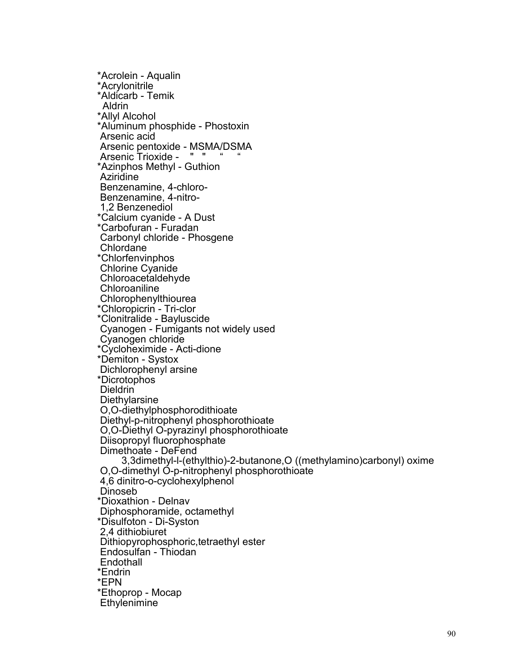\*Acrolein - Aqualin \*Acrylonitrile \*Aldicarb - Temik Aldrin \*Allyl Alcohol \*Aluminum phosphide - Phostoxin Arsenic acid Arsenic pentoxide - MSMA/DSMA Arsenic Trioxide - " " \*Azinphos Methyl - Guthion Aziridine<br>Benzenamine. 4-chloro-Benzenamine, 4-nitro-<br>1,2 Benzenediol \*Calcium cyanide - A Dust \*Carbofuran - Furadan Carbonyl chloride - Phosgene Chlordane \*Chlorfenvinphos Chlorine Cyanide Chloroacetaldehyde **Chloroaniline** Chlorophenylthiourea \*Chloropicrin - Tri-clor \*Clonitralide - Bayluscide Cyanogen - Fumigants not widely used Cyanogen chloride \*Cycloheximide - Acti-dione \*Demiton - Systox Dichlorophenyl arsine \*Dicrotophos **Dieldrin Diethylarsine** O,O-diethylphosphorodithioate Diethyl-p-nitrophenyl phosphorothioate O,O-Diethyl O-pyrazinyl phosphorothioate Diisopropyl fluorophosphate Dimethoate - DeFend 3,3dimethyl-l-(ethylthio)-2-butanone,O ((methylamino)carbonyl) oxime O,O-dimethyl O-p-nitrophenyl phosphorothioate 4,6 dinitro-o-cyclohexylphenol Dinoseb \*Dioxathion - Delnav Diphosphoramide, octamethyl \*Disulfoton - Di-Syston 2,4 dithiobiuret Dithiopyrophosphoric,tetraethyl ester Endosulfan - Thiodan **Endothall** \*Endrin \*EPN \*Ethoprop - Mocap **Ethylenimine**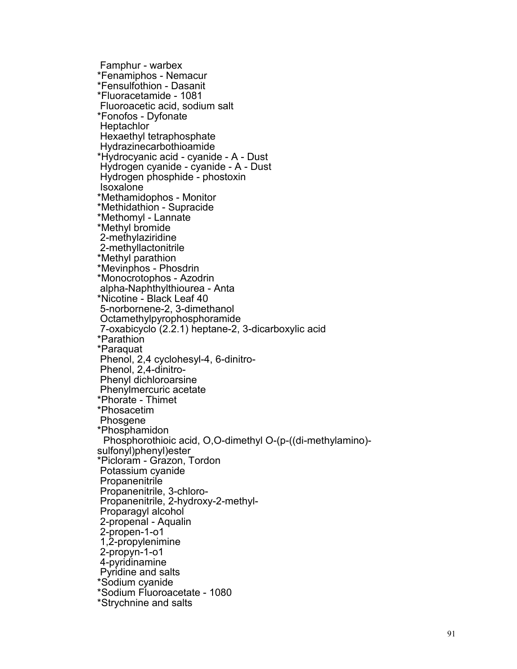Famphur - warbex \*Fenamiphos - Nemacur \*Fensulfothion - Dasanit \*Fluoracetamide - 1081 Fluoroacetic acid, sodium salt \*Fonofos - Dyfonate **Heptachlor** Hexaethyl tetraphosphate Hydrazinecarbothioamide \*Hydrocyanic acid - cyanide - A - Dust Hydrogen cyanide - cyanide - A - Dust Hydrogen phosphide - phostoxin Isoxalone \*Methamidophos - Monitor \*Methidathion - Supracide \*Methomyl - Lannate \*Methyl bromide 2-methylaziridine 2-methyllactonitrile \*Methyl parathion \*Mevinphos - Phosdrin \*Monocrotophos - Azodrin alpha -Naphthylthiourea - Anta \*Nicotine - Black Leaf 40 5 -norbornene -2, 3 -dimethanol Octamethylpyrophosphoramide<br>7-oxabicyclo (2.2.1) heptane-2, 3-dicarboxylic acid \*Parathion \*Paraquat Phenol, 2,4 cyclohesyl -4, 6 -dinitro - Phenol, 2,4 -dinitro - Phenyl dichloroarsine Phenylmercuric acetate \*Phorate - Thimet \*Phosacetim Phosgene \*Phosphamidon Phosphorothioic acid, O,O -dimethyl O -(p -((di -methylamino) sulfonyl)phenyl)ester \*Picloram - Grazon, Tordon Potassium cyanide Propanenitrile Propanenitrile, 3 -chloro Propanenitrile, 3-chloro-<br>Propanenitrile, 2-hydroxy-2-methyl-<br>Proparagyl alcohol<br>2-propenal - Aqualin<br>2-propen-1-o1 1,2 -propylenimine 2 -propyn - 1 -o1 4 -pyridinamine Pyridine and salts \*Sodium cyanide \*Sodium Fluoroacetate - 1080 \*Strychnine and salts